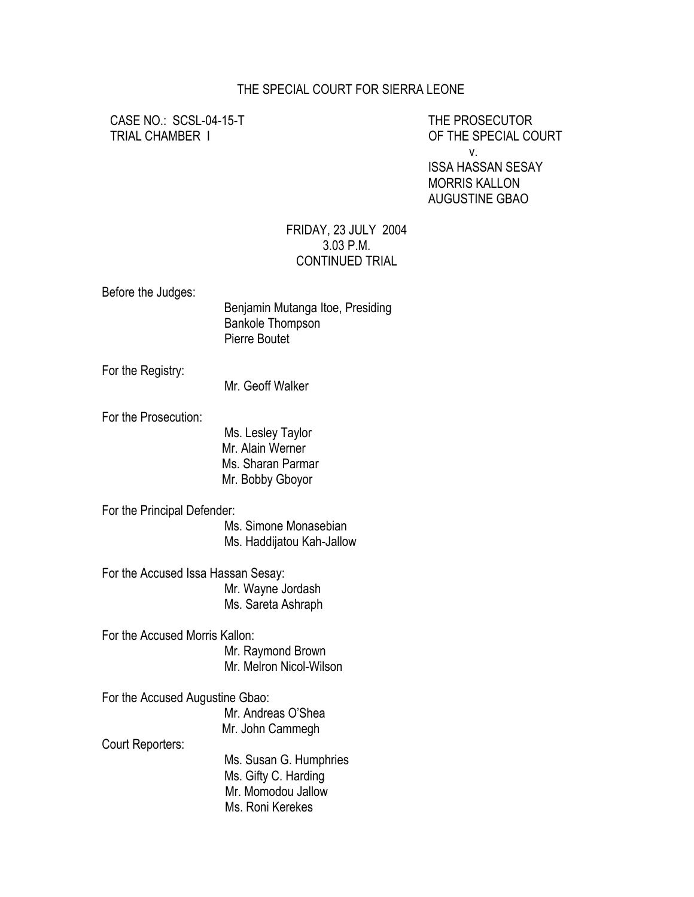## THE SPECIAL COURT FOR SIERRA LEONE

CASE NO.: SCSL-04-15-T THE PROSECUTOR

TRIAL CHAMBER I OF THE SPECIAL COURT v. ISSA HASSAN SESAY MORRIS KALLON AUGUSTINE GBAO

## FRIDAY, 23 JULY 2004 3.03 P.M. CONTINUED TRIAL

Before the Judges:

| Benjamin Mutanga Itoe, Presiding |
|----------------------------------|
| <b>Bankole Thompson</b>          |
| Pierre Boutet                    |

For the Registry:

Mr. Geoff Walker

For the Prosecution:

 Ms. Lesley Taylor Mr. Alain Werner Ms. Sharan Parmar Mr. Bobby Gboyor

For the Principal Defender:

 Ms. Simone Monasebian Ms. Haddijatou Kah-Jallow

For the Accused Issa Hassan Sesay: Mr. Wayne Jordash Ms. Sareta Ashraph

For the Accused Morris Kallon: Mr. Raymond Brown Mr. Melron Nicol-Wilson

For the Accused Augustine Gbao: Mr. Andreas O'Shea Mr. John Cammegh Court Reporters: Ms. Susan G. Humphries Ms. Gifty C. Harding Mr. Momodou Jallow

Ms. Roni Kerekes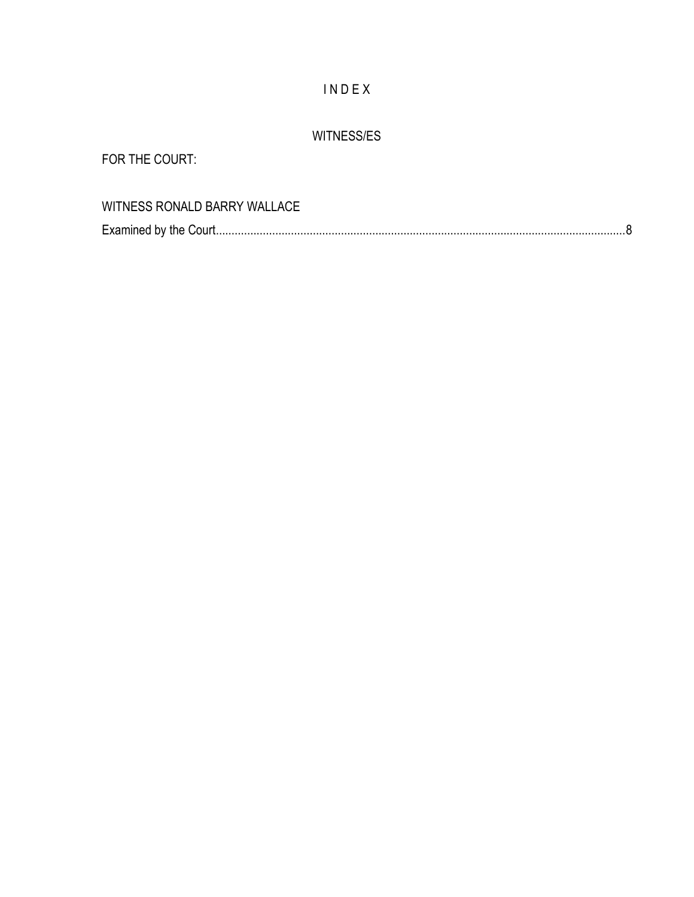## I N D E X

## WITNESS/ES

FOR THE COURT:

| WITNESS RONALD BARRY WALLACE |  |
|------------------------------|--|
|                              |  |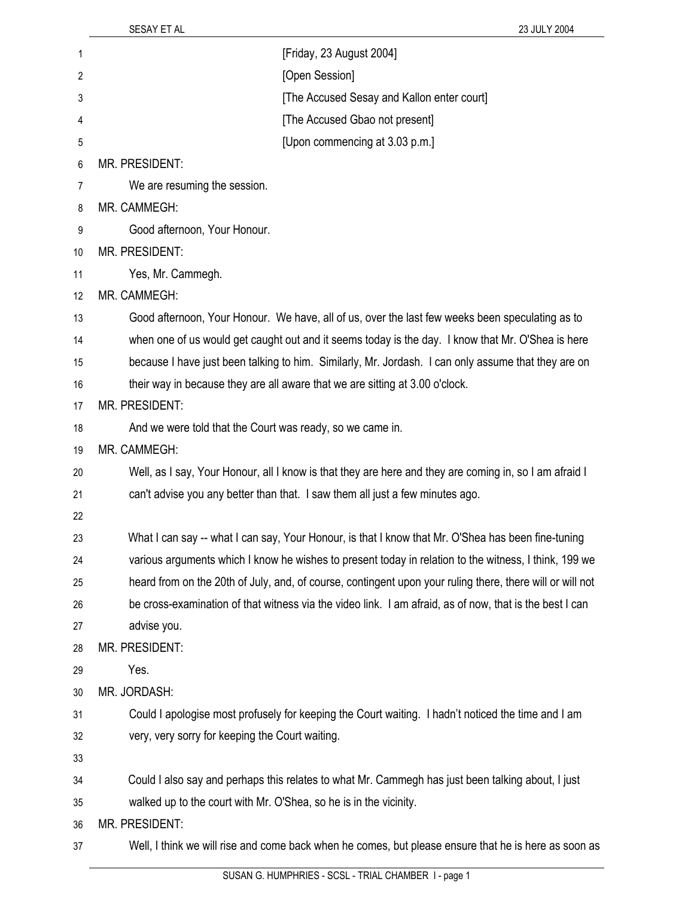| 1              | [Friday, 23 August 2004]                                                                                  |
|----------------|-----------------------------------------------------------------------------------------------------------|
| $\overline{c}$ | [Open Session]                                                                                            |
| 3              | [The Accused Sesay and Kallon enter court]                                                                |
| 4              | [The Accused Gbao not present]                                                                            |
| 5              | [Upon commencing at 3.03 p.m.]                                                                            |
| 6              | MR. PRESIDENT:                                                                                            |
| 7              | We are resuming the session.                                                                              |
| 8              | MR. CAMMEGH:                                                                                              |
| 9              | Good afternoon, Your Honour.                                                                              |
| 10             | MR. PRESIDENT:                                                                                            |
| 11             | Yes, Mr. Cammegh.                                                                                         |
| 12             | MR. CAMMEGH:                                                                                              |
| 13             | Good afternoon, Your Honour. We have, all of us, over the last few weeks been speculating as to           |
| 14             | when one of us would get caught out and it seems today is the day. I know that Mr. O'Shea is here         |
| 15             | because I have just been talking to him. Similarly, Mr. Jordash. I can only assume that they are on       |
| 16             | their way in because they are all aware that we are sitting at 3.00 o'clock.                              |
| 17             | MR. PRESIDENT:                                                                                            |
| 18             | And we were told that the Court was ready, so we came in.                                                 |
| 19             | MR. CAMMEGH:                                                                                              |
| 20             | Well, as I say, Your Honour, all I know is that they are here and they are coming in, so I am afraid I    |
| 21             | can't advise you any better than that. I saw them all just a few minutes ago.                             |
| 22             |                                                                                                           |
| 23             | What I can say -- what I can say, Your Honour, is that I know that Mr. O'Shea has been fine-tuning        |
| 24             | various arguments which I know he wishes to present today in relation to the witness, I think, 199 we     |
| 25             | heard from on the 20th of July, and, of course, contingent upon your ruling there, there will or will not |
| 26             | be cross-examination of that witness via the video link. I am afraid, as of now, that is the best I can   |
| 27             | advise you.                                                                                               |
| 28             | MR. PRESIDENT:                                                                                            |
| 29             | Yes.                                                                                                      |
| 30             | MR. JORDASH:                                                                                              |
| 31             | Could I apologise most profusely for keeping the Court waiting. I hadn't noticed the time and I am        |
| 32             | very, very sorry for keeping the Court waiting.                                                           |
| 33             |                                                                                                           |
| 34             | Could I also say and perhaps this relates to what Mr. Cammegh has just been talking about, I just         |
| 35             | walked up to the court with Mr. O'Shea, so he is in the vicinity.                                         |
| 36             | MR. PRESIDENT:                                                                                            |
| 37             | Well, I think we will rise and come back when he comes, but please ensure that he is here as soon as      |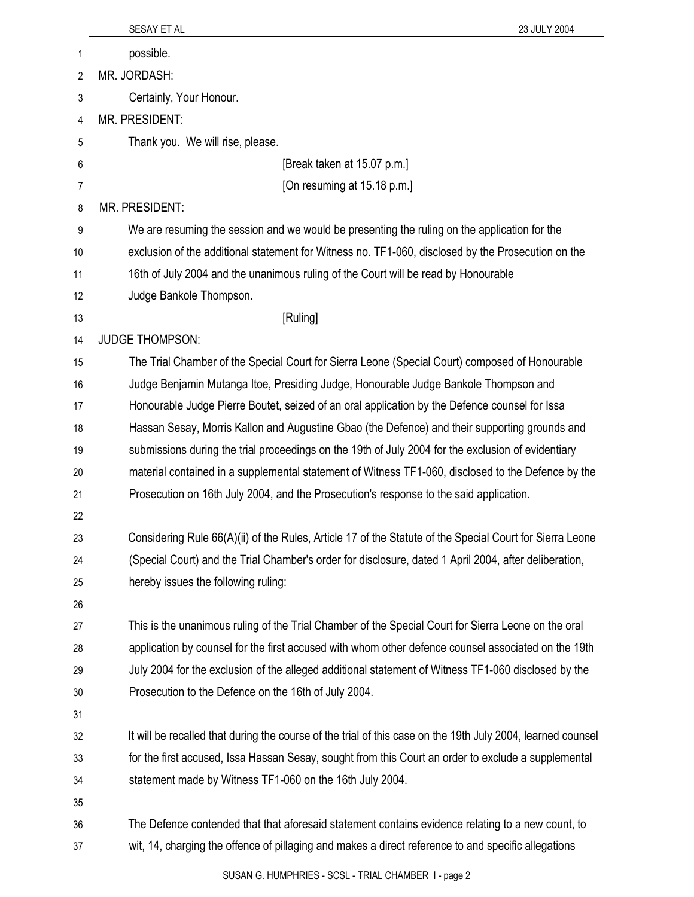|    | 23 JULY 2004<br>SESAY ET AL                                                                                 |
|----|-------------------------------------------------------------------------------------------------------------|
| 1  | possible.                                                                                                   |
| 2  | MR. JORDASH:                                                                                                |
| 3  | Certainly, Your Honour.                                                                                     |
| 4  | MR. PRESIDENT:                                                                                              |
| 5  | Thank you. We will rise, please.                                                                            |
| 6  | [Break taken at 15.07 p.m.]                                                                                 |
| 7  | [On resuming at 15.18 p.m.]                                                                                 |
| 8  | MR. PRESIDENT:                                                                                              |
| 9  | We are resuming the session and we would be presenting the ruling on the application for the                |
| 10 | exclusion of the additional statement for Witness no. TF1-060, disclosed by the Prosecution on the          |
| 11 | 16th of July 2004 and the unanimous ruling of the Court will be read by Honourable                          |
| 12 | Judge Bankole Thompson.                                                                                     |
| 13 | [Ruling]                                                                                                    |
| 14 | <b>JUDGE THOMPSON:</b>                                                                                      |
| 15 | The Trial Chamber of the Special Court for Sierra Leone (Special Court) composed of Honourable              |
| 16 | Judge Benjamin Mutanga Itoe, Presiding Judge, Honourable Judge Bankole Thompson and                         |
| 17 | Honourable Judge Pierre Boutet, seized of an oral application by the Defence counsel for Issa               |
| 18 | Hassan Sesay, Morris Kallon and Augustine Gbao (the Defence) and their supporting grounds and               |
| 19 | submissions during the trial proceedings on the 19th of July 2004 for the exclusion of evidentiary          |
| 20 | material contained in a supplemental statement of Witness TF1-060, disclosed to the Defence by the          |
| 21 | Prosecution on 16th July 2004, and the Prosecution's response to the said application.                      |
| 22 |                                                                                                             |
| 23 | Considering Rule 66(A)(ii) of the Rules, Article 17 of the Statute of the Special Court for Sierra Leone    |
| 24 | (Special Court) and the Trial Chamber's order for disclosure, dated 1 April 2004, after deliberation,       |
| 25 | hereby issues the following ruling:                                                                         |
| 26 |                                                                                                             |
| 27 | This is the unanimous ruling of the Trial Chamber of the Special Court for Sierra Leone on the oral         |
| 28 | application by counsel for the first accused with whom other defence counsel associated on the 19th         |
| 29 | July 2004 for the exclusion of the alleged additional statement of Witness TF1-060 disclosed by the         |
| 30 | Prosecution to the Defence on the 16th of July 2004.                                                        |
| 31 |                                                                                                             |
| 32 | It will be recalled that during the course of the trial of this case on the 19th July 2004, learned counsel |
| 33 | for the first accused, Issa Hassan Sesay, sought from this Court an order to exclude a supplemental         |
| 34 | statement made by Witness TF1-060 on the 16th July 2004.                                                    |
| 35 |                                                                                                             |
| 36 | The Defence contended that that aforesaid statement contains evidence relating to a new count, to           |
| 37 | wit, 14, charging the offence of pillaging and makes a direct reference to and specific allegations         |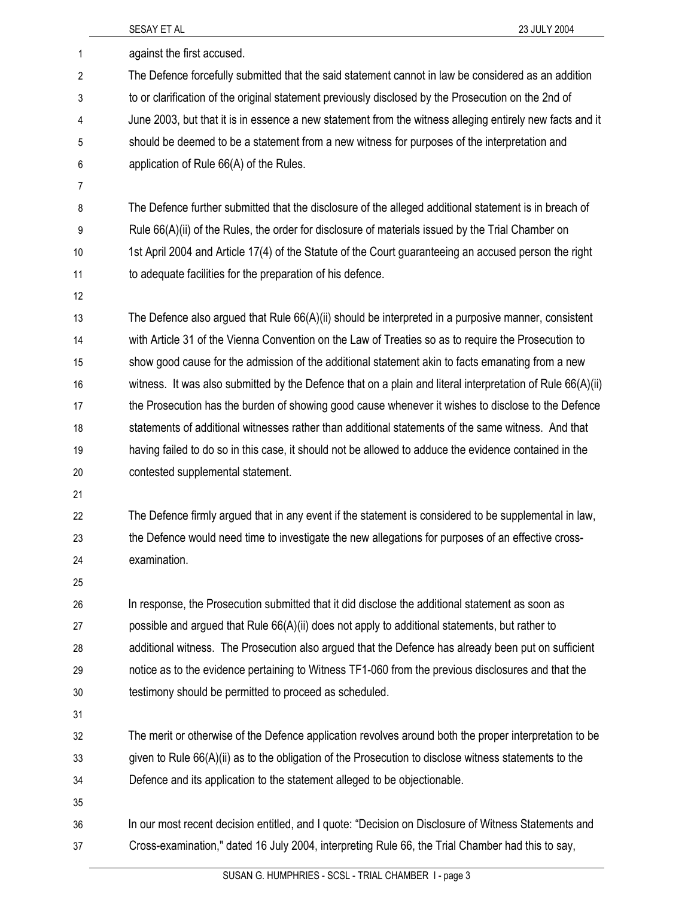|                           | SESAY ET AL<br>23 JULY 2004                                                                                |
|---------------------------|------------------------------------------------------------------------------------------------------------|
| 1                         | against the first accused.                                                                                 |
| $\overline{2}$            | The Defence forcefully submitted that the said statement cannot in law be considered as an addition        |
| $\ensuremath{\mathsf{3}}$ | to or clarification of the original statement previously disclosed by the Prosecution on the 2nd of        |
| 4                         | June 2003, but that it is in essence a new statement from the witness alleging entirely new facts and it   |
| 5                         | should be deemed to be a statement from a new witness for purposes of the interpretation and               |
| 6                         | application of Rule 66(A) of the Rules.                                                                    |
| 7                         |                                                                                                            |
| 8                         | The Defence further submitted that the disclosure of the alleged additional statement is in breach of      |
| 9                         | Rule 66(A)(ii) of the Rules, the order for disclosure of materials issued by the Trial Chamber on          |
| 10                        | 1st April 2004 and Article 17(4) of the Statute of the Court guaranteeing an accused person the right      |
| 11                        | to adequate facilities for the preparation of his defence.                                                 |
| 12                        |                                                                                                            |
| 13                        | The Defence also argued that Rule 66(A)(ii) should be interpreted in a purposive manner, consistent        |
| 14                        | with Article 31 of the Vienna Convention on the Law of Treaties so as to require the Prosecution to        |
| 15                        | show good cause for the admission of the additional statement akin to facts emanating from a new           |
| 16                        | witness. It was also submitted by the Defence that on a plain and literal interpretation of Rule 66(A)(ii) |
| 17                        | the Prosecution has the burden of showing good cause whenever it wishes to disclose to the Defence         |
| 18                        | statements of additional witnesses rather than additional statements of the same witness. And that         |
| 19                        | having failed to do so in this case, it should not be allowed to adduce the evidence contained in the      |
| 20                        | contested supplemental statement.                                                                          |
| 21                        |                                                                                                            |
| 22                        | The Defence firmly argued that in any event if the statement is considered to be supplemental in law,      |
| 23                        | the Defence would need time to investigate the new allegations for purposes of an effective cross-         |
| 24                        | examination.                                                                                               |
| 25                        |                                                                                                            |
| 26                        | In response, the Prosecution submitted that it did disclose the additional statement as soon as            |
| 27                        | possible and argued that Rule 66(A)(ii) does not apply to additional statements, but rather to             |
| 28                        | additional witness. The Prosecution also argued that the Defence has already been put on sufficient        |
| 29                        | notice as to the evidence pertaining to Witness TF1-060 from the previous disclosures and that the         |
| 30                        | testimony should be permitted to proceed as scheduled.                                                     |
| 31                        |                                                                                                            |
| 32                        | The merit or otherwise of the Defence application revolves around both the proper interpretation to be     |
| 33                        | given to Rule 66(A)(ii) as to the obligation of the Prosecution to disclose witness statements to the      |
| 34                        | Defence and its application to the statement alleged to be objectionable.                                  |
| 35                        |                                                                                                            |
| 36                        | In our most recent decision entitled, and I quote: "Decision on Disclosure of Witness Statements and       |
| 37                        | Cross-examination," dated 16 July 2004, interpreting Rule 66, the Trial Chamber had this to say,           |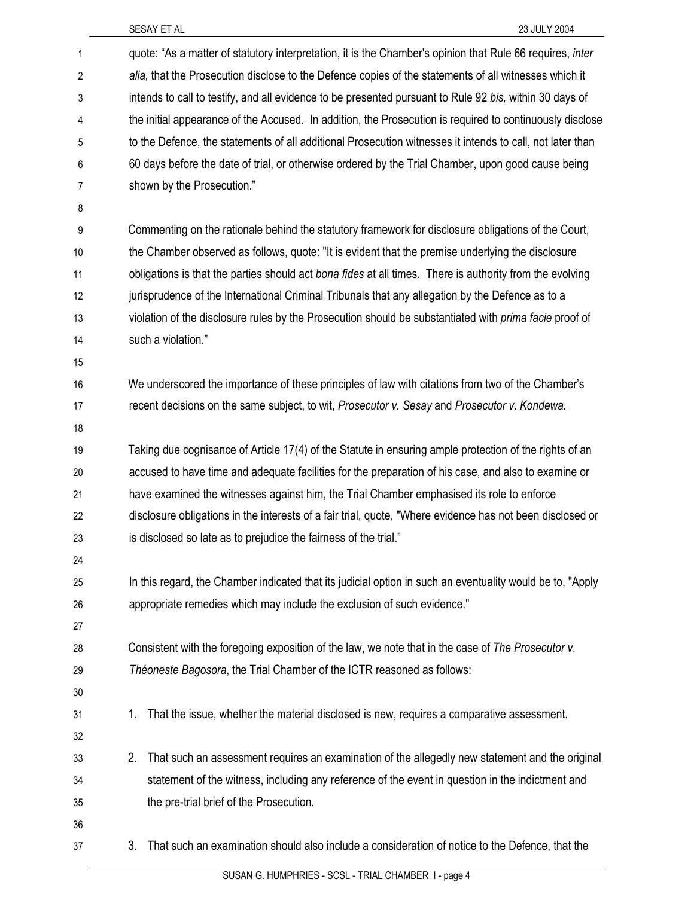| 1              | quote: "As a matter of statutory interpretation, it is the Chamber's opinion that Rule 66 requires, <i>inter</i> |
|----------------|------------------------------------------------------------------------------------------------------------------|
| $\overline{c}$ | alia, that the Prosecution disclose to the Defence copies of the statements of all witnesses which it            |
| 3              | intends to call to testify, and all evidence to be presented pursuant to Rule 92 bis, within 30 days of          |
| 4              | the initial appearance of the Accused. In addition, the Prosecution is required to continuously disclose         |
| 5              | to the Defence, the statements of all additional Prosecution witnesses it intends to call, not later than        |
| 6              | 60 days before the date of trial, or otherwise ordered by the Trial Chamber, upon good cause being               |
| $\overline{7}$ | shown by the Prosecution."                                                                                       |
| 8              |                                                                                                                  |
| 9              | Commenting on the rationale behind the statutory framework for disclosure obligations of the Court,              |
| 10             | the Chamber observed as follows, quote: "It is evident that the premise underlying the disclosure                |
| 11             | obligations is that the parties should act bona fides at all times. There is authority from the evolving         |
| 12             | jurisprudence of the International Criminal Tribunals that any allegation by the Defence as to a                 |
| 13             | violation of the disclosure rules by the Prosecution should be substantiated with prima facie proof of           |
| 14             | such a violation."                                                                                               |
| 15             |                                                                                                                  |
| 16             | We underscored the importance of these principles of law with citations from two of the Chamber's                |
| 17             | recent decisions on the same subject, to wit, Prosecutor v. Sesay and Prosecutor v. Kondewa.                     |
| 18             |                                                                                                                  |
| 19             | Taking due cognisance of Article 17(4) of the Statute in ensuring ample protection of the rights of an           |
| 20             | accused to have time and adequate facilities for the preparation of his case, and also to examine or             |
| 21             | have examined the witnesses against him, the Trial Chamber emphasised its role to enforce                        |
| 22             | disclosure obligations in the interests of a fair trial, quote, "Where evidence has not been disclosed or        |
| 23             | is disclosed so late as to prejudice the fairness of the trial."                                                 |
| 24             |                                                                                                                  |
| 25             | In this regard, the Chamber indicated that its judicial option in such an eventuality would be to, "Apply        |
| 26             | appropriate remedies which may include the exclusion of such evidence."                                          |
| 27             |                                                                                                                  |
| 28             | Consistent with the foregoing exposition of the law, we note that in the case of The Prosecutor v.               |
| 29             | Théoneste Bagosora, the Trial Chamber of the ICTR reasoned as follows:                                           |
| 30             |                                                                                                                  |
| 31             | That the issue, whether the material disclosed is new, requires a comparative assessment.<br>1.                  |
| 32             |                                                                                                                  |
| 33             | That such an assessment requires an examination of the allegedly new statement and the original<br>2.            |
| 34             | statement of the witness, including any reference of the event in question in the indictment and                 |
| 35             | the pre-trial brief of the Prosecution.                                                                          |
| 36             |                                                                                                                  |
| 37             | That such an examination should also include a consideration of notice to the Defence, that the<br>3.            |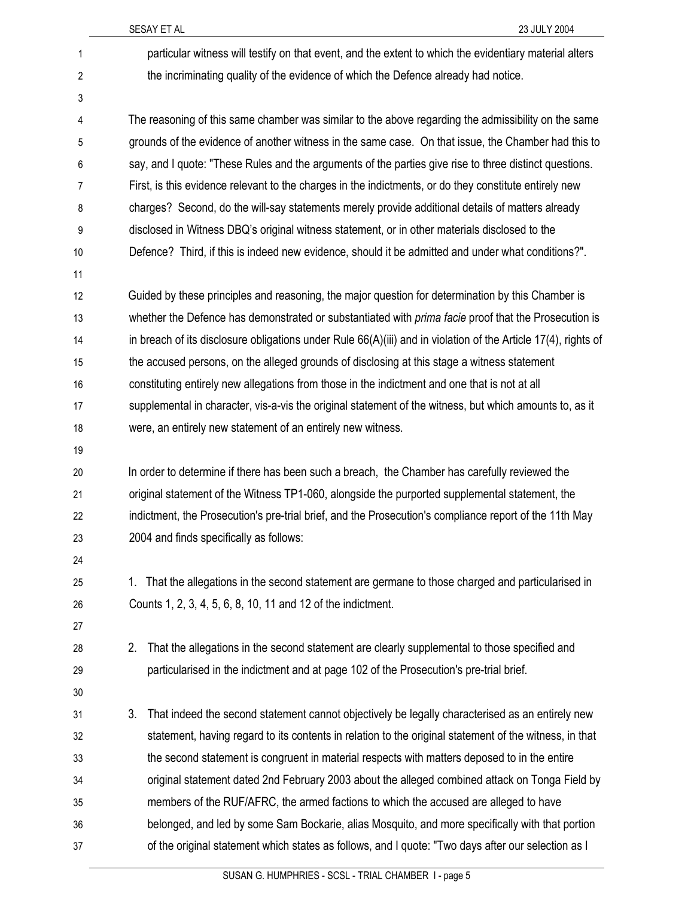| 1  | particular witness will testify on that event, and the extent to which the evidentiary material alters           |
|----|------------------------------------------------------------------------------------------------------------------|
| 2  | the incriminating quality of the evidence of which the Defence already had notice.                               |
| 3  |                                                                                                                  |
| 4  | The reasoning of this same chamber was similar to the above regarding the admissibility on the same              |
| 5  | grounds of the evidence of another witness in the same case. On that issue, the Chamber had this to              |
| 6  | say, and I quote: "These Rules and the arguments of the parties give rise to three distinct questions.           |
| 7  | First, is this evidence relevant to the charges in the indictments, or do they constitute entirely new           |
| 8  | charges? Second, do the will-say statements merely provide additional details of matters already                 |
| 9  | disclosed in Witness DBQ's original witness statement, or in other materials disclosed to the                    |
| 10 | Defence? Third, if this is indeed new evidence, should it be admitted and under what conditions?".               |
| 11 |                                                                                                                  |
| 12 | Guided by these principles and reasoning, the major question for determination by this Chamber is                |
| 13 | whether the Defence has demonstrated or substantiated with <i>prima facie</i> proof that the Prosecution is      |
| 14 | in breach of its disclosure obligations under Rule $66(A)(iii)$ and in violation of the Article 17(4), rights of |
| 15 | the accused persons, on the alleged grounds of disclosing at this stage a witness statement                      |
| 16 | constituting entirely new allegations from those in the indictment and one that is not at all                    |
| 17 | supplemental in character, vis-a-vis the original statement of the witness, but which amounts to, as it          |
| 18 | were, an entirely new statement of an entirely new witness.                                                      |
| 19 |                                                                                                                  |
| 20 | In order to determine if there has been such a breach, the Chamber has carefully reviewed the                    |
| 21 | original statement of the Witness TP1-060, alongside the purported supplemental statement, the                   |
| 22 | indictment, the Prosecution's pre-trial brief, and the Prosecution's compliance report of the 11th May           |
| 23 | 2004 and finds specifically as follows:                                                                          |
| 24 |                                                                                                                  |
| 25 | That the allegations in the second statement are germane to those charged and particularised in<br>1.            |
| 26 | Counts 1, 2, 3, 4, 5, 6, 8, 10, 11 and 12 of the indictment.                                                     |
| 27 |                                                                                                                  |
| 28 | 2.<br>That the allegations in the second statement are clearly supplemental to those specified and               |
| 29 | particularised in the indictment and at page 102 of the Prosecution's pre-trial brief.                           |
| 30 |                                                                                                                  |
| 31 | 3.<br>That indeed the second statement cannot objectively be legally characterised as an entirely new            |
| 32 | statement, having regard to its contents in relation to the original statement of the witness, in that           |
| 33 | the second statement is congruent in material respects with matters deposed to in the entire                     |
| 34 | original statement dated 2nd February 2003 about the alleged combined attack on Tonga Field by                   |
| 35 | members of the RUF/AFRC, the armed factions to which the accused are alleged to have                             |
| 36 | belonged, and led by some Sam Bockarie, alias Mosquito, and more specifically with that portion                  |
| 37 | of the original statement which states as follows, and I quote: "Two days after our selection as I               |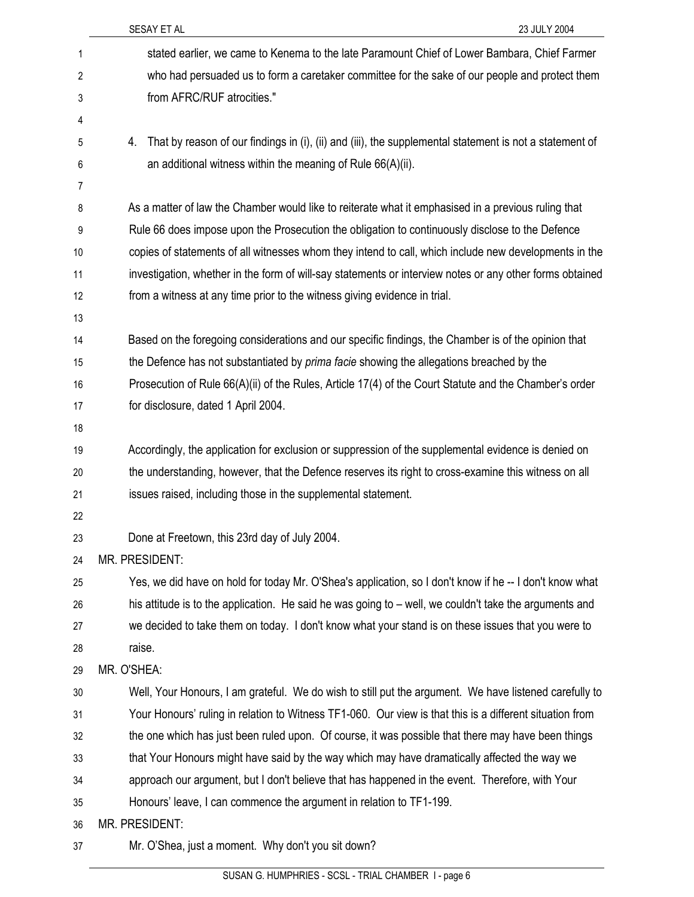|    | SESAY ET AL<br>23 JULY 2004                                                                                   |
|----|---------------------------------------------------------------------------------------------------------------|
| 1  | stated earlier, we came to Kenema to the late Paramount Chief of Lower Bambara, Chief Farmer                  |
| 2  | who had persuaded us to form a caretaker committee for the sake of our people and protect them                |
| 3  | from AFRC/RUF atrocities."                                                                                    |
| 4  |                                                                                                               |
| 5  | That by reason of our findings in (i), (ii) and (iii), the supplemental statement is not a statement of<br>4. |
| 6  | an additional witness within the meaning of Rule 66(A)(ii).                                                   |
| 7  |                                                                                                               |
| 8  | As a matter of law the Chamber would like to reiterate what it emphasised in a previous ruling that           |
| 9  | Rule 66 does impose upon the Prosecution the obligation to continuously disclose to the Defence               |
| 10 | copies of statements of all witnesses whom they intend to call, which include new developments in the         |
| 11 | investigation, whether in the form of will-say statements or interview notes or any other forms obtained      |
| 12 | from a witness at any time prior to the witness giving evidence in trial.                                     |
| 13 |                                                                                                               |
| 14 | Based on the foregoing considerations and our specific findings, the Chamber is of the opinion that           |
| 15 | the Defence has not substantiated by <i>prima facie</i> showing the allegations breached by the               |
| 16 | Prosecution of Rule 66(A)(ii) of the Rules, Article 17(4) of the Court Statute and the Chamber's order        |
| 17 | for disclosure, dated 1 April 2004.                                                                           |
| 18 |                                                                                                               |
| 19 | Accordingly, the application for exclusion or suppression of the supplemental evidence is denied on           |
| 20 | the understanding, however, that the Defence reserves its right to cross-examine this witness on all          |
| 21 | issues raised, including those in the supplemental statement.                                                 |
| 22 |                                                                                                               |
| 23 | Done at Freetown, this 23rd day of July 2004.                                                                 |
| 24 | MR. PRESIDENT:                                                                                                |
| 25 | Yes, we did have on hold for today Mr. O'Shea's application, so I don't know if he -- I don't know what       |
| 26 | his attitude is to the application. He said he was going to – well, we couldn't take the arguments and        |
| 27 | we decided to take them on today. I don't know what your stand is on these issues that you were to            |
| 28 | raise.                                                                                                        |
| 29 | MR. O'SHEA:                                                                                                   |
| 30 | Well, Your Honours, I am grateful. We do wish to still put the argument. We have listened carefully to        |
| 31 | Your Honours' ruling in relation to Witness TF1-060. Our view is that this is a different situation from      |
| 32 | the one which has just been ruled upon. Of course, it was possible that there may have been things            |
| 33 | that Your Honours might have said by the way which may have dramatically affected the way we                  |
| 34 | approach our argument, but I don't believe that has happened in the event. Therefore, with Your               |
| 35 | Honours' leave, I can commence the argument in relation to TF1-199.                                           |
| 36 | MR. PRESIDENT:                                                                                                |
| 37 | Mr. O'Shea, just a moment. Why don't you sit down?                                                            |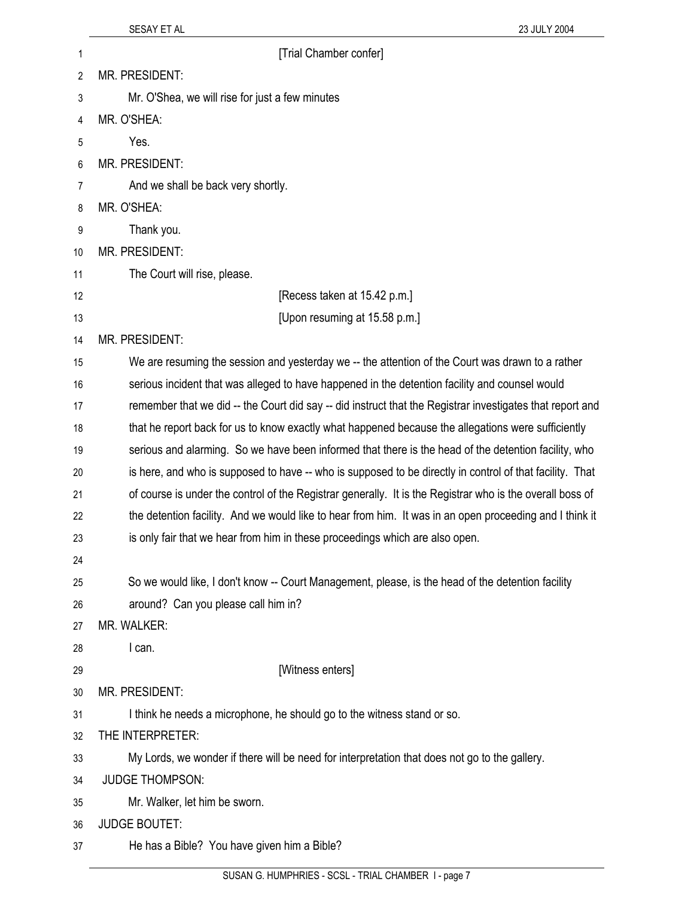| 1  | [Trial Chamber confer]                                                                                    |
|----|-----------------------------------------------------------------------------------------------------------|
| 2  | MR. PRESIDENT:                                                                                            |
| 3  | Mr. O'Shea, we will rise for just a few minutes                                                           |
| 4  | MR. O'SHEA:                                                                                               |
| 5  | Yes.                                                                                                      |
| 6  | MR. PRESIDENT:                                                                                            |
| 7  | And we shall be back very shortly.                                                                        |
| 8  | MR. O'SHEA:                                                                                               |
| 9  | Thank you.                                                                                                |
| 10 | MR. PRESIDENT:                                                                                            |
| 11 | The Court will rise, please.                                                                              |
| 12 | [Recess taken at 15.42 p.m.]                                                                              |
| 13 | [Upon resuming at 15.58 p.m.]                                                                             |
| 14 | MR. PRESIDENT:                                                                                            |
| 15 | We are resuming the session and yesterday we -- the attention of the Court was drawn to a rather          |
| 16 | serious incident that was alleged to have happened in the detention facility and counsel would            |
| 17 | remember that we did -- the Court did say -- did instruct that the Registrar investigates that report and |
| 18 | that he report back for us to know exactly what happened because the allegations were sufficiently        |
| 19 | serious and alarming. So we have been informed that there is the head of the detention facility, who      |
| 20 | is here, and who is supposed to have -- who is supposed to be directly in control of that facility. That  |
| 21 | of course is under the control of the Registrar generally. It is the Registrar who is the overall boss of |
| 22 | the detention facility. And we would like to hear from him. It was in an open proceeding and I think it   |
| 23 | is only fair that we hear from him in these proceedings which are also open.                              |
| 24 |                                                                                                           |
| 25 | So we would like, I don't know -- Court Management, please, is the head of the detention facility         |
| 26 | around? Can you please call him in?                                                                       |
| 27 | MR. WALKER:                                                                                               |
| 28 | I can.                                                                                                    |
| 29 | [Witness enters]                                                                                          |
| 30 | MR. PRESIDENT:                                                                                            |
| 31 | I think he needs a microphone, he should go to the witness stand or so.                                   |
| 32 | THE INTERPRETER:                                                                                          |
| 33 | My Lords, we wonder if there will be need for interpretation that does not go to the gallery.             |
| 34 | <b>JUDGE THOMPSON:</b>                                                                                    |
| 35 | Mr. Walker, let him be sworn.                                                                             |
| 36 | <b>JUDGE BOUTET:</b>                                                                                      |
| 37 | He has a Bible? You have given him a Bible?                                                               |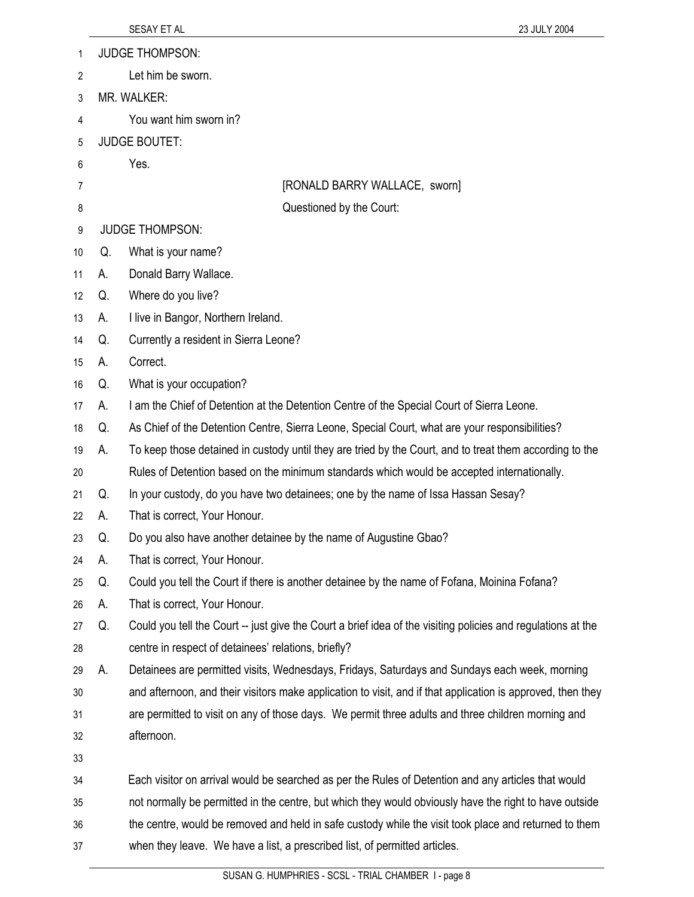| 1  |                      | <b>JUDGE THOMPSON:</b>                                                                                       |  |
|----|----------------------|--------------------------------------------------------------------------------------------------------------|--|
| 2  |                      | Let him be sworn.                                                                                            |  |
| 3  |                      | MR. WALKER:                                                                                                  |  |
| 4  |                      | You want him sworn in?                                                                                       |  |
| 5  | <b>JUDGE BOUTET:</b> |                                                                                                              |  |
| 6  |                      | Yes.                                                                                                         |  |
| 7  |                      | [RONALD BARRY WALLACE, sworn]                                                                                |  |
| 8  |                      | Questioned by the Court:                                                                                     |  |
| 9  |                      | <b>JUDGE THOMPSON:</b>                                                                                       |  |
| 10 | Q.                   | What is your name?                                                                                           |  |
| 11 | А.                   | Donald Barry Wallace.                                                                                        |  |
| 12 | Q.                   | Where do you live?                                                                                           |  |
| 13 | А.                   | I live in Bangor, Northern Ireland.                                                                          |  |
| 14 | Q.                   | Currently a resident in Sierra Leone?                                                                        |  |
| 15 | А.                   | Correct.                                                                                                     |  |
| 16 | Q.                   | What is your occupation?                                                                                     |  |
| 17 | А.                   | I am the Chief of Detention at the Detention Centre of the Special Court of Sierra Leone.                    |  |
| 18 | Q.                   | As Chief of the Detention Centre, Sierra Leone, Special Court, what are your responsibilities?               |  |
| 19 | А.                   | To keep those detained in custody until they are tried by the Court, and to treat them according to the      |  |
| 20 |                      | Rules of Detention based on the minimum standards which would be accepted internationally.                   |  |
| 21 | Q.                   | In your custody, do you have two detainees; one by the name of Issa Hassan Sesay?                            |  |
| 22 | А.                   | That is correct, Your Honour.                                                                                |  |
| 23 | Q.                   | Do you also have another detainee by the name of Augustine Gbao?                                             |  |
| 24 | А.                   | That is correct, Your Honour.                                                                                |  |
| 25 | Q.                   | Could you tell the Court if there is another detainee by the name of Fofana, Moinina Fofana?                 |  |
| 26 | А.                   | That is correct, Your Honour.                                                                                |  |
| 27 | Q.                   | Could you tell the Court -- just give the Court a brief idea of the visiting policies and regulations at the |  |
| 28 |                      | centre in respect of detainees' relations, briefly?                                                          |  |
| 29 | А.                   | Detainees are permitted visits, Wednesdays, Fridays, Saturdays and Sundays each week, morning                |  |
| 30 |                      | and afternoon, and their visitors make application to visit, and if that application is approved, then they  |  |
| 31 |                      | are permitted to visit on any of those days. We permit three adults and three children morning and           |  |
| 32 |                      | afternoon.                                                                                                   |  |
| 33 |                      |                                                                                                              |  |
| 34 |                      | Each visitor on arrival would be searched as per the Rules of Detention and any articles that would          |  |
| 35 |                      | not normally be permitted in the centre, but which they would obviously have the right to have outside       |  |
| 36 |                      | the centre, would be removed and held in safe custody while the visit took place and returned to them        |  |
| 37 |                      | when they leave. We have a list, a prescribed list, of permitted articles.                                   |  |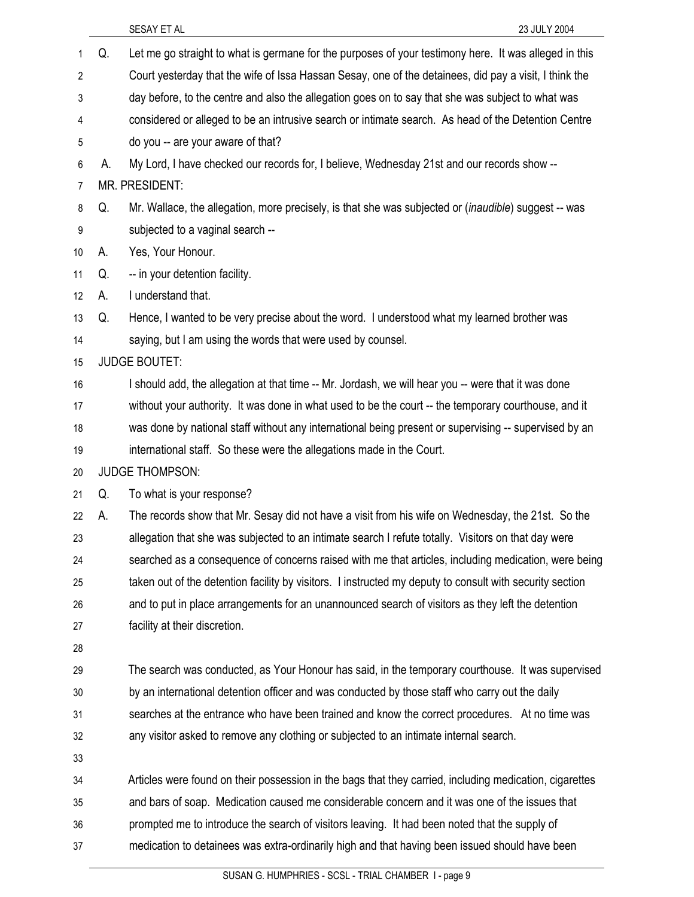|    |    | SESAY ET AL<br>23 JULY 2004                                                                              |
|----|----|----------------------------------------------------------------------------------------------------------|
| 1  | Q. | Let me go straight to what is germane for the purposes of your testimony here. It was alleged in this    |
| 2  |    | Court yesterday that the wife of Issa Hassan Sesay, one of the detainees, did pay a visit, I think the   |
| 3  |    | day before, to the centre and also the allegation goes on to say that she was subject to what was        |
| 4  |    | considered or alleged to be an intrusive search or intimate search. As head of the Detention Centre      |
| 5  |    | do you -- are your aware of that?                                                                        |
| 6  | А. | My Lord, I have checked our records for, I believe, Wednesday 21st and our records show --               |
| 7  |    | MR. PRESIDENT:                                                                                           |
| 8  | Q. | Mr. Wallace, the allegation, more precisely, is that she was subjected or (inaudible) suggest -- was     |
| 9  |    | subjected to a vaginal search --                                                                         |
| 10 | А. | Yes, Your Honour.                                                                                        |
| 11 | Q. | -- in your detention facility.                                                                           |
| 12 | А. | I understand that.                                                                                       |
| 13 | Q. | Hence, I wanted to be very precise about the word. I understood what my learned brother was              |
| 14 |    | saying, but I am using the words that were used by counsel.                                              |
| 15 |    | <b>JUDGE BOUTET:</b>                                                                                     |
| 16 |    | I should add, the allegation at that time -- Mr. Jordash, we will hear you -- were that it was done      |
| 17 |    | without your authority. It was done in what used to be the court -- the temporary courthouse, and it     |
| 18 |    | was done by national staff without any international being present or supervising -- supervised by an    |
| 19 |    | international staff. So these were the allegations made in the Court.                                    |
| 20 |    | <b>JUDGE THOMPSON:</b>                                                                                   |
| 21 | Q. | To what is your response?                                                                                |
| 22 | А. | The records show that Mr. Sesay did not have a visit from his wife on Wednesday, the 21st. So the        |
| 23 |    | allegation that she was subjected to an intimate search I refute totally. Visitors on that day were      |
| 24 |    | searched as a consequence of concerns raised with me that articles, including medication, were being     |
| 25 |    | taken out of the detention facility by visitors. I instructed my deputy to consult with security section |
| 26 |    | and to put in place arrangements for an unannounced search of visitors as they left the detention        |
| 27 |    | facility at their discretion.                                                                            |
| 28 |    |                                                                                                          |
| 29 |    | The search was conducted, as Your Honour has said, in the temporary courthouse. It was supervised        |
| 30 |    | by an international detention officer and was conducted by those staff who carry out the daily           |
| 31 |    | searches at the entrance who have been trained and know the correct procedures. At no time was           |
| 32 |    | any visitor asked to remove any clothing or subjected to an intimate internal search.                    |
| 33 |    |                                                                                                          |
| 34 |    | Articles were found on their possession in the bags that they carried, including medication, cigarettes  |
| 35 |    | and bars of soap. Medication caused me considerable concern and it was one of the issues that            |
| 36 |    | prompted me to introduce the search of visitors leaving. It had been noted that the supply of            |
| 37 |    | medication to detainees was extra-ordinarily high and that having been issued should have been           |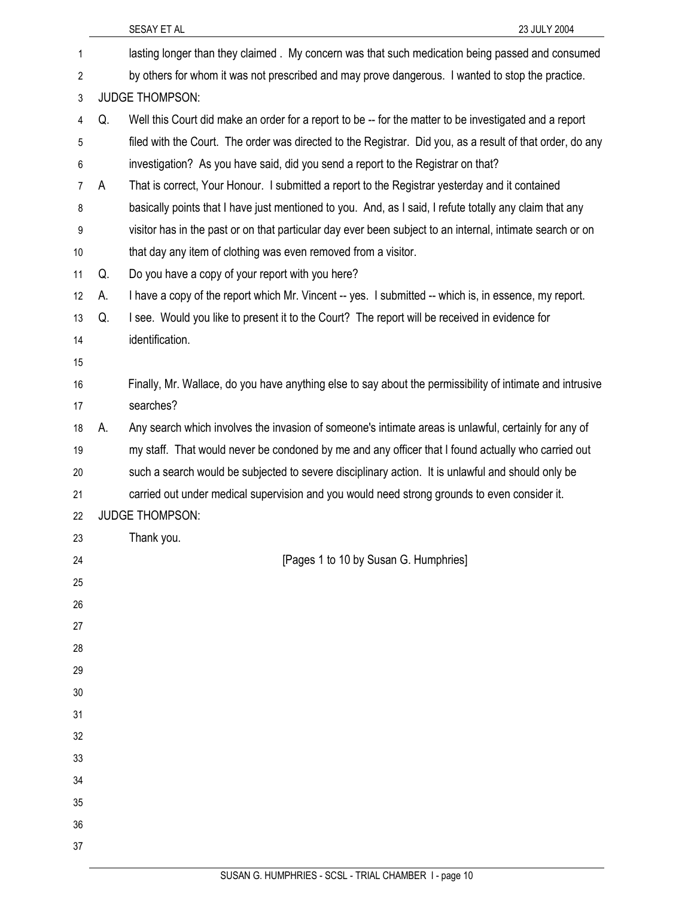|    |    | SESAY ET AL<br>23 JULY 2004                                                                               |
|----|----|-----------------------------------------------------------------------------------------------------------|
| 1  |    | lasting longer than they claimed. My concern was that such medication being passed and consumed           |
| 2  |    | by others for whom it was not prescribed and may prove dangerous. I wanted to stop the practice.          |
| 3  |    | <b>JUDGE THOMPSON:</b>                                                                                    |
| 4  | Q. | Well this Court did make an order for a report to be -- for the matter to be investigated and a report    |
| 5  |    | filed with the Court. The order was directed to the Registrar. Did you, as a result of that order, do any |
| 6  |    | investigation? As you have said, did you send a report to the Registrar on that?                          |
| 7  | A  | That is correct, Your Honour. I submitted a report to the Registrar yesterday and it contained            |
| 8  |    | basically points that I have just mentioned to you. And, as I said, I refute totally any claim that any   |
| 9  |    | visitor has in the past or on that particular day ever been subject to an internal, intimate search or on |
| 10 |    | that day any item of clothing was even removed from a visitor.                                            |
| 11 | Q. | Do you have a copy of your report with you here?                                                          |
| 12 | А. | I have a copy of the report which Mr. Vincent -- yes. I submitted -- which is, in essence, my report.     |
| 13 | Q. | I see. Would you like to present it to the Court? The report will be received in evidence for             |
| 14 |    | identification.                                                                                           |
| 15 |    |                                                                                                           |
| 16 |    | Finally, Mr. Wallace, do you have anything else to say about the permissibility of intimate and intrusive |
| 17 |    | searches?                                                                                                 |
| 18 | А. | Any search which involves the invasion of someone's intimate areas is unlawful, certainly for any of      |
| 19 |    | my staff. That would never be condoned by me and any officer that I found actually who carried out        |
| 20 |    | such a search would be subjected to severe disciplinary action. It is unlawful and should only be         |
| 21 |    | carried out under medical supervision and you would need strong grounds to even consider it.              |
| 22 |    | <b>JUDGE THOMPSON:</b>                                                                                    |
| 23 |    | Thank you.                                                                                                |
| 24 |    | [Pages 1 to 10 by Susan G. Humphries]                                                                     |
| 25 |    |                                                                                                           |
| 26 |    |                                                                                                           |
| 27 |    |                                                                                                           |
| 28 |    |                                                                                                           |
| 29 |    |                                                                                                           |
| 30 |    |                                                                                                           |
| 31 |    |                                                                                                           |
| 32 |    |                                                                                                           |
| 33 |    |                                                                                                           |
| 34 |    |                                                                                                           |
| 35 |    |                                                                                                           |
| 36 |    |                                                                                                           |
| 37 |    |                                                                                                           |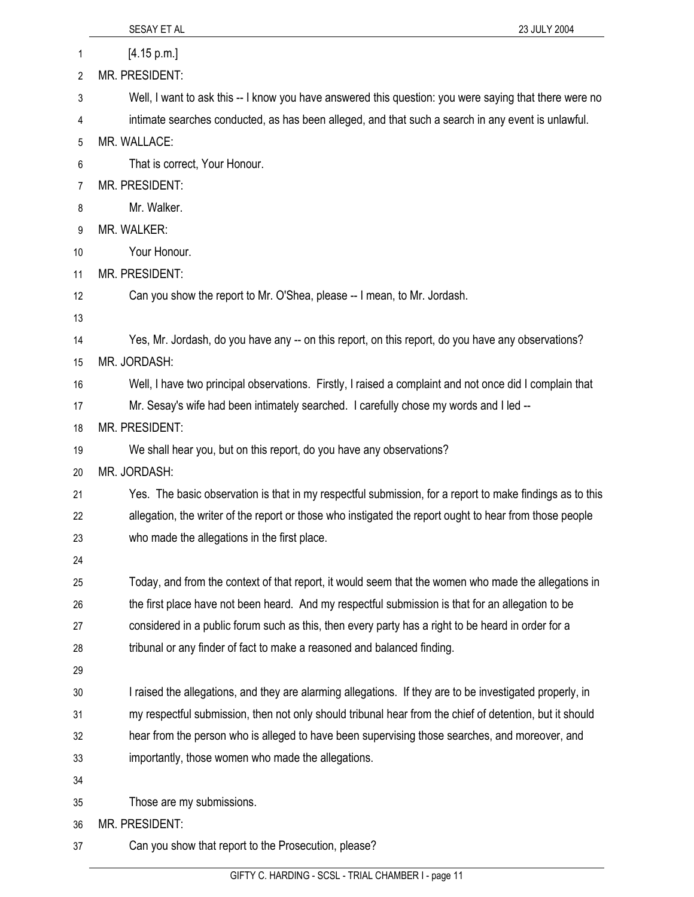|    | 23 JULY 2004<br>SESAY ET AL                                                                              |
|----|----------------------------------------------------------------------------------------------------------|
| 1  | [4.15 p.m.]                                                                                              |
| 2  | MR. PRESIDENT:                                                                                           |
| 3  | Well, I want to ask this -- I know you have answered this question: you were saying that there were no   |
| 4  | intimate searches conducted, as has been alleged, and that such a search in any event is unlawful.       |
| 5  | MR. WALLACE:                                                                                             |
| 6  | That is correct, Your Honour.                                                                            |
| 7  | MR. PRESIDENT:                                                                                           |
| 8  | Mr. Walker.                                                                                              |
| 9  | <b>MR. WALKER:</b>                                                                                       |
| 10 | Your Honour.                                                                                             |
| 11 | MR. PRESIDENT:                                                                                           |
| 12 | Can you show the report to Mr. O'Shea, please -- I mean, to Mr. Jordash.                                 |
| 13 |                                                                                                          |
| 14 | Yes, Mr. Jordash, do you have any -- on this report, on this report, do you have any observations?       |
| 15 | MR. JORDASH:                                                                                             |
| 16 | Well, I have two principal observations. Firstly, I raised a complaint and not once did I complain that  |
| 17 | Mr. Sesay's wife had been intimately searched. I carefully chose my words and I led --                   |
| 18 | <b>MR. PRESIDENT:</b>                                                                                    |
| 19 | We shall hear you, but on this report, do you have any observations?                                     |
| 20 | MR. JORDASH:                                                                                             |
| 21 | Yes. The basic observation is that in my respectful submission, for a report to make findings as to this |
| 22 | allegation, the writer of the report or those who instigated the report ought to hear from those people  |
| 23 | who made the allegations in the first place.                                                             |
| 24 |                                                                                                          |
| 25 | Today, and from the context of that report, it would seem that the women who made the allegations in     |
| 26 | the first place have not been heard. And my respectful submission is that for an allegation to be        |
| 27 | considered in a public forum such as this, then every party has a right to be heard in order for a       |
| 28 | tribunal or any finder of fact to make a reasoned and balanced finding.                                  |
| 29 |                                                                                                          |
| 30 | I raised the allegations, and they are alarming allegations. If they are to be investigated properly, in |
| 31 | my respectful submission, then not only should tribunal hear from the chief of detention, but it should  |
| 32 | hear from the person who is alleged to have been supervising those searches, and moreover, and           |
| 33 | importantly, those women who made the allegations.                                                       |
| 34 |                                                                                                          |
| 35 | Those are my submissions.                                                                                |
| 36 | MR. PRESIDENT:                                                                                           |
| 37 | Can you show that report to the Prosecution, please?                                                     |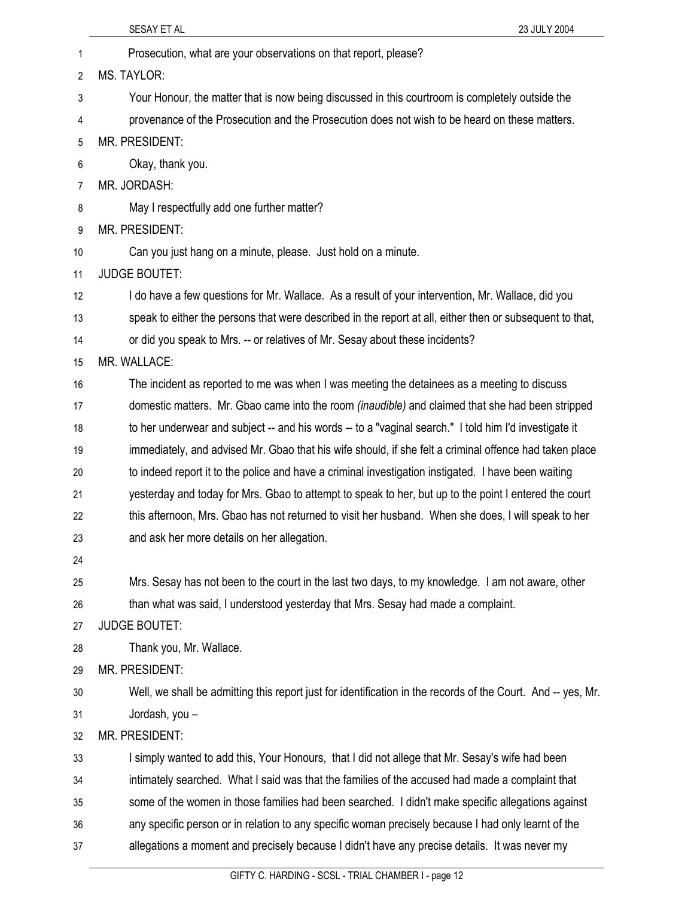|                | SESAY ET AL<br>23 JULY 2004                                                                                  |
|----------------|--------------------------------------------------------------------------------------------------------------|
| 1              | Prosecution, what are your observations on that report, please?                                              |
| 2              | <b>MS. TAYLOR:</b>                                                                                           |
| 3              | Your Honour, the matter that is now being discussed in this courtroom is completely outside the              |
| 4              | provenance of the Prosecution and the Prosecution does not wish to be heard on these matters.                |
| 5              | <b>MR. PRESIDENT:</b>                                                                                        |
| 6              | Okay, thank you.                                                                                             |
| $\overline{7}$ | MR. JORDASH:                                                                                                 |
| 8              | May I respectfully add one further matter?                                                                   |
| 9              | <b>MR. PRESIDENT:</b>                                                                                        |
| 10             | Can you just hang on a minute, please. Just hold on a minute.                                                |
| 11             | <b>JUDGE BOUTET:</b>                                                                                         |
| 12             | I do have a few questions for Mr. Wallace. As a result of your intervention, Mr. Wallace, did you            |
| 13             | speak to either the persons that were described in the report at all, either then or subsequent to that,     |
| 14             | or did you speak to Mrs. -- or relatives of Mr. Sesay about these incidents?                                 |
| 15             | MR. WALLACE:                                                                                                 |
| 16             | The incident as reported to me was when I was meeting the detainees as a meeting to discuss                  |
| 17             | domestic matters. Mr. Gbao came into the room <i>(inaudible)</i> and claimed that she had been stripped      |
| 18             | to her underwear and subject -- and his words -- to a "vaginal search." I told him I'd investigate it        |
| 19             | immediately, and advised Mr. Gbao that his wife should, if she felt a criminal offence had taken place       |
| 20             | to indeed report it to the police and have a criminal investigation instigated. I have been waiting          |
| 21             | yesterday and today for Mrs. Gbao to attempt to speak to her, but up to the point I entered the court        |
| 22             | this afternoon, Mrs. Gbao has not returned to visit her husband. When she does, I will speak to her          |
| 23             | and ask her more details on her allegation.                                                                  |
| 24             |                                                                                                              |
| 25             | Mrs. Sesay has not been to the court in the last two days, to my knowledge. I am not aware, other            |
| 26             | than what was said, I understood yesterday that Mrs. Sesay had made a complaint.                             |
| 27             | <b>JUDGE BOUTET:</b>                                                                                         |
| 28             | Thank you, Mr. Wallace.                                                                                      |
| 29             | MR. PRESIDENT:                                                                                               |
| 30             | Well, we shall be admitting this report just for identification in the records of the Court. And -- yes, Mr. |
| 31             | Jordash, you -                                                                                               |
| 32             | MR. PRESIDENT:                                                                                               |
| 33             | I simply wanted to add this, Your Honours, that I did not allege that Mr. Sesay's wife had been              |
| 34             | intimately searched. What I said was that the families of the accused had made a complaint that              |
| 35             | some of the women in those families had been searched. I didn't make specific allegations against            |
| 36             | any specific person or in relation to any specific woman precisely because I had only learnt of the          |
| 37             | allegations a moment and precisely because I didn't have any precise details. It was never my                |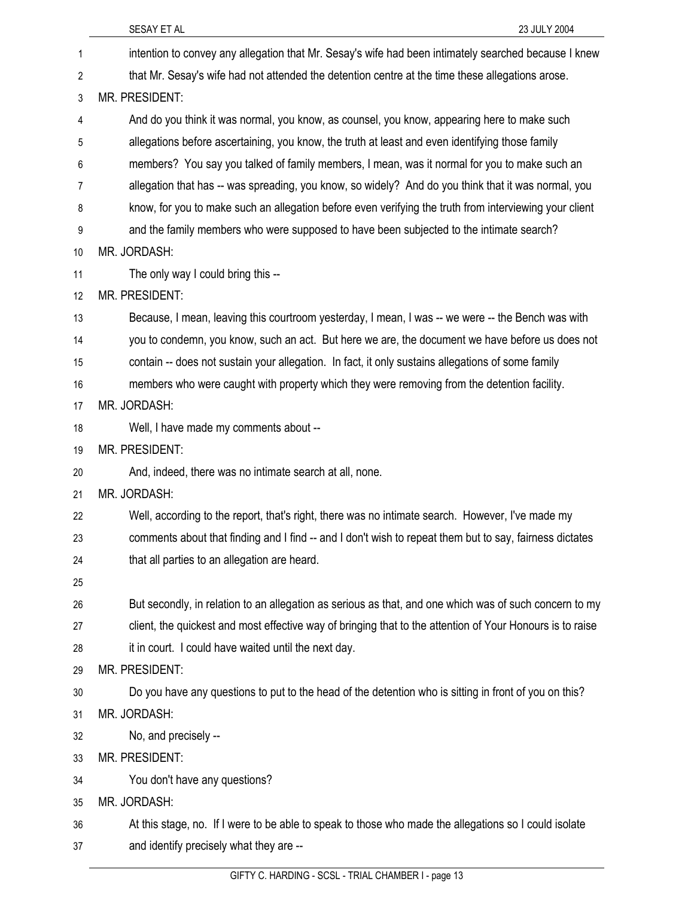|    | SESAY ET AL<br>23 JULY 2004                                                                               |
|----|-----------------------------------------------------------------------------------------------------------|
| 1  | intention to convey any allegation that Mr. Sesay's wife had been intimately searched because I knew      |
| 2  | that Mr. Sesay's wife had not attended the detention centre at the time these allegations arose.          |
| 3  | MR. PRESIDENT:                                                                                            |
| 4  | And do you think it was normal, you know, as counsel, you know, appearing here to make such               |
| 5  | allegations before ascertaining, you know, the truth at least and even identifying those family           |
| 6  | members? You say you talked of family members, I mean, was it normal for you to make such an              |
| 7  | allegation that has -- was spreading, you know, so widely? And do you think that it was normal, you       |
| 8  | know, for you to make such an allegation before even verifying the truth from interviewing your client    |
| 9  | and the family members who were supposed to have been subjected to the intimate search?                   |
| 10 | MR. JORDASH:                                                                                              |
| 11 | The only way I could bring this --                                                                        |
| 12 | MR. PRESIDENT:                                                                                            |
| 13 | Because, I mean, leaving this courtroom yesterday, I mean, I was -- we were -- the Bench was with         |
| 14 | you to condemn, you know, such an act. But here we are, the document we have before us does not           |
| 15 | contain -- does not sustain your allegation. In fact, it only sustains allegations of some family         |
| 16 | members who were caught with property which they were removing from the detention facility.               |
| 17 | MR. JORDASH:                                                                                              |
| 18 | Well, I have made my comments about --                                                                    |
| 19 | MR. PRESIDENT:                                                                                            |
| 20 | And, indeed, there was no intimate search at all, none.                                                   |
| 21 | MR. JORDASH:                                                                                              |
| 22 | Well, according to the report, that's right, there was no intimate search. However, I've made my          |
| 23 | comments about that finding and I find -- and I don't wish to repeat them but to say, fairness dictates   |
| 24 | that all parties to an allegation are heard.                                                              |
| 25 |                                                                                                           |
| 26 | But secondly, in relation to an allegation as serious as that, and one which was of such concern to my    |
| 27 | client, the quickest and most effective way of bringing that to the attention of Your Honours is to raise |
| 28 | it in court. I could have waited until the next day.                                                      |
| 29 | MR. PRESIDENT:                                                                                            |
| 30 | Do you have any questions to put to the head of the detention who is sitting in front of you on this?     |
| 31 | MR. JORDASH:                                                                                              |
| 32 | No, and precisely --                                                                                      |
| 33 | MR. PRESIDENT:                                                                                            |
| 34 | You don't have any questions?                                                                             |
| 35 | MR. JORDASH:                                                                                              |
| 36 | At this stage, no. If I were to be able to speak to those who made the allegations so I could isolate     |
| 37 | and identify precisely what they are --                                                                   |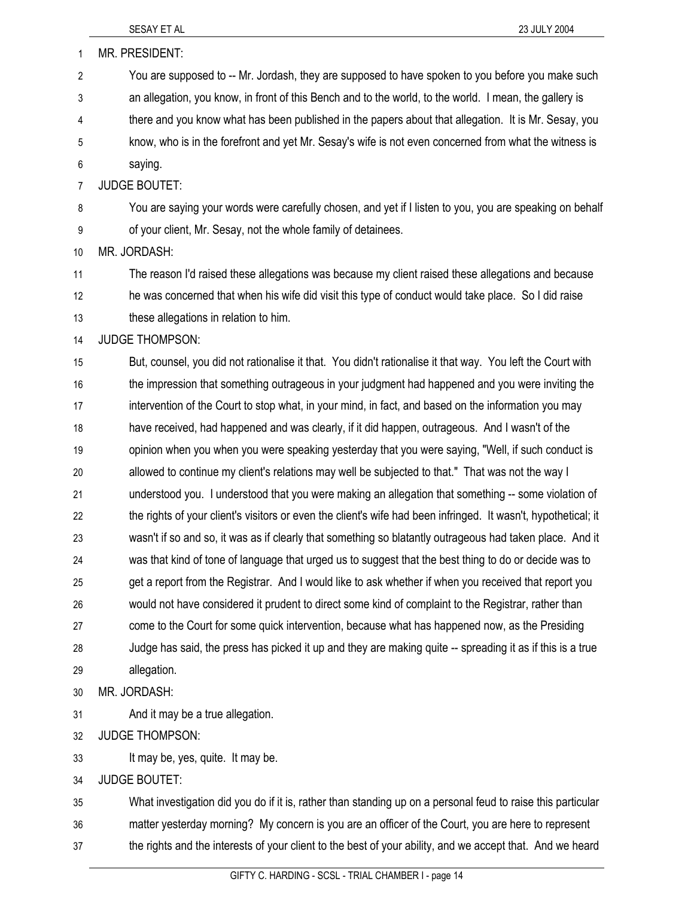| $\mathbf{1}$   | MR. PRESIDENT:                                                                                                 |
|----------------|----------------------------------------------------------------------------------------------------------------|
| 2              | You are supposed to -- Mr. Jordash, they are supposed to have spoken to you before you make such               |
| 3              | an allegation, you know, in front of this Bench and to the world, to the world. I mean, the gallery is         |
| 4              | there and you know what has been published in the papers about that allegation. It is Mr. Sesay, you           |
| 5              | know, who is in the forefront and yet Mr. Sesay's wife is not even concerned from what the witness is          |
| 6              | saying.                                                                                                        |
| $\overline{7}$ | <b>JUDGE BOUTET:</b>                                                                                           |
| 8              | You are saying your words were carefully chosen, and yet if I listen to you, you are speaking on behalf        |
| 9              | of your client, Mr. Sesay, not the whole family of detainees.                                                  |
| 10             | MR. JORDASH:                                                                                                   |
| 11             | The reason I'd raised these allegations was because my client raised these allegations and because             |
| 12             | he was concerned that when his wife did visit this type of conduct would take place. So I did raise            |
| 13             | these allegations in relation to him.                                                                          |
| 14             | <b>JUDGE THOMPSON:</b>                                                                                         |
| 15             | But, counsel, you did not rationalise it that. You didn't rationalise it that way. You left the Court with     |
| 16             | the impression that something outrageous in your judgment had happened and you were inviting the               |
| 17             | intervention of the Court to stop what, in your mind, in fact, and based on the information you may            |
| 18             | have received, had happened and was clearly, if it did happen, outrageous. And I wasn't of the                 |
| 19             | opinion when you when you were speaking yesterday that you were saying, "Well, if such conduct is              |
| 20             | allowed to continue my client's relations may well be subjected to that." That was not the way I               |
| 21             | understood you. I understood that you were making an allegation that something -- some violation of            |
| 22             | the rights of your client's visitors or even the client's wife had been infringed. It wasn't, hypothetical; it |
| 23             | wasn't if so and so, it was as if clearly that something so blatantly outrageous had taken place. And it       |
| 24             | was that kind of tone of language that urged us to suggest that the best thing to do or decide was to          |
| 25             | get a report from the Registrar. And I would like to ask whether if when you received that report you          |
| 26             | would not have considered it prudent to direct some kind of complaint to the Registrar, rather than            |
| 27             | come to the Court for some quick intervention, because what has happened now, as the Presiding                 |
| 28             | Judge has said, the press has picked it up and they are making quite -- spreading it as if this is a true      |
| 29             | allegation.                                                                                                    |
| 30             | MR. JORDASH:                                                                                                   |
| 31             | And it may be a true allegation.                                                                               |
| 32             | <b>JUDGE THOMPSON:</b>                                                                                         |
| 33             | It may be, yes, quite. It may be.                                                                              |
| 34             | <b>JUDGE BOUTET:</b>                                                                                           |
| 35             | What investigation did you do if it is, rather than standing up on a personal feud to raise this particular    |
| 36             | matter yesterday morning? My concern is you are an officer of the Court, you are here to represent             |
| 37             | the rights and the interests of your client to the best of your ability, and we accept that. And we heard      |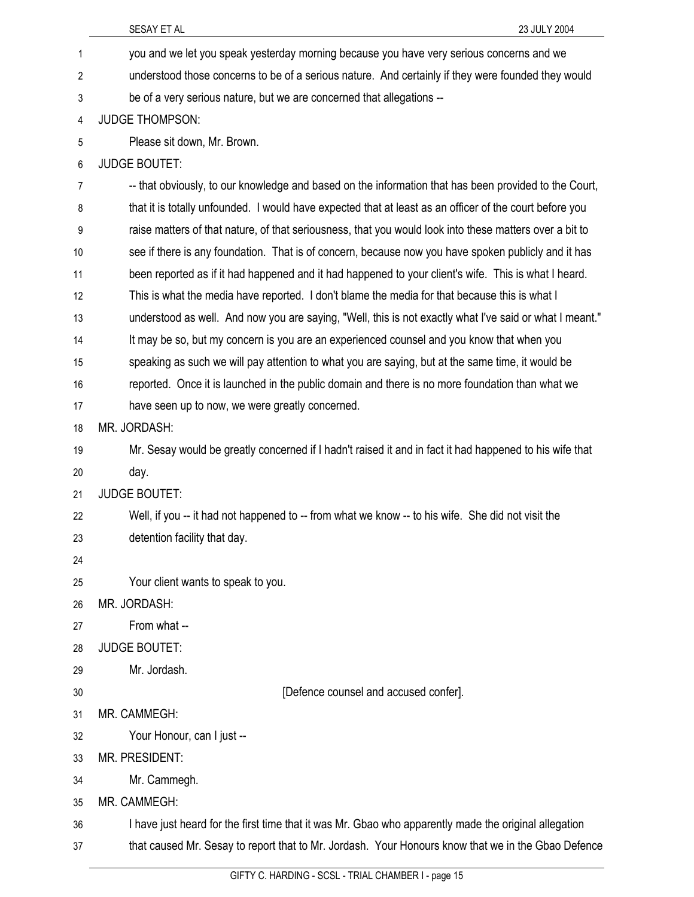|                | SESAY ET AL<br>23 JULY 2004                                                                             |
|----------------|---------------------------------------------------------------------------------------------------------|
| 1              | you and we let you speak yesterday morning because you have very serious concerns and we                |
| 2              | understood those concerns to be of a serious nature. And certainly if they were founded they would      |
| 3              | be of a very serious nature, but we are concerned that allegations --                                   |
| 4              | <b>JUDGE THOMPSON:</b>                                                                                  |
| 5              | Please sit down, Mr. Brown.                                                                             |
| 6              | <b>JUDGE BOUTET:</b>                                                                                    |
| $\overline{7}$ | -- that obviously, to our knowledge and based on the information that has been provided to the Court,   |
| 8              | that it is totally unfounded. I would have expected that at least as an officer of the court before you |
| 9              | raise matters of that nature, of that seriousness, that you would look into these matters over a bit to |
| 10             | see if there is any foundation. That is of concern, because now you have spoken publicly and it has     |
| 11             | been reported as if it had happened and it had happened to your client's wife. This is what I heard.    |
| 12             | This is what the media have reported. I don't blame the media for that because this is what I           |
| 13             | understood as well. And now you are saying, "Well, this is not exactly what I've said or what I meant." |
| 14             | It may be so, but my concern is you are an experienced counsel and you know that when you               |
| 15             | speaking as such we will pay attention to what you are saying, but at the same time, it would be        |
| 16             | reported. Once it is launched in the public domain and there is no more foundation than what we         |
| 17             | have seen up to now, we were greatly concerned.                                                         |
| 18             | MR. JORDASH:                                                                                            |
| 19             | Mr. Sesay would be greatly concerned if I hadn't raised it and in fact it had happened to his wife that |
| 20             | day.                                                                                                    |
| 21             | <b>JUDGE BOUTET:</b>                                                                                    |
| 22             | Well, if you -- it had not happened to -- from what we know -- to his wife. She did not visit the       |
| 23             | detention facility that day.                                                                            |
| 24             |                                                                                                         |
| 25             | Your client wants to speak to you.                                                                      |
| 26             | MR. JORDASH:                                                                                            |
| 27             | From what --                                                                                            |
| 28             | <b>JUDGE BOUTET:</b>                                                                                    |
| 29             | Mr. Jordash.                                                                                            |
| 30             | [Defence counsel and accused confer].                                                                   |
| 31             | MR. CAMMEGH:                                                                                            |
| 32             | Your Honour, can I just --                                                                              |
| 33             | MR. PRESIDENT:                                                                                          |
| 34             | Mr. Cammegh.                                                                                            |
| 35             | MR. CAMMEGH:                                                                                            |
| 36             | I have just heard for the first time that it was Mr. Gbao who apparently made the original allegation   |
| 37             | that caused Mr. Sesay to report that to Mr. Jordash. Your Honours know that we in the Gbao Defence      |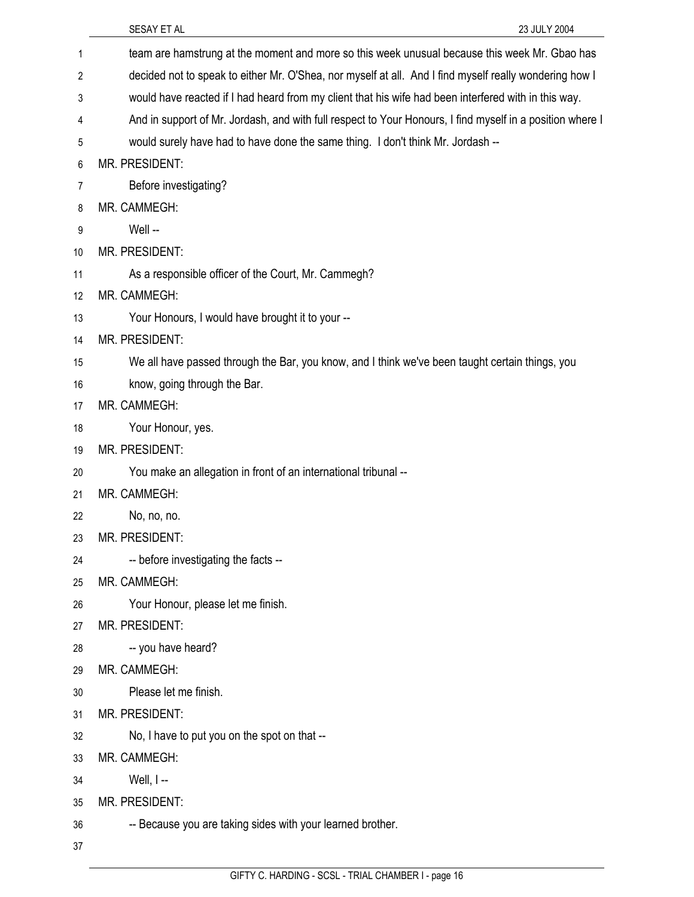|    | SESAY ET AL<br>23 JULY 2004                                                                               |
|----|-----------------------------------------------------------------------------------------------------------|
| 1  | team are hamstrung at the moment and more so this week unusual because this week Mr. Gbao has             |
| 2  | decided not to speak to either Mr. O'Shea, nor myself at all. And I find myself really wondering how I    |
| 3  | would have reacted if I had heard from my client that his wife had been interfered with in this way.      |
| 4  | And in support of Mr. Jordash, and with full respect to Your Honours, I find myself in a position where I |
| 5  | would surely have had to have done the same thing. I don't think Mr. Jordash --                           |
| 6  | MR. PRESIDENT:                                                                                            |
| 7  | Before investigating?                                                                                     |
| 8  | MR. CAMMEGH:                                                                                              |
| 9  | Well --                                                                                                   |
| 10 | MR. PRESIDENT:                                                                                            |
| 11 | As a responsible officer of the Court, Mr. Cammegh?                                                       |
| 12 | MR. CAMMEGH:                                                                                              |
| 13 | Your Honours, I would have brought it to your --                                                          |
| 14 | MR. PRESIDENT:                                                                                            |
| 15 | We all have passed through the Bar, you know, and I think we've been taught certain things, you           |
| 16 | know, going through the Bar.                                                                              |
| 17 | MR. CAMMEGH:                                                                                              |
| 18 | Your Honour, yes.                                                                                         |
| 19 | MR. PRESIDENT:                                                                                            |
| 20 | You make an allegation in front of an international tribunal --                                           |
| 21 | MR. CAMMEGH:                                                                                              |
| 22 | No, no, no.                                                                                               |
| 23 | <b>MR. PRESIDENT:</b>                                                                                     |
| 24 | -- before investigating the facts --                                                                      |
| 25 | MR. CAMMEGH:                                                                                              |
| 26 | Your Honour, please let me finish.                                                                        |
| 27 | MR. PRESIDENT:                                                                                            |
| 28 | -- you have heard?                                                                                        |
| 29 | MR. CAMMEGH:                                                                                              |
| 30 | Please let me finish.                                                                                     |
| 31 | MR. PRESIDENT:                                                                                            |
| 32 | No, I have to put you on the spot on that --                                                              |
| 33 | MR. CAMMEGH:                                                                                              |
| 34 | Well, $I -$                                                                                               |
| 35 | MR. PRESIDENT:                                                                                            |
| 36 | -- Because you are taking sides with your learned brother.                                                |
| 37 |                                                                                                           |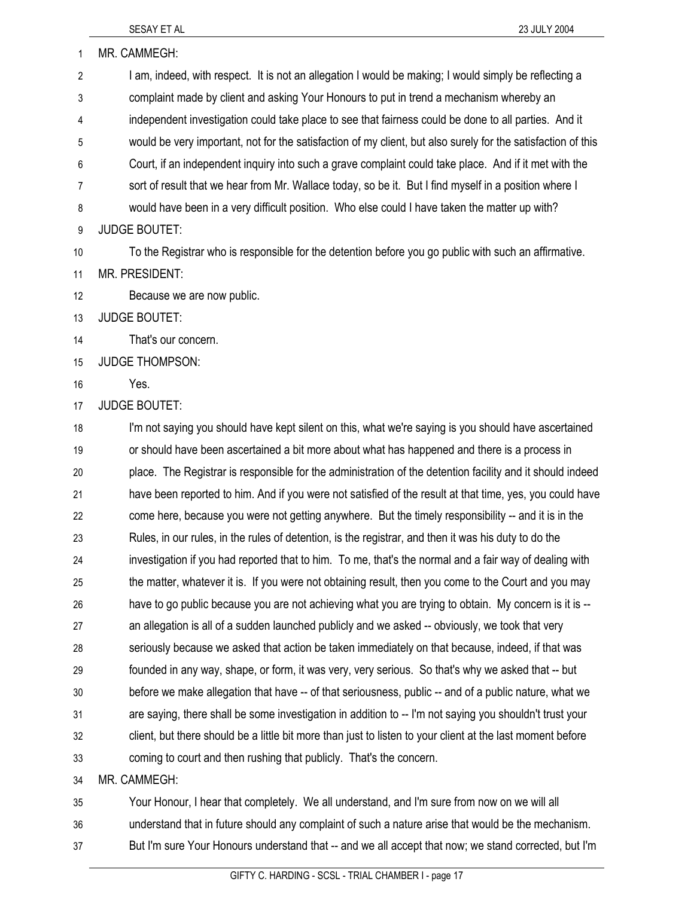| 1              | MR. CAMMEGH:                                                                                                 |
|----------------|--------------------------------------------------------------------------------------------------------------|
| $\overline{2}$ | I am, indeed, with respect. It is not an allegation I would be making; I would simply be reflecting a        |
| 3              | complaint made by client and asking Your Honours to put in trend a mechanism whereby an                      |
| 4              | independent investigation could take place to see that fairness could be done to all parties. And it         |
| 5              | would be very important, not for the satisfaction of my client, but also surely for the satisfaction of this |
| 6              | Court, if an independent inquiry into such a grave complaint could take place. And if it met with the        |
| $\overline{7}$ | sort of result that we hear from Mr. Wallace today, so be it. But I find myself in a position where I        |
| 8              | would have been in a very difficult position. Who else could I have taken the matter up with?                |
| 9              | <b>JUDGE BOUTET:</b>                                                                                         |
| 10             | To the Registrar who is responsible for the detention before you go public with such an affirmative.         |
| 11             | <b>MR. PRESIDENT:</b>                                                                                        |
| 12             | Because we are now public.                                                                                   |
| 13             | <b>JUDGE BOUTET:</b>                                                                                         |
| 14             | That's our concern.                                                                                          |
| 15             | <b>JUDGE THOMPSON:</b>                                                                                       |
| 16             | Yes.                                                                                                         |
| 17             | <b>JUDGE BOUTET:</b>                                                                                         |
| 18             | I'm not saying you should have kept silent on this, what we're saying is you should have ascertained         |
| 19             | or should have been ascertained a bit more about what has happened and there is a process in                 |
| 20             | place. The Registrar is responsible for the administration of the detention facility and it should indeed    |
| 21             | have been reported to him. And if you were not satisfied of the result at that time, yes, you could have     |
| 22             | come here, because you were not getting anywhere. But the timely responsibility -- and it is in the          |
| 23             | Rules, in our rules, in the rules of detention, is the registrar, and then it was his duty to do the         |
| 24             | investigation if you had reported that to him. To me, that's the normal and a fair way of dealing with       |
| 25             | the matter, whatever it is. If you were not obtaining result, then you come to the Court and you may         |
| 26             | have to go public because you are not achieving what you are trying to obtain. My concern is it is --        |
| 27             | an allegation is all of a sudden launched publicly and we asked -- obviously, we took that very              |
| 28             | seriously because we asked that action be taken immediately on that because, indeed, if that was             |
| 29             | founded in any way, shape, or form, it was very, very serious. So that's why we asked that -- but            |
| 30             | before we make allegation that have -- of that seriousness, public -- and of a public nature, what we        |
| 31             | are saying, there shall be some investigation in addition to -- I'm not saying you shouldn't trust your      |
| 32             | client, but there should be a little bit more than just to listen to your client at the last moment before   |
| 33             | coming to court and then rushing that publicly. That's the concern.                                          |
| 34             | MR. CAMMEGH:                                                                                                 |
| 35             | Your Honour, I hear that completely. We all understand, and I'm sure from now on we will all                 |

36 understand that in future should any complaint of such a nature arise that would be the mechanism.

37 But I'm sure Your Honours understand that -- and we all accept that now; we stand corrected, but I'm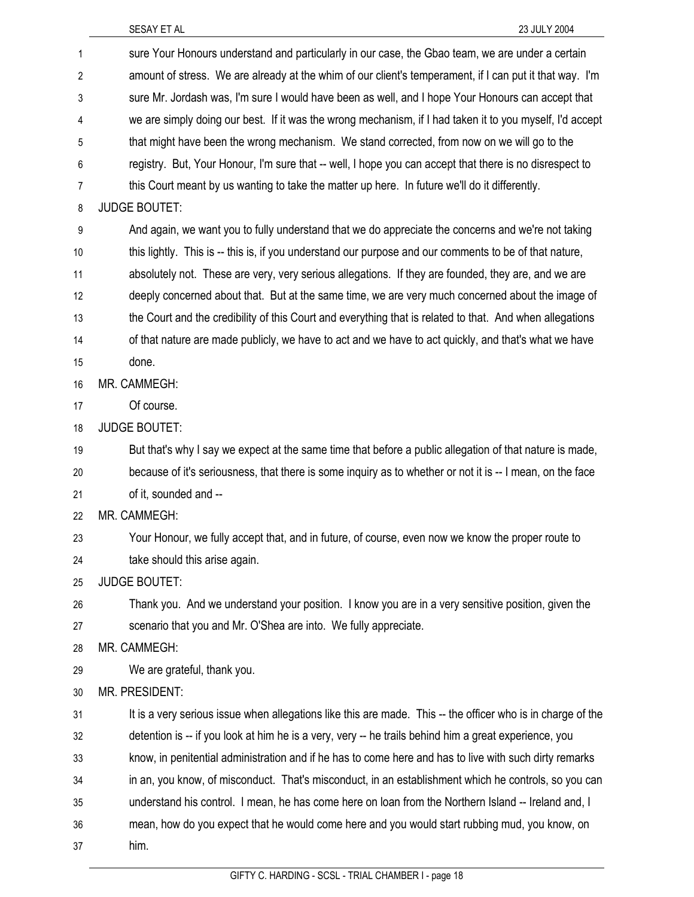| 1              | sure Your Honours understand and particularly in our case, the Gbao team, we are under a certain            |
|----------------|-------------------------------------------------------------------------------------------------------------|
| $\overline{c}$ | amount of stress. We are already at the whim of our client's temperament, if I can put it that way. I'm     |
| 3              | sure Mr. Jordash was, I'm sure I would have been as well, and I hope Your Honours can accept that           |
| 4              | we are simply doing our best. If it was the wrong mechanism, if I had taken it to you myself, I'd accept    |
| 5              | that might have been the wrong mechanism. We stand corrected, from now on we will go to the                 |
| 6              | registry. But, Your Honour, I'm sure that -- well, I hope you can accept that there is no disrespect to     |
| 7              | this Court meant by us wanting to take the matter up here. In future we'll do it differently.               |
| 8              | <b>JUDGE BOUTET:</b>                                                                                        |
| 9              | And again, we want you to fully understand that we do appreciate the concerns and we're not taking          |
| 10             | this lightly. This is -- this is, if you understand our purpose and our comments to be of that nature,      |
| 11             | absolutely not. These are very, very serious allegations. If they are founded, they are, and we are         |
| 12             | deeply concerned about that. But at the same time, we are very much concerned about the image of            |
| 13             | the Court and the credibility of this Court and everything that is related to that. And when allegations    |
| 14             | of that nature are made publicly, we have to act and we have to act quickly, and that's what we have        |
| 15             | done.                                                                                                       |
| 16             | MR. CAMMEGH:                                                                                                |
| 17             | Of course.                                                                                                  |
| 18             | <b>JUDGE BOUTET:</b>                                                                                        |
| 19             | But that's why I say we expect at the same time that before a public allegation of that nature is made,     |
| 20             | because of it's seriousness, that there is some inquiry as to whether or not it is -- I mean, on the face   |
| 21             | of it, sounded and --                                                                                       |
| 22             | MR. CAMMEGH:                                                                                                |
| 23             | Your Honour, we fully accept that, and in future, of course, even now we know the proper route to           |
| 24             | take should this arise again.                                                                               |
| 25             | <b>JUDGE BOUTET:</b>                                                                                        |
| 26             | Thank you. And we understand your position. I know you are in a very sensitive position, given the          |
| 27             | scenario that you and Mr. O'Shea are into. We fully appreciate.                                             |
| 28             | MR. CAMMEGH:                                                                                                |
| 29             | We are grateful, thank you.                                                                                 |
| 30             | <b>MR. PRESIDENT:</b>                                                                                       |
| 31             | It is a very serious issue when allegations like this are made. This -- the officer who is in charge of the |
| 32             | detention is -- if you look at him he is a very, very -- he trails behind him a great experience, you       |
| 33             | know, in penitential administration and if he has to come here and has to live with such dirty remarks      |
| 34             | in an, you know, of misconduct. That's misconduct, in an establishment which he controls, so you can        |
| 35             | understand his control. I mean, he has come here on loan from the Northern Island -- Ireland and, I         |
| 36             | mean, how do you expect that he would come here and you would start rubbing mud, you know, on               |
| 37             | him.                                                                                                        |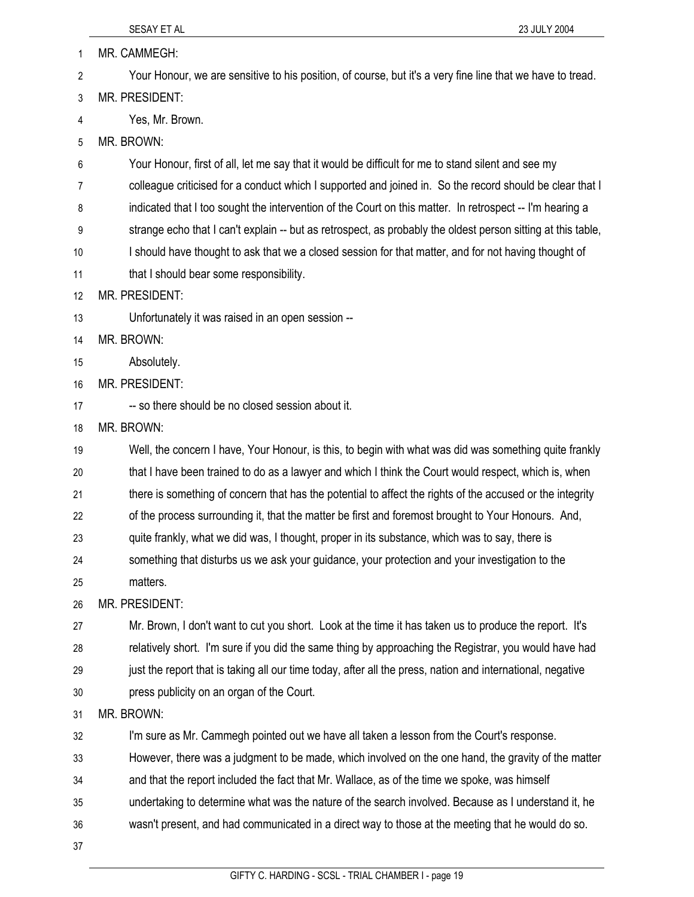SESAY ET AL 23 JULY 2004 1 MR. CAMMEGH: 2 Your Honour, we are sensitive to his position, of course, but it's a very fine line that we have to tread. 3 MR. PRESIDENT: 4 Yes, Mr. Brown. 5 MR. BROWN: 6 Your Honour, first of all, let me say that it would be difficult for me to stand silent and see my 7 colleague criticised for a conduct which I supported and joined in. So the record should be clear that I 8 indicated that I too sought the intervention of the Court on this matter. In retrospect -- I'm hearing a 9 strange echo that I can't explain -- but as retrospect, as probably the oldest person sitting at this table, 10 I should have thought to ask that we a closed session for that matter, and for not having thought of 11 **that I should bear some responsibility.** 12 MR. PRESIDENT: 13 Unfortunately it was raised in an open session -- 14 MR. BROWN: 15 Absolutely. 16 MR. PRESIDENT: 17 -- so there should be no closed session about it. 18 MR. BROWN: 19 Well, the concern I have, Your Honour, is this, to begin with what was did was something quite frankly 20 that I have been trained to do as a lawyer and which I think the Court would respect, which is, when 21 there is something of concern that has the potential to affect the rights of the accused or the integrity 22 of the process surrounding it, that the matter be first and foremost brought to Your Honours. And, 23 quite frankly, what we did was, I thought, proper in its substance, which was to say, there is 24 something that disturbs us we ask your guidance, your protection and your investigation to the 25 matters. 26 MR. PRESIDENT: 27 Mr. Brown, I don't want to cut you short. Look at the time it has taken us to produce the report. It's 28 relatively short. I'm sure if you did the same thing by approaching the Registrar, you would have had 29 just the report that is taking all our time today, after all the press, nation and international, negative 30 press publicity on an organ of the Court. 31 MR. BROWN: 32 I'm sure as Mr. Cammegh pointed out we have all taken a lesson from the Court's response. 33 However, there was a judgment to be made, which involved on the one hand, the gravity of the matter 34 and that the report included the fact that Mr. Wallace, as of the time we spoke, was himself 35 undertaking to determine what was the nature of the search involved. Because as I understand it, he 36 wasn't present, and had communicated in a direct way to those at the meeting that he would do so.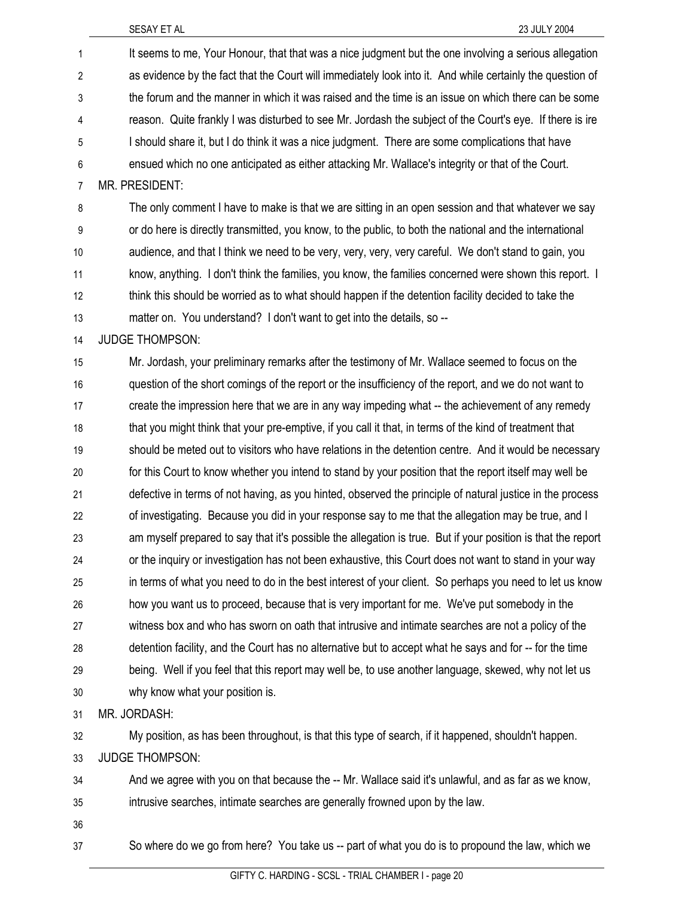| 1              | It seems to me, Your Honour, that that was a nice judgment but the one involving a serious allegation        |
|----------------|--------------------------------------------------------------------------------------------------------------|
| 2              | as evidence by the fact that the Court will immediately look into it. And while certainly the question of    |
| 3              | the forum and the manner in which it was raised and the time is an issue on which there can be some          |
| 4              | reason. Quite frankly I was disturbed to see Mr. Jordash the subject of the Court's eye. If there is ire     |
| 5              | I should share it, but I do think it was a nice judgment. There are some complications that have             |
| $\,6$          | ensued which no one anticipated as either attacking Mr. Wallace's integrity or that of the Court.            |
| $\overline{7}$ | MR. PRESIDENT:                                                                                               |
| 8              | The only comment I have to make is that we are sitting in an open session and that whatever we say           |
| 9              | or do here is directly transmitted, you know, to the public, to both the national and the international      |
| 10             | audience, and that I think we need to be very, very, very, very careful. We don't stand to gain, you         |
| 11             | know, anything. I don't think the families, you know, the families concerned were shown this report. I       |
| 12             | think this should be worried as to what should happen if the detention facility decided to take the          |
| 13             | matter on. You understand? I don't want to get into the details, so --                                       |
| 14             | <b>JUDGE THOMPSON:</b>                                                                                       |
| 15             | Mr. Jordash, your preliminary remarks after the testimony of Mr. Wallace seemed to focus on the              |
| 16             | question of the short comings of the report or the insufficiency of the report, and we do not want to        |
| 17             | create the impression here that we are in any way impeding what -- the achievement of any remedy             |
| 18             | that you might think that your pre-emptive, if you call it that, in terms of the kind of treatment that      |
| 19             | should be meted out to visitors who have relations in the detention centre. And it would be necessary        |
| 20             | for this Court to know whether you intend to stand by your position that the report itself may well be       |
| 21             | defective in terms of not having, as you hinted, observed the principle of natural justice in the process    |
| 22             | of investigating. Because you did in your response say to me that the allegation may be true, and I          |
| 23             | am myself prepared to say that it's possible the allegation is true. But if your position is that the report |
| 24             | or the inquiry or investigation has not been exhaustive, this Court does not want to stand in your way       |
| 25             | in terms of what you need to do in the best interest of your client. So perhaps you need to let us know      |
| 26             | how you want us to proceed, because that is very important for me. We've put somebody in the                 |
| 27             | witness box and who has sworn on oath that intrusive and intimate searches are not a policy of the           |
| 28             | detention facility, and the Court has no alternative but to accept what he says and for -- for the time      |
| 29             | being. Well if you feel that this report may well be, to use another language, skewed, why not let us        |
| 30             | why know what your position is.                                                                              |
| 31             | MR. JORDASH:                                                                                                 |
| 32             | My position, as has been throughout, is that this type of search, if it happened, shouldn't happen.          |
| 33             | <b>JUDGE THOMPSON:</b>                                                                                       |
| 34             | And we agree with you on that because the -- Mr. Wallace said it's unlawful, and as far as we know,          |
| 35             | intrusive searches, intimate searches are generally frowned upon by the law.                                 |
| 36             |                                                                                                              |
| 37             | So where do we go from here? You take us -- part of what you do is to propound the law, which we             |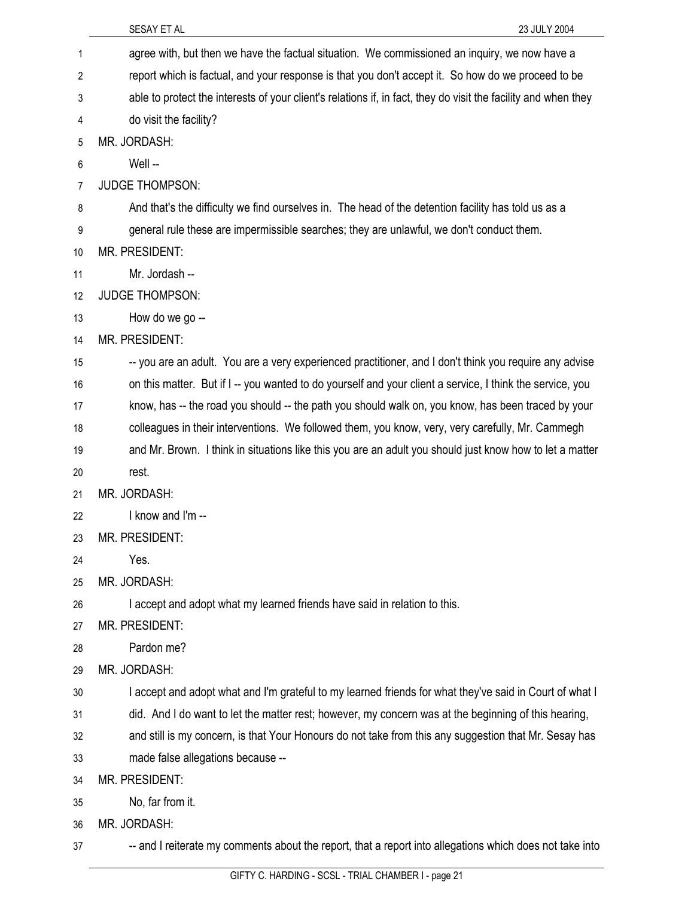|                | SESAY ET AL<br>23 JULY 2004                                                                                    |
|----------------|----------------------------------------------------------------------------------------------------------------|
| 1              | agree with, but then we have the factual situation. We commissioned an inquiry, we now have a                  |
| 2              | report which is factual, and your response is that you don't accept it. So how do we proceed to be             |
| 3              | able to protect the interests of your client's relations if, in fact, they do visit the facility and when they |
| 4              | do visit the facility?                                                                                         |
| 5              | MR. JORDASH:                                                                                                   |
| 6              | Well-                                                                                                          |
| $\overline{7}$ | <b>JUDGE THOMPSON:</b>                                                                                         |
| 8              | And that's the difficulty we find ourselves in. The head of the detention facility has told us as a            |
| 9              | general rule these are impermissible searches; they are unlawful, we don't conduct them.                       |
| 10             | MR. PRESIDENT:                                                                                                 |
| 11             | Mr. Jordash --                                                                                                 |
| 12             | <b>JUDGE THOMPSON:</b>                                                                                         |
| 13             | How do we go --                                                                                                |
| 14             | <b>MR. PRESIDENT:</b>                                                                                          |
| 15             | -- you are an adult. You are a very experienced practitioner, and I don't think you require any advise         |
| 16             | on this matter. But if I -- you wanted to do yourself and your client a service, I think the service, you      |
| 17             | know, has -- the road you should -- the path you should walk on, you know, has been traced by your             |
| 18             | colleagues in their interventions. We followed them, you know, very, very carefully, Mr. Cammegh               |
| 19             | and Mr. Brown. I think in situations like this you are an adult you should just know how to let a matter       |
| 20             | rest.                                                                                                          |
| 21             | MR. JORDASH:                                                                                                   |
| 22             | I know and I'm --                                                                                              |
| 23             | <b>MR. PRESIDENT:</b>                                                                                          |
| 24             | Yes.                                                                                                           |
| 25             | MR. JORDASH:                                                                                                   |
| 26             | I accept and adopt what my learned friends have said in relation to this.                                      |
| 27             | MR. PRESIDENT:                                                                                                 |
| 28             | Pardon me?                                                                                                     |
| 29             | MR. JORDASH:                                                                                                   |
| 30             | I accept and adopt what and I'm grateful to my learned friends for what they've said in Court of what I        |
| 31             | did. And I do want to let the matter rest; however, my concern was at the beginning of this hearing,           |
| 32             | and still is my concern, is that Your Honours do not take from this any suggestion that Mr. Sesay has          |
| 33             | made false allegations because --                                                                              |
| 34             | MR. PRESIDENT:                                                                                                 |
| 35             | No, far from it.                                                                                               |
| 36             | MR. JORDASH:                                                                                                   |
| 37             | -- and I reiterate my comments about the report, that a report into allegations which does not take into       |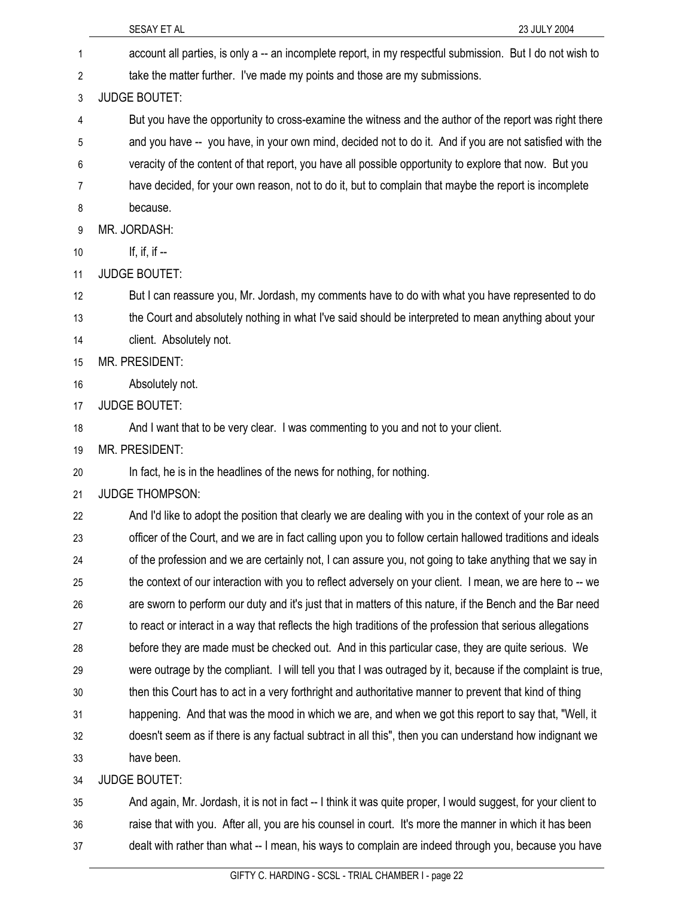|    | SESAY ET AL<br>23 JULY 2004                                                                                   |
|----|---------------------------------------------------------------------------------------------------------------|
| 1  | account all parties, is only a -- an incomplete report, in my respectful submission. But I do not wish to     |
| 2  | take the matter further. I've made my points and those are my submissions.                                    |
| 3  | <b>JUDGE BOUTET:</b>                                                                                          |
| 4  | But you have the opportunity to cross-examine the witness and the author of the report was right there        |
| 5  | and you have -- you have, in your own mind, decided not to do it. And if you are not satisfied with the       |
| 6  | veracity of the content of that report, you have all possible opportunity to explore that now. But you        |
| 7  | have decided, for your own reason, not to do it, but to complain that maybe the report is incomplete          |
| 8  | because.                                                                                                      |
| 9  | MR. JORDASH:                                                                                                  |
| 10 | If, if, if $-$                                                                                                |
| 11 | <b>JUDGE BOUTET:</b>                                                                                          |
| 12 | But I can reassure you, Mr. Jordash, my comments have to do with what you have represented to do              |
| 13 | the Court and absolutely nothing in what I've said should be interpreted to mean anything about your          |
| 14 | client. Absolutely not.                                                                                       |
| 15 | MR. PRESIDENT:                                                                                                |
| 16 | Absolutely not.                                                                                               |
| 17 | <b>JUDGE BOUTET:</b>                                                                                          |
| 18 | And I want that to be very clear. I was commenting to you and not to your client.                             |
| 19 | <b>MR. PRESIDENT:</b>                                                                                         |
| 20 | In fact, he is in the headlines of the news for nothing, for nothing.                                         |
| 21 | <b>JUDGE THOMPSON:</b>                                                                                        |
| 22 | And I'd like to adopt the position that clearly we are dealing with you in the context of your role as an     |
| 23 | officer of the Court, and we are in fact calling upon you to follow certain hallowed traditions and ideals    |
| 24 | of the profession and we are certainly not, I can assure you, not going to take anything that we say in       |
| 25 | the context of our interaction with you to reflect adversely on your client. I mean, we are here to -- we     |
| 26 | are sworn to perform our duty and it's just that in matters of this nature, if the Bench and the Bar need     |
| 27 | to react or interact in a way that reflects the high traditions of the profession that serious allegations    |
| 28 | before they are made must be checked out. And in this particular case, they are quite serious. We             |
| 29 | were outrage by the compliant. I will tell you that I was outraged by it, because if the complaint is true,   |
| 30 | then this Court has to act in a very forthright and authoritative manner to prevent that kind of thing        |
| 31 | happening. And that was the mood in which we are, and when we got this report to say that, "Well, it          |
| 32 | doesn't seem as if there is any factual subtract in all this", then you can understand how indignant we       |
| 33 | have been.                                                                                                    |
| 34 | <b>JUDGE BOUTET:</b>                                                                                          |
| 35 | And again, Mr. Jordash, it is not in fact -- I think it was quite proper, I would suggest, for your client to |
| 36 | raise that with you. After all, you are his counsel in court. It's more the manner in which it has been       |

37 dealt with rather than what -- I mean, his ways to complain are indeed through you, because you have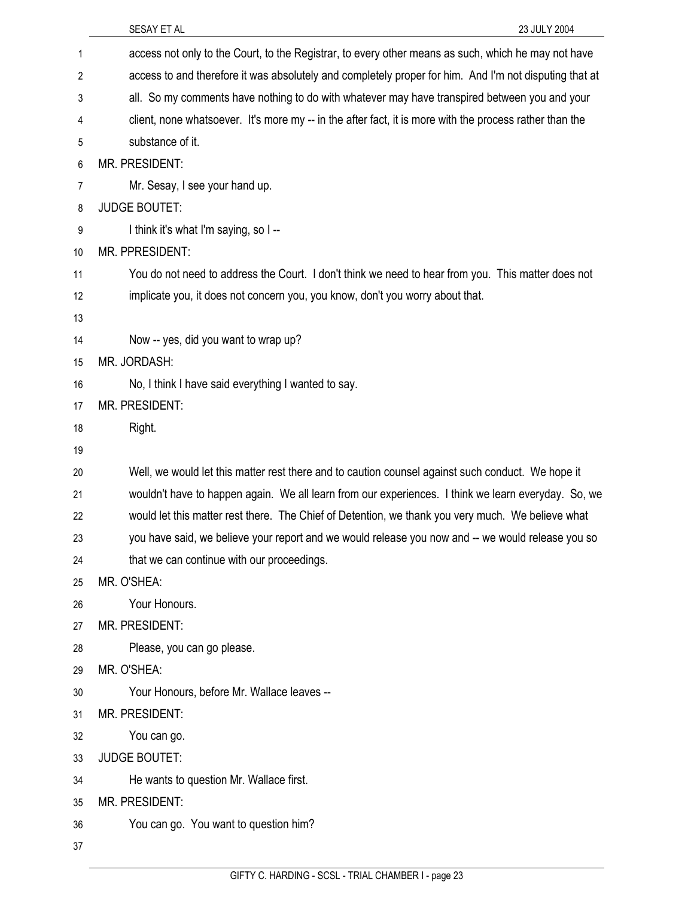|    | SESAY ET AL<br>23 JULY 2004                                                                             |
|----|---------------------------------------------------------------------------------------------------------|
| 1  | access not only to the Court, to the Registrar, to every other means as such, which he may not have     |
| 2  | access to and therefore it was absolutely and completely proper for him. And I'm not disputing that at  |
| 3  | all. So my comments have nothing to do with whatever may have transpired between you and your           |
| 4  | client, none whatsoever. It's more my -- in the after fact, it is more with the process rather than the |
| 5  | substance of it.                                                                                        |
| 6  | MR. PRESIDENT:                                                                                          |
| 7  | Mr. Sesay, I see your hand up.                                                                          |
| 8  | <b>JUDGE BOUTET:</b>                                                                                    |
| 9  | I think it's what I'm saying, so I --                                                                   |
| 10 | MR. PPRESIDENT:                                                                                         |
| 11 | You do not need to address the Court. I don't think we need to hear from you. This matter does not      |
| 12 | implicate you, it does not concern you, you know, don't you worry about that.                           |
| 13 |                                                                                                         |
| 14 | Now -- yes, did you want to wrap up?                                                                    |
| 15 | MR. JORDASH:                                                                                            |
| 16 | No, I think I have said everything I wanted to say.                                                     |
| 17 | MR. PRESIDENT:                                                                                          |
| 18 | Right.                                                                                                  |
| 19 |                                                                                                         |
| 20 | Well, we would let this matter rest there and to caution counsel against such conduct. We hope it       |
| 21 | wouldn't have to happen again. We all learn from our experiences. I think we learn everyday. So, we     |
| 22 | would let this matter rest there. The Chief of Detention, we thank you very much. We believe what       |
| 23 | you have said, we believe your report and we would release you now and -- we would release you so       |
| 24 | that we can continue with our proceedings.                                                              |
| 25 | MR. O'SHEA:                                                                                             |
| 26 | Your Honours.                                                                                           |
| 27 | MR. PRESIDENT:                                                                                          |
| 28 | Please, you can go please.                                                                              |
| 29 | MR. O'SHEA:                                                                                             |
| 30 | Your Honours, before Mr. Wallace leaves --                                                              |
| 31 | MR. PRESIDENT:                                                                                          |
| 32 | You can go.                                                                                             |
| 33 | <b>JUDGE BOUTET:</b>                                                                                    |
| 34 | He wants to question Mr. Wallace first.                                                                 |
| 35 | MR. PRESIDENT:                                                                                          |
| 36 | You can go. You want to question him?                                                                   |
| 37 |                                                                                                         |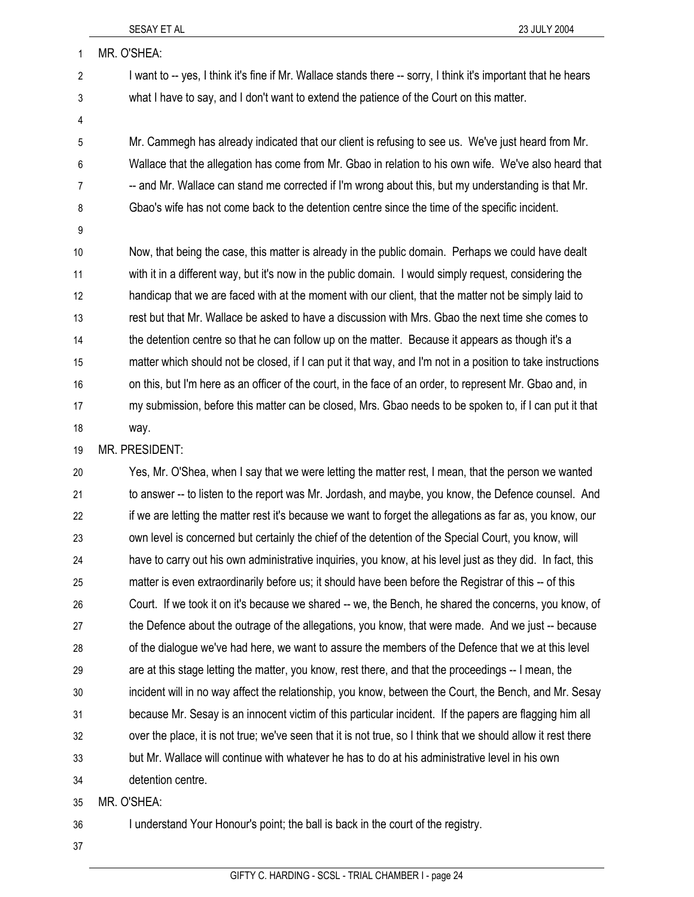| 1       | MR. O'SHEA:                                                                                                    |
|---------|----------------------------------------------------------------------------------------------------------------|
| 2       | I want to -- yes, I think it's fine if Mr. Wallace stands there -- sorry, I think it's important that he hears |
| 3       | what I have to say, and I don't want to extend the patience of the Court on this matter.                       |
| 4       |                                                                                                                |
| 5       | Mr. Cammegh has already indicated that our client is refusing to see us. We've just heard from Mr.             |
| $\,6\,$ | Wallace that the allegation has come from Mr. Gbao in relation to his own wife. We've also heard that          |
| 7       | -- and Mr. Wallace can stand me corrected if I'm wrong about this, but my understanding is that Mr.            |
| 8       | Gbao's wife has not come back to the detention centre since the time of the specific incident.                 |
| 9       |                                                                                                                |
| 10      | Now, that being the case, this matter is already in the public domain. Perhaps we could have dealt             |
| 11      | with it in a different way, but it's now in the public domain. I would simply request, considering the         |
| 12      | handicap that we are faced with at the moment with our client, that the matter not be simply laid to           |
| 13      | rest but that Mr. Wallace be asked to have a discussion with Mrs. Gbao the next time she comes to              |
| 14      | the detention centre so that he can follow up on the matter. Because it appears as though it's a               |
| 15      | matter which should not be closed, if I can put it that way, and I'm not in a position to take instructions    |
| 16      | on this, but I'm here as an officer of the court, in the face of an order, to represent Mr. Gbao and, in       |
| 17      | my submission, before this matter can be closed, Mrs. Gbao needs to be spoken to, if I can put it that         |
| 18      | way.                                                                                                           |
| 19      | MR. PRESIDENT:                                                                                                 |
| 20      | Yes, Mr. O'Shea, when I say that we were letting the matter rest, I mean, that the person we wanted            |
| 21      | to answer -- to listen to the report was Mr. Jordash, and maybe, you know, the Defence counsel. And            |
| 22      | if we are letting the matter rest it's because we want to forget the allegations as far as, you know, our      |
| 23      | own level is concerned but certainly the chief of the detention of the Special Court, you know, will           |
| 24      | have to carry out his own administrative inquiries, you know, at his level just as they did. In fact, this     |
| 25      | matter is even extraordinarily before us; it should have been before the Registrar of this -- of this          |
| 26      | Court. If we took it on it's because we shared -- we, the Bench, he shared the concerns, you know, of          |
| 27      | the Defence about the outrage of the allegations, you know, that were made. And we just -- because             |
| 28      | of the dialogue we've had here, we want to assure the members of the Defence that we at this level             |
| 29      | are at this stage letting the matter, you know, rest there, and that the proceedings -- I mean, the            |
| 30      | incident will in no way affect the relationship, you know, between the Court, the Bench, and Mr. Sesay         |
| 31      | because Mr. Sesay is an innocent victim of this particular incident. If the papers are flagging him all        |
| 32      | over the place, it is not true; we've seen that it is not true, so I think that we should allow it rest there  |
| 33      | but Mr. Wallace will continue with whatever he has to do at his administrative level in his own                |
| 34      | detention centre.                                                                                              |
| 35      | MR. O'SHEA:                                                                                                    |

36 I understand Your Honour's point; the ball is back in the court of the registry.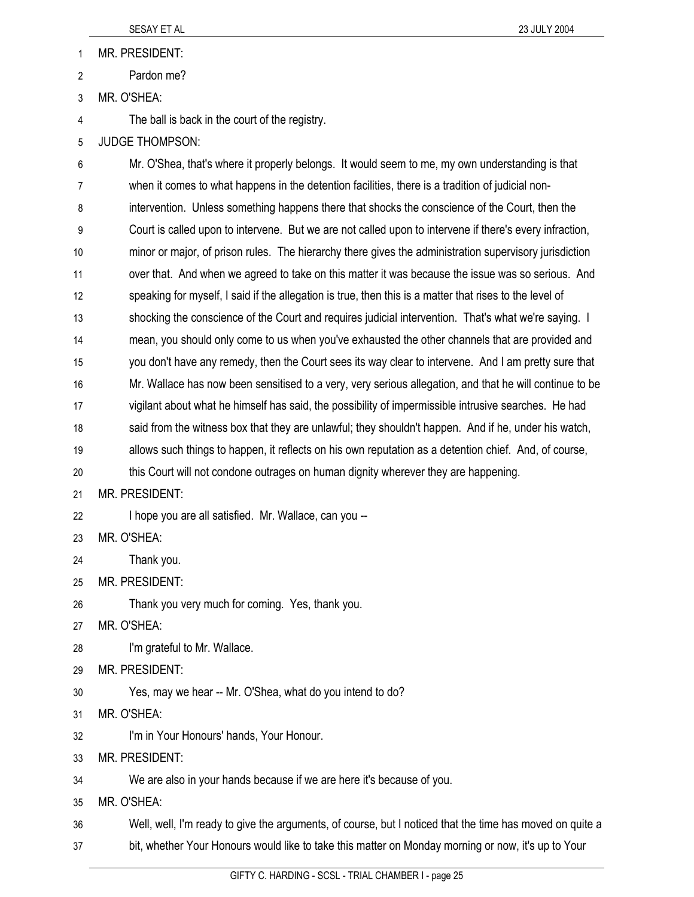1 MR. PRESIDENT:

2 Pardon me?

3 MR. O'SHEA:

4 The ball is back in the court of the registry.

5 JUDGE THOMPSON:

6 Mr. O'Shea, that's where it properly belongs. It would seem to me, my own understanding is that 7 when it comes to what happens in the detention facilities, there is a tradition of judicial non-8 intervention. Unless something happens there that shocks the conscience of the Court, then the 9 Court is called upon to intervene. But we are not called upon to intervene if there's every infraction, 10 minor or major, of prison rules. The hierarchy there gives the administration supervisory jurisdiction 11 over that. And when we agreed to take on this matter it was because the issue was so serious. And 12 speaking for myself, I said if the allegation is true, then this is a matter that rises to the level of 13 shocking the conscience of the Court and requires judicial intervention. That's what we're saying. I 14 mean, you should only come to us when you've exhausted the other channels that are provided and 15 you don't have any remedy, then the Court sees its way clear to intervene. And I am pretty sure that 16 Mr. Wallace has now been sensitised to a very, very serious allegation, and that he will continue to be 17 vigilant about what he himself has said, the possibility of impermissible intrusive searches. He had 18 said from the witness box that they are unlawful; they shouldn't happen. And if he, under his watch, 19 allows such things to happen, it reflects on his own reputation as a detention chief. And, of course, 20 this Court will not condone outrages on human dignity wherever they are happening. 21 MR. PRESIDENT: 22 I hope you are all satisfied. Mr. Wallace, can you -- 23 MR. O'SHEA: 24 Thank you. 25 MR. PRESIDENT: 26 Thank you very much for coming. Yes, thank you. 27 MR. O'SHEA: 28 I'm grateful to Mr. Wallace. 29 MR. PRESIDENT: 30 Yes, may we hear -- Mr. O'Shea, what do you intend to do? 31 MR. O'SHEA: 32 I'm in Your Honours' hands, Your Honour. 33 MR. PRESIDENT: 34 We are also in your hands because if we are here it's because of you. 35 MR. O'SHEA: 36 Well, well, I'm ready to give the arguments, of course, but I noticed that the time has moved on quite a 37 bit, whether Your Honours would like to take this matter on Monday morning or now, it's up to Your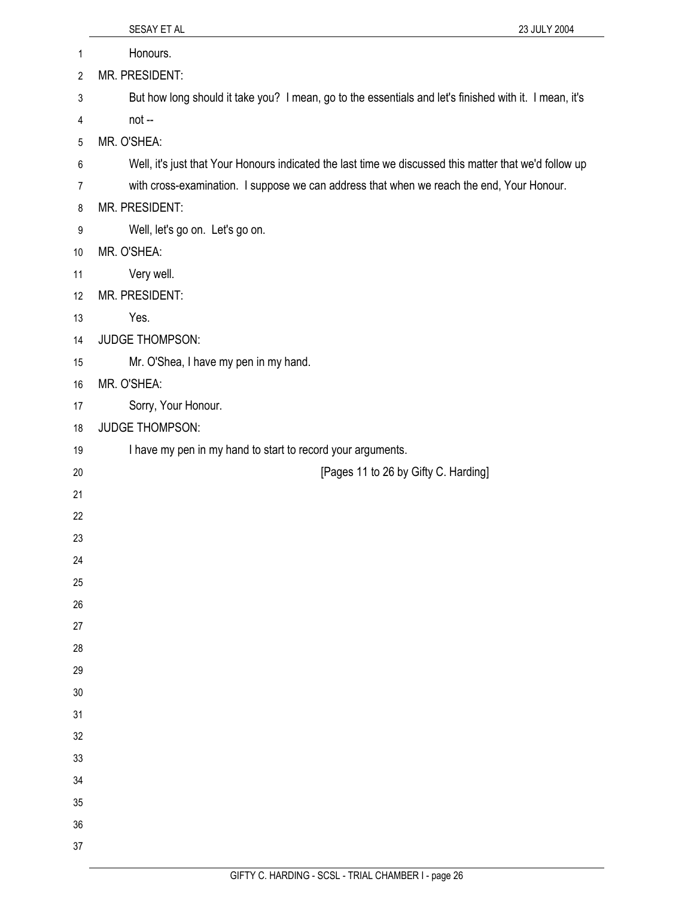|                | SESAY ET AL<br>23 JULY 2004                                                                            |
|----------------|--------------------------------------------------------------------------------------------------------|
| $\mathbf{1}$   | Honours.                                                                                               |
| $\overline{2}$ | MR. PRESIDENT:                                                                                         |
| 3              | But how long should it take you? I mean, go to the essentials and let's finished with it. I mean, it's |
| 4              | not --                                                                                                 |
| 5              | MR. O'SHEA:                                                                                            |
| 6              | Well, it's just that Your Honours indicated the last time we discussed this matter that we'd follow up |
| 7              | with cross-examination. I suppose we can address that when we reach the end, Your Honour.              |
| 8              | MR. PRESIDENT:                                                                                         |
| 9              | Well, let's go on. Let's go on.                                                                        |
| 10             | MR. O'SHEA:                                                                                            |
| 11             | Very well.                                                                                             |
| 12             | MR. PRESIDENT:                                                                                         |
| 13             | Yes.                                                                                                   |
| 14             | <b>JUDGE THOMPSON:</b>                                                                                 |
| 15             | Mr. O'Shea, I have my pen in my hand.                                                                  |
| 16             | MR. O'SHEA:                                                                                            |
| 17             | Sorry, Your Honour.                                                                                    |
| 18             | <b>JUDGE THOMPSON:</b>                                                                                 |
| 19             | I have my pen in my hand to start to record your arguments.                                            |
| 20             | [Pages 11 to 26 by Gifty C. Harding]                                                                   |
| 21             |                                                                                                        |
| 22             |                                                                                                        |
| 23             |                                                                                                        |
| 24             |                                                                                                        |
| 25             |                                                                                                        |
| 26             |                                                                                                        |
| 27             |                                                                                                        |
| 28             |                                                                                                        |
| 29<br>$30\,$   |                                                                                                        |
| 31             |                                                                                                        |
| 32             |                                                                                                        |
| 33             |                                                                                                        |
| 34             |                                                                                                        |
| 35             |                                                                                                        |
| 36             |                                                                                                        |
| 37             |                                                                                                        |
|                |                                                                                                        |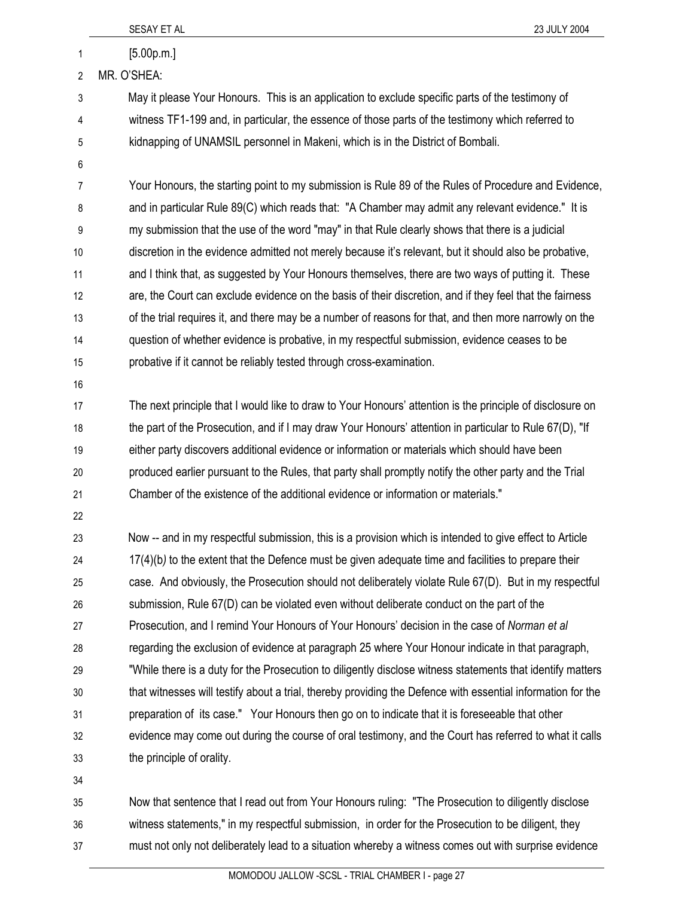|                | SESAY ET AL<br>23 JULY 2004                                                                                 |
|----------------|-------------------------------------------------------------------------------------------------------------|
| 1              | [5.00p.m.]                                                                                                  |
| $\overline{2}$ | MR. O'SHEA:                                                                                                 |
| 3              | May it please Your Honours. This is an application to exclude specific parts of the testimony of            |
| 4              | witness TF1-199 and, in particular, the essence of those parts of the testimony which referred to           |
| 5              | kidnapping of UNAMSIL personnel in Makeni, which is in the District of Bombali.                             |
| 6              |                                                                                                             |
| 7              | Your Honours, the starting point to my submission is Rule 89 of the Rules of Procedure and Evidence,        |
| 8              | and in particular Rule 89(C) which reads that: "A Chamber may admit any relevant evidence." It is           |
| 9              | my submission that the use of the word "may" in that Rule clearly shows that there is a judicial            |
| 10             | discretion in the evidence admitted not merely because it's relevant, but it should also be probative,      |
| 11             | and I think that, as suggested by Your Honours themselves, there are two ways of putting it. These          |
| 12             | are, the Court can exclude evidence on the basis of their discretion, and if they feel that the fairness    |
| 13             | of the trial requires it, and there may be a number of reasons for that, and then more narrowly on the      |
| 14             | question of whether evidence is probative, in my respectful submission, evidence ceases to be               |
| 15             | probative if it cannot be reliably tested through cross-examination.                                        |
| 16             |                                                                                                             |
| 17             | The next principle that I would like to draw to Your Honours' attention is the principle of disclosure on   |
| 18             | the part of the Prosecution, and if I may draw Your Honours' attention in particular to Rule 67(D), "If     |
| 19             | either party discovers additional evidence or information or materials which should have been               |
| 20             | produced earlier pursuant to the Rules, that party shall promptly notify the other party and the Trial      |
| 21             | Chamber of the existence of the additional evidence or information or materials."                           |
| 22             |                                                                                                             |
| 23             | Now -- and in my respectful submission, this is a provision which is intended to give effect to Article     |
| 24             | 17(4)(b) to the extent that the Defence must be given adequate time and facilities to prepare their         |
| 25             | case. And obviously, the Prosecution should not deliberately violate Rule 67(D). But in my respectful       |
| 26             | submission, Rule 67(D) can be violated even without deliberate conduct on the part of the                   |
| 27             | Prosecution, and I remind Your Honours of Your Honours' decision in the case of Norman et al                |
| 28             | regarding the exclusion of evidence at paragraph 25 where Your Honour indicate in that paragraph,           |
| 29             | "While there is a duty for the Prosecution to diligently disclose witness statements that identify matters  |
| 30             | that witnesses will testify about a trial, thereby providing the Defence with essential information for the |
| 31             | preparation of its case." Your Honours then go on to indicate that it is foreseeable that other             |
| 32             | evidence may come out during the course of oral testimony, and the Court has referred to what it calls      |
| 33             | the principle of orality.                                                                                   |
| 34             |                                                                                                             |
| 35             | Now that sentence that I read out from Your Honours ruling: "The Prosecution to diligently disclose         |
| 36             | witness statements," in my respectful submission, in order for the Prosecution to be diligent, they         |
| 37             | must not only not deliberately lead to a situation whereby a witness comes out with surprise evidence       |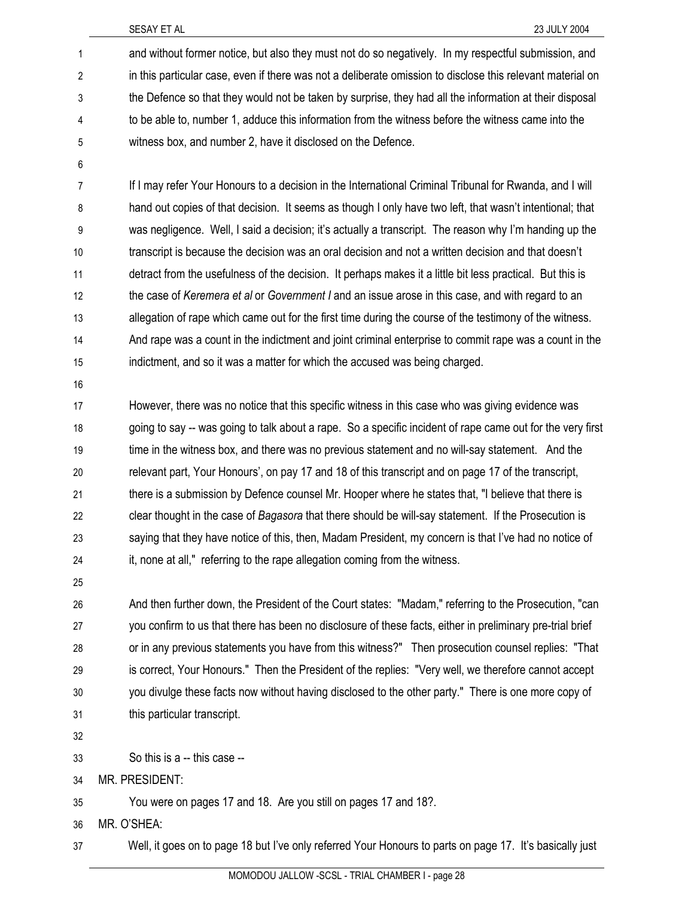1 and without former notice, but also they must not do so negatively. In my respectful submission, and 2 in this particular case, even if there was not a deliberate omission to disclose this relevant material on 3 the Defence so that they would not be taken by surprise, they had all the information at their disposal 4 to be able to, number 1, adduce this information from the witness before the witness came into the 5 witness box, and number 2, have it disclosed on the Defence.

- 7 If I may refer Your Honours to a decision in the International Criminal Tribunal for Rwanda, and I will 8 hand out copies of that decision. It seems as though I only have two left, that wasn't intentional; that 9 was negligence. Well, I said a decision; it's actually a transcript. The reason why I'm handing up the 10 transcript is because the decision was an oral decision and not a written decision and that doesn't 11 detract from the usefulness of the decision. It perhaps makes it a little bit less practical. But this is 12 the case of *Keremera et al* or *Government I* and an issue arose in this case, and with regard to an 13 allegation of rape which came out for the first time during the course of the testimony of the witness. 14 And rape was a count in the indictment and joint criminal enterprise to commit rape was a count in the 15 indictment, and so it was a matter for which the accused was being charged.
- 16

6

17 However, there was no notice that this specific witness in this case who was giving evidence was 18 going to say -- was going to talk about a rape. So a specific incident of rape came out for the very first 19 time in the witness box, and there was no previous statement and no will-say statement. And the 20 relevant part, Your Honours', on pay 17 and 18 of this transcript and on page 17 of the transcript, 21 there is a submission by Defence counsel Mr. Hooper where he states that, "I believe that there is 22 clear thought in the case of *Bagasora* that there should be will-say statement. If the Prosecution is 23 saying that they have notice of this, then, Madam President, my concern is that I've had no notice of 24 it, none at all," referring to the rape allegation coming from the witness.

25

26 And then further down, the President of the Court states: "Madam," referring to the Prosecution, "can 27 you confirm to us that there has been no disclosure of these facts, either in preliminary pre-trial brief 28 or in any previous statements you have from this witness?" Then prosecution counsel replies: "That 29 is correct, Your Honours." Then the President of the replies: "Very well, we therefore cannot accept 30 you divulge these facts now without having disclosed to the other party." There is one more copy of 31 this particular transcript.

32

33 So this is a -- this case --

34 MR. PRESIDENT:

35 You were on pages 17 and 18. Are you still on pages 17 and 18?.

36 MR. O'SHEA:

37 Well, it goes on to page 18 but I've only referred Your Honours to parts on page 17. It's basically just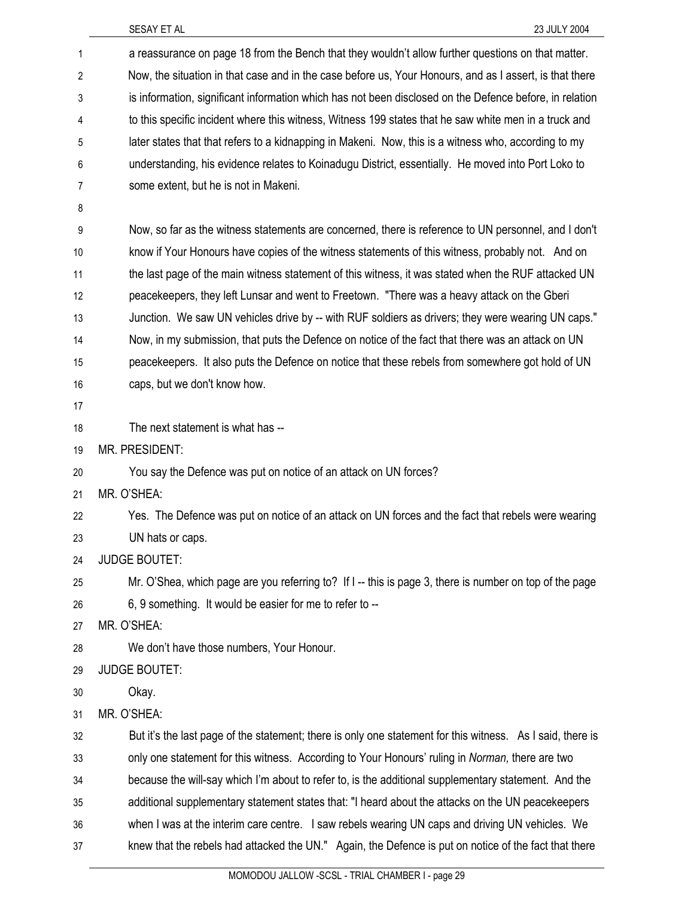| 1              | a reassurance on page 18 from the Bench that they wouldn't allow further questions on that matter.         |
|----------------|------------------------------------------------------------------------------------------------------------|
| $\overline{2}$ | Now, the situation in that case and in the case before us, Your Honours, and as I assert, is that there    |
| 3              | is information, significant information which has not been disclosed on the Defence before, in relation    |
| 4              | to this specific incident where this witness, Witness 199 states that he saw white men in a truck and      |
| 5              | later states that that refers to a kidnapping in Makeni. Now, this is a witness who, according to my       |
| 6              | understanding, his evidence relates to Koinadugu District, essentially. He moved into Port Loko to         |
| 7              | some extent, but he is not in Makeni.                                                                      |
| 8              |                                                                                                            |
| 9              | Now, so far as the witness statements are concerned, there is reference to UN personnel, and I don't       |
| 10             | know if Your Honours have copies of the witness statements of this witness, probably not. And on           |
| 11             | the last page of the main witness statement of this witness, it was stated when the RUF attacked UN        |
| 12             | peacekeepers, they left Lunsar and went to Freetown. "There was a heavy attack on the Gberi                |
| 13             | Junction. We saw UN vehicles drive by -- with RUF soldiers as drivers; they were wearing UN caps."         |
| 14             | Now, in my submission, that puts the Defence on notice of the fact that there was an attack on UN          |
| 15             | peacekeepers. It also puts the Defence on notice that these rebels from somewhere got hold of UN           |
| 16             | caps, but we don't know how.                                                                               |
| 17             |                                                                                                            |
| 18             | The next statement is what has --                                                                          |
| 19             | MR. PRESIDENT:                                                                                             |
| 20             | You say the Defence was put on notice of an attack on UN forces?                                           |
| 21             | MR. O'SHEA:                                                                                                |
| 22             | Yes. The Defence was put on notice of an attack on UN forces and the fact that rebels were wearing         |
| 23             | UN hats or caps.                                                                                           |
| 24             | <b>JUDGE BOUTET:</b>                                                                                       |
| 25             | Mr. O'Shea, which page are you referring to? If I -- this is page 3, there is number on top of the page    |
| 26             | 6, 9 something. It would be easier for me to refer to --                                                   |
| 27             | MR. O'SHEA:                                                                                                |
| 28             | We don't have those numbers, Your Honour.                                                                  |
| 29             | <b>JUDGE BOUTET:</b>                                                                                       |
| 30             | Okay.                                                                                                      |
| 31             | MR. O'SHEA:                                                                                                |
| 32             | But it's the last page of the statement; there is only one statement for this witness. As I said, there is |
| 33             | only one statement for this witness. According to Your Honours' ruling in Norman, there are two            |
| 34             | because the will-say which I'm about to refer to, is the additional supplementary statement. And the       |
| 35             | additional supplementary statement states that: "I heard about the attacks on the UN peacekeepers          |
| 36             | when I was at the interim care centre. I saw rebels wearing UN caps and driving UN vehicles. We            |
| 37             | knew that the rebels had attacked the UN." Again, the Defence is put on notice of the fact that there      |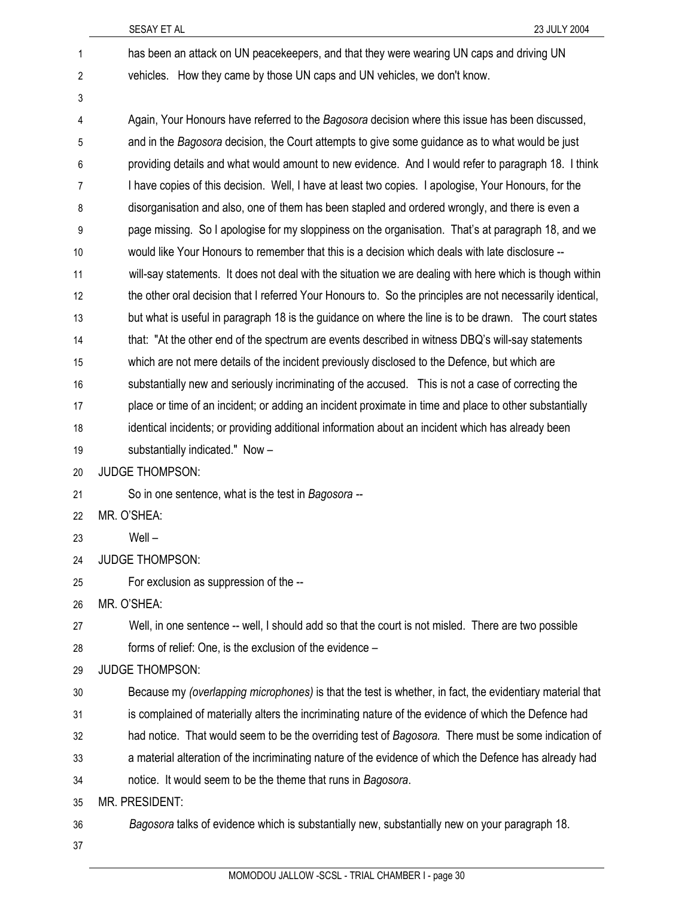| 1                       | has been an attack on UN peacekeepers, and that they were wearing UN caps and driving UN                  |
|-------------------------|-----------------------------------------------------------------------------------------------------------|
| $\overline{\mathbf{c}}$ | vehicles. How they came by those UN caps and UN vehicles, we don't know.                                  |
| 3                       |                                                                                                           |
| 4                       | Again, Your Honours have referred to the Bagosora decision where this issue has been discussed,           |
| 5                       | and in the Bagosora decision, the Court attempts to give some guidance as to what would be just           |
| 6                       | providing details and what would amount to new evidence. And I would refer to paragraph 18. I think       |
| 7                       | I have copies of this decision. Well, I have at least two copies. I apologise, Your Honours, for the      |
| 8                       | disorganisation and also, one of them has been stapled and ordered wrongly, and there is even a           |
| 9                       | page missing. So I apologise for my sloppiness on the organisation. That's at paragraph 18, and we        |
| 10                      | would like Your Honours to remember that this is a decision which deals with late disclosure --           |
| 11                      | will-say statements. It does not deal with the situation we are dealing with here which is though within  |
| 12                      | the other oral decision that I referred Your Honours to. So the principles are not necessarily identical, |
| 13                      | but what is useful in paragraph 18 is the guidance on where the line is to be drawn. The court states     |
| 14                      | that: "At the other end of the spectrum are events described in witness DBQ's will-say statements         |
| 15                      | which are not mere details of the incident previously disclosed to the Defence, but which are             |
| 16                      | substantially new and seriously incriminating of the accused. This is not a case of correcting the        |
| 17                      | place or time of an incident; or adding an incident proximate in time and place to other substantially    |
| 18                      | identical incidents; or providing additional information about an incident which has already been         |
| 19                      | substantially indicated." Now -                                                                           |
| 20                      | <b>JUDGE THOMPSON:</b>                                                                                    |
| 21                      | So in one sentence, what is the test in Bagosora --                                                       |
| 22                      | MR. O'SHEA:                                                                                               |
| 23                      | $Well -$                                                                                                  |
| 24                      | <b>JUDGE THOMPSON:</b>                                                                                    |
| 25                      | For exclusion as suppression of the --                                                                    |
| 26                      | MR. O'SHEA:                                                                                               |
| 27                      | Well, in one sentence -- well, I should add so that the court is not misled. There are two possible       |
| 28                      | forms of relief: One, is the exclusion of the evidence -                                                  |
| 29                      | <b>JUDGE THOMPSON:</b>                                                                                    |
| 30                      | Because my (overlapping microphones) is that the test is whether, in fact, the evidentiary material that  |
| 31                      | is complained of materially alters the incriminating nature of the evidence of which the Defence had      |
| 32                      | had notice. That would seem to be the overriding test of Bagosora. There must be some indication of       |
| 33                      | a material alteration of the incriminating nature of the evidence of which the Defence has already had    |
| 34                      | notice. It would seem to be the theme that runs in Bagosora.                                              |
| 35                      | MR. PRESIDENT:                                                                                            |
| 36                      | Bagosora talks of evidence which is substantially new, substantially new on your paragraph 18.            |
| 37                      |                                                                                                           |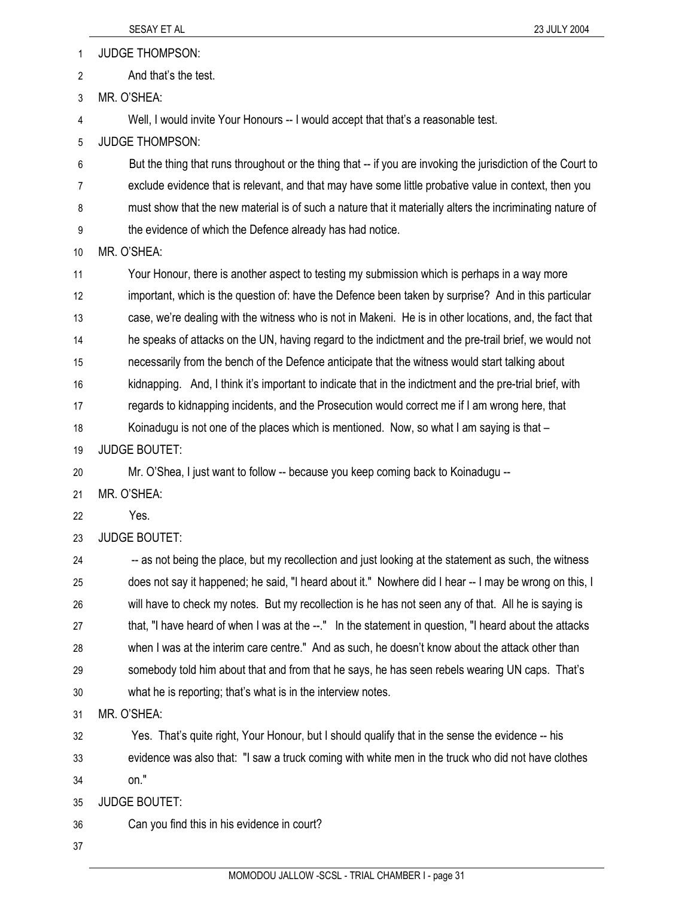1 JUDGE THOMPSON:

2 And that's the test.

3 MR. O'SHEA:

4 Well, I would invite Your Honours -- I would accept that that's a reasonable test.

5 JUDGE THOMPSON:

6 But the thing that runs throughout or the thing that -- if you are invoking the jurisdiction of the Court to 7 exclude evidence that is relevant, and that may have some little probative value in context, then you 8 must show that the new material is of such a nature that it materially alters the incriminating nature of 9 the evidence of which the Defence already has had notice.

10 MR. O'SHEA:

11 Your Honour, there is another aspect to testing my submission which is perhaps in a way more 12 important, which is the question of: have the Defence been taken by surprise? And in this particular 13 case, we're dealing with the witness who is not in Makeni. He is in other locations, and, the fact that 14 he speaks of attacks on the UN, having regard to the indictment and the pre-trail brief, we would not 15 necessarily from the bench of the Defence anticipate that the witness would start talking about 16 kidnapping. And, I think it's important to indicate that in the indictment and the pre-trial brief, with 17 regards to kidnapping incidents, and the Prosecution would correct me if I am wrong here, that 18 Koinadugu is not one of the places which is mentioned. Now, so what I am saying is that –

19 JUDGE BOUTET:

20 Mr. O'Shea, I just want to follow -- because you keep coming back to Koinadugu --

21 MR. O'SHEA:

22 Yes.

23 JUDGE BOUTET:

24 -- as not being the place, but my recollection and just looking at the statement as such, the witness 25 does not say it happened; he said, "I heard about it." Nowhere did I hear -- I may be wrong on this, I 26 will have to check my notes. But my recollection is he has not seen any of that. All he is saying is 27 that, "I have heard of when I was at the --." In the statement in question, "I heard about the attacks 28 when I was at the interim care centre." And as such, he doesn't know about the attack other than 29 somebody told him about that and from that he says, he has seen rebels wearing UN caps. That's 30 what he is reporting; that's what is in the interview notes.

31 MR. O'SHEA:

32 Yes. That's quite right, Your Honour, but I should qualify that in the sense the evidence -- his 33 evidence was also that: "I saw a truck coming with white men in the truck who did not have clothes 34 on."

35 JUDGE BOUTET:

36 Can you find this in his evidence in court?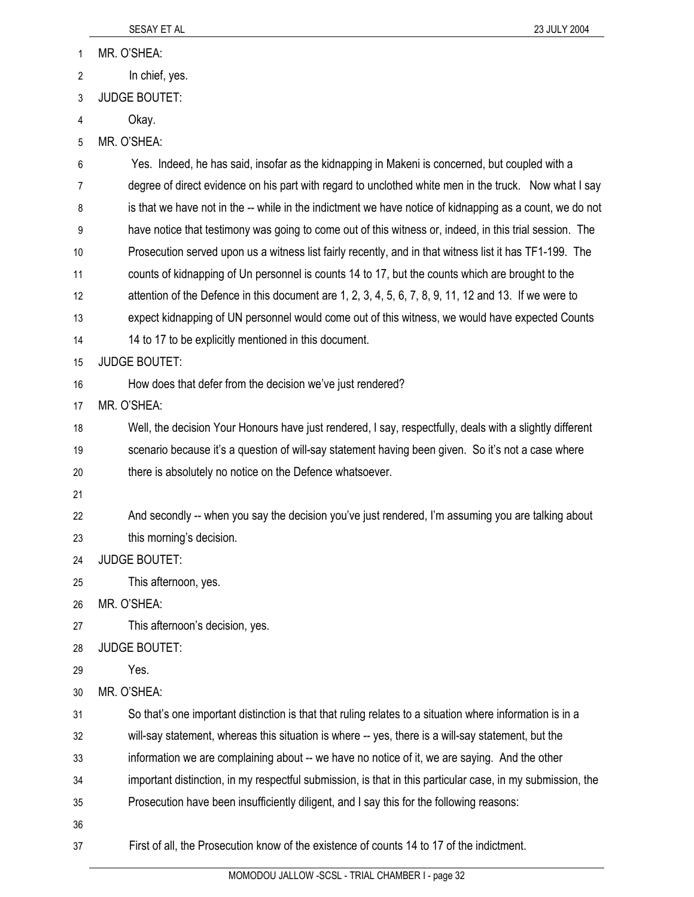| 1  | MR. O'SHEA:                                                                                                |
|----|------------------------------------------------------------------------------------------------------------|
| 2  | In chief, yes.                                                                                             |
| 3  | <b>JUDGE BOUTET:</b>                                                                                       |
| 4  | Okay.                                                                                                      |
| 5  | MR. O'SHEA:                                                                                                |
| 6  | Yes. Indeed, he has said, insofar as the kidnapping in Makeni is concerned, but coupled with a             |
| 7  | degree of direct evidence on his part with regard to unclothed white men in the truck. Now what I say      |
| 8  | is that we have not in the -- while in the indictment we have notice of kidnapping as a count, we do not   |
| 9  | have notice that testimony was going to come out of this witness or, indeed, in this trial session. The    |
| 10 | Prosecution served upon us a witness list fairly recently, and in that witness list it has TF1-199. The    |
| 11 | counts of kidnapping of Un personnel is counts 14 to 17, but the counts which are brought to the           |
| 12 | attention of the Defence in this document are 1, 2, 3, 4, 5, 6, 7, 8, 9, 11, 12 and 13. If we were to      |
| 13 | expect kidnapping of UN personnel would come out of this witness, we would have expected Counts            |
| 14 | 14 to 17 to be explicitly mentioned in this document.                                                      |
| 15 | <b>JUDGE BOUTET:</b>                                                                                       |
| 16 | How does that defer from the decision we've just rendered?                                                 |
| 17 | MR. O'SHEA:                                                                                                |
| 18 | Well, the decision Your Honours have just rendered, I say, respectfully, deals with a slightly different   |
| 19 | scenario because it's a question of will-say statement having been given. So it's not a case where         |
| 20 | there is absolutely no notice on the Defence whatsoever.                                                   |
| 21 |                                                                                                            |
| 22 | And secondly -- when you say the decision you've just rendered, I'm assuming you are talking about         |
| 23 | this morning's decision.                                                                                   |
| 24 | <b>JUDGE BOUTET:</b>                                                                                       |
| 25 | This afternoon, yes.                                                                                       |
| 26 | MR. O'SHEA:                                                                                                |
| 27 | This afternoon's decision, yes.                                                                            |
| 28 | <b>JUDGE BOUTET:</b>                                                                                       |
| 29 | Yes.                                                                                                       |
| 30 | MR. O'SHEA:                                                                                                |
| 31 | So that's one important distinction is that that ruling relates to a situation where information is in a   |
| 32 | will-say statement, whereas this situation is where -- yes, there is a will-say statement, but the         |
| 33 | information we are complaining about -- we have no notice of it, we are saying. And the other              |
| 34 | important distinction, in my respectful submission, is that in this particular case, in my submission, the |
| 35 | Prosecution have been insufficiently diligent, and I say this for the following reasons:                   |
|    |                                                                                                            |

37 First of all, the Prosecution know of the existence of counts 14 to 17 of the indictment.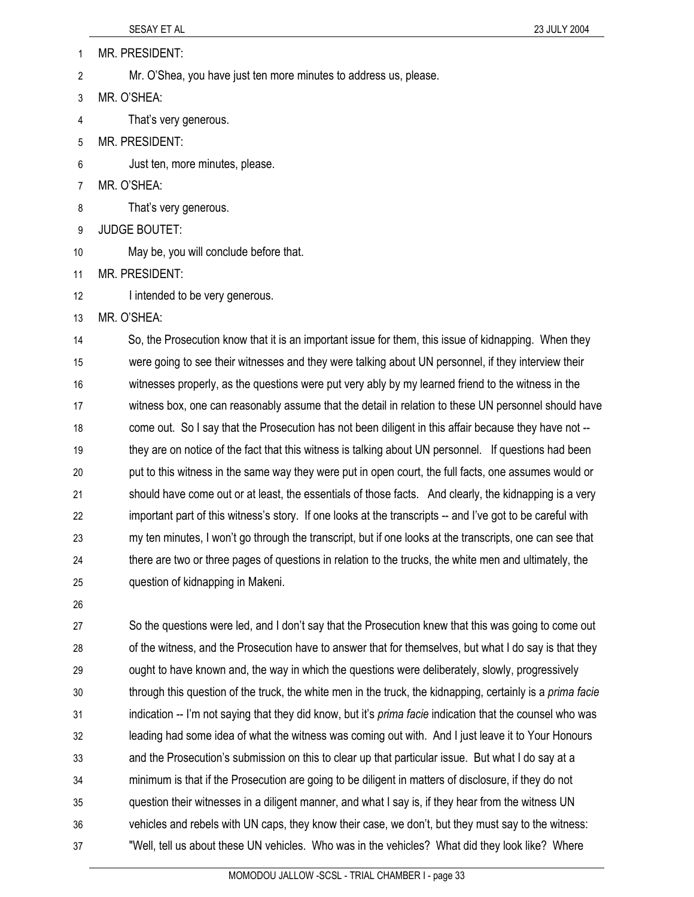| 1  | MR. PRESIDENT:                                                    |
|----|-------------------------------------------------------------------|
| 2  | Mr. O'Shea, you have just ten more minutes to address us, please. |
| 3  | MR. O'SHEA:                                                       |
| 4  | That's very generous.                                             |
| 5  | <b>MR. PRESIDENT:</b>                                             |
| 6  | Just ten, more minutes, please.                                   |
| 7  | MR. O'SHEA:                                                       |
| 8  | That's very generous.                                             |
| 9  | <b>JUDGE BOUTET:</b>                                              |
| 10 | May be, you will conclude before that.                            |
| 11 | <b>MR. PRESIDENT:</b>                                             |
| 12 | I intended to be very generous.                                   |
|    |                                                                   |

13 MR. O'SHEA:

14 So, the Prosecution know that it is an important issue for them, this issue of kidnapping. When they 15 were going to see their witnesses and they were talking about UN personnel, if they interview their 16 witnesses properly, as the questions were put very ably by my learned friend to the witness in the 17 witness box, one can reasonably assume that the detail in relation to these UN personnel should have 18 come out. So I say that the Prosecution has not been diligent in this affair because they have not -- 19 they are on notice of the fact that this witness is talking about UN personnel. If questions had been 20 put to this witness in the same way they were put in open court, the full facts, one assumes would or 21 should have come out or at least, the essentials of those facts. And clearly, the kidnapping is a very 22 important part of this witness's story. If one looks at the transcripts -- and I've got to be careful with 23 my ten minutes, I won't go through the transcript, but if one looks at the transcripts, one can see that 24 there are two or three pages of questions in relation to the trucks, the white men and ultimately, the 25 question of kidnapping in Makeni.

26

27 So the questions were led, and I don't say that the Prosecution knew that this was going to come out 28 of the witness, and the Prosecution have to answer that for themselves, but what I do say is that they 29 ought to have known and, the way in which the questions were deliberately, slowly, progressively 30 through this question of the truck, the white men in the truck, the kidnapping, certainly is a *prima facie* 31 indication -- I'm not saying that they did know, but it's *prima facie* indication that the counsel who was 32 leading had some idea of what the witness was coming out with. And I just leave it to Your Honours 33 and the Prosecution's submission on this to clear up that particular issue. But what I do say at a 34 minimum is that if the Prosecution are going to be diligent in matters of disclosure, if they do not 35 question their witnesses in a diligent manner, and what I say is, if they hear from the witness UN 36 vehicles and rebels with UN caps, they know their case, we don't, but they must say to the witness: 37 "Well, tell us about these UN vehicles. Who was in the vehicles? What did they look like? Where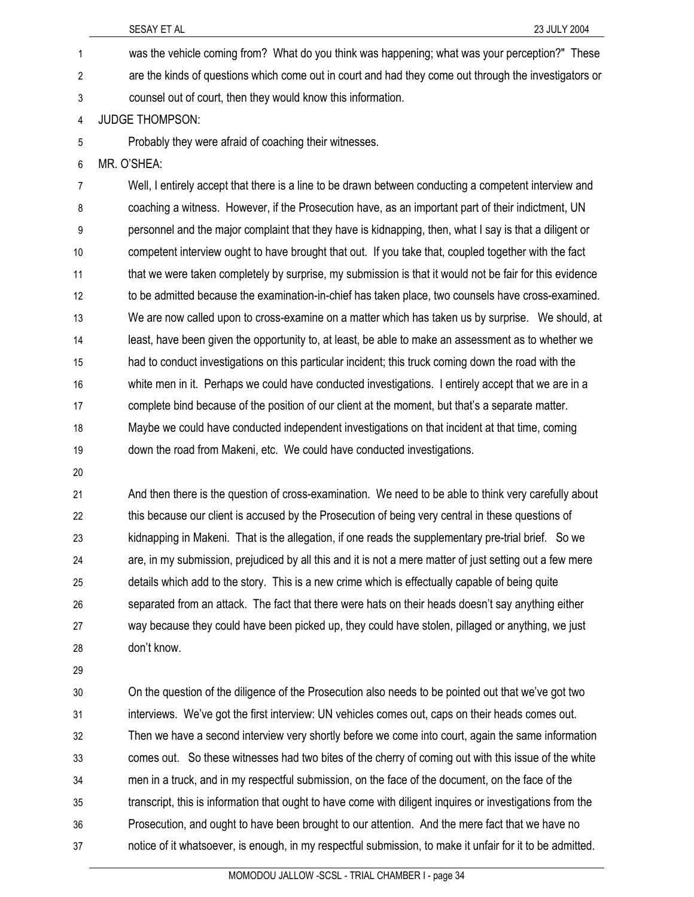- 1 was the vehicle coming from? What do you think was happening; what was your perception?" These 2 are the kinds of questions which come out in court and had they come out through the investigators or 3 counsel out of court, then they would know this information.
- 4 JUDGE THOMPSON:
- 5 Probably they were afraid of coaching their witnesses.
- 6 MR. O'SHEA:

7 Well, I entirely accept that there is a line to be drawn between conducting a competent interview and 8 coaching a witness. However, if the Prosecution have, as an important part of their indictment, UN 9 personnel and the major complaint that they have is kidnapping, then, what I say is that a diligent or 10 competent interview ought to have brought that out. If you take that, coupled together with the fact 11 that we were taken completely by surprise, my submission is that it would not be fair for this evidence 12 to be admitted because the examination-in-chief has taken place, two counsels have cross-examined. 13 We are now called upon to cross-examine on a matter which has taken us by surprise. We should, at 14 least, have been given the opportunity to, at least, be able to make an assessment as to whether we 15 had to conduct investigations on this particular incident; this truck coming down the road with the 16 white men in it. Perhaps we could have conducted investigations. I entirely accept that we are in a 17 complete bind because of the position of our client at the moment, but that's a separate matter. 18 Maybe we could have conducted independent investigations on that incident at that time, coming 19 down the road from Makeni, etc. We could have conducted investigations.

20

21 And then there is the question of cross-examination. We need to be able to think very carefully about 22 this because our client is accused by the Prosecution of being very central in these questions of 23 kidnapping in Makeni. That is the allegation, if one reads the supplementary pre-trial brief. So we 24 are, in my submission, prejudiced by all this and it is not a mere matter of just setting out a few mere 25 details which add to the story. This is a new crime which is effectually capable of being quite 26 separated from an attack. The fact that there were hats on their heads doesn't say anything either 27 way because they could have been picked up, they could have stolen, pillaged or anything, we just 28 don't know.

29

30 On the question of the diligence of the Prosecution also needs to be pointed out that we've got two 31 interviews. We've got the first interview: UN vehicles comes out, caps on their heads comes out. 32 Then we have a second interview very shortly before we come into court, again the same information 33 comes out. So these witnesses had two bites of the cherry of coming out with this issue of the white 34 men in a truck, and in my respectful submission, on the face of the document, on the face of the 35 transcript, this is information that ought to have come with diligent inquires or investigations from the 36 Prosecution, and ought to have been brought to our attention. And the mere fact that we have no 37 notice of it whatsoever, is enough, in my respectful submission, to make it unfair for it to be admitted.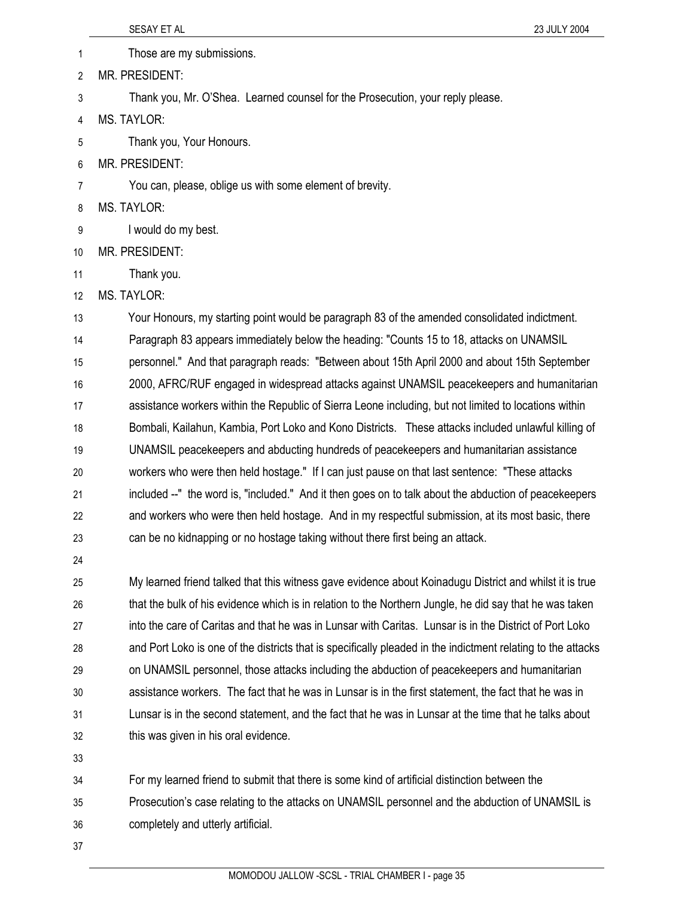SESAY ET AL 23 JULY 2004 1 Those are my submissions. 2 MR. PRESIDENT: 3 Thank you, Mr. O'Shea. Learned counsel for the Prosecution, your reply please. 4 MS. TAYLOR: 5 Thank you, Your Honours. 6 MR. PRESIDENT: 7 You can, please, oblige us with some element of brevity. 8 MS. TAYLOR: 9 I would do my best. 10 MR. PRESIDENT: 11 Thank you. 12 MS. TAYLOR: 13 Your Honours, my starting point would be paragraph 83 of the amended consolidated indictment. 14 Paragraph 83 appears immediately below the heading: "Counts 15 to 18, attacks on UNAMSIL 15 personnel." And that paragraph reads: "Between about 15th April 2000 and about 15th September 16 2000, AFRC/RUF engaged in widespread attacks against UNAMSIL peacekeepers and humanitarian 17 assistance workers within the Republic of Sierra Leone including, but not limited to locations within 18 Bombali, Kailahun, Kambia, Port Loko and Kono Districts. These attacks included unlawful killing of 19 UNAMSIL peacekeepers and abducting hundreds of peacekeepers and humanitarian assistance 20 workers who were then held hostage." If I can just pause on that last sentence: "These attacks 21 included --" the word is, "included." And it then goes on to talk about the abduction of peacekeepers 22 and workers who were then held hostage. And in my respectful submission, at its most basic, there 23 can be no kidnapping or no hostage taking without there first being an attack. 24 25 My learned friend talked that this witness gave evidence about Koinadugu District and whilst it is true

26 that the bulk of his evidence which is in relation to the Northern Jungle, he did say that he was taken 27 into the care of Caritas and that he was in Lunsar with Caritas. Lunsar is in the District of Port Loko 28 and Port Loko is one of the districts that is specifically pleaded in the indictment relating to the attacks 29 on UNAMSIL personnel, those attacks including the abduction of peacekeepers and humanitarian 30 assistance workers. The fact that he was in Lunsar is in the first statement, the fact that he was in 31 Lunsar is in the second statement, and the fact that he was in Lunsar at the time that he talks about 32 this was given in his oral evidence.

33

34 For my learned friend to submit that there is some kind of artificial distinction between the 35 Prosecution's case relating to the attacks on UNAMSIL personnel and the abduction of UNAMSIL is 36 completely and utterly artificial.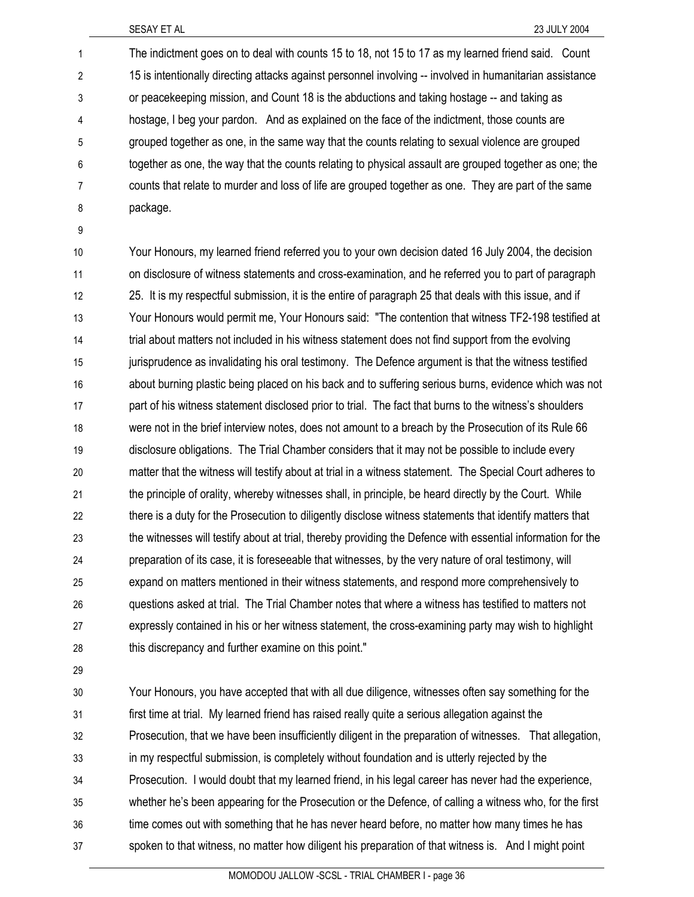1 The indictment goes on to deal with counts 15 to 18, not 15 to 17 as my learned friend said. Count 2 15 is intentionally directing attacks against personnel involving -- involved in humanitarian assistance 3 or peacekeeping mission, and Count 18 is the abductions and taking hostage -- and taking as 4 hostage, I beg your pardon. And as explained on the face of the indictment, those counts are 5 grouped together as one, in the same way that the counts relating to sexual violence are grouped 6 together as one, the way that the counts relating to physical assault are grouped together as one; the 7 counts that relate to murder and loss of life are grouped together as one. They are part of the same 8 package.

9

10 Your Honours, my learned friend referred you to your own decision dated 16 July 2004, the decision 11 on disclosure of witness statements and cross-examination, and he referred you to part of paragraph 12 25. It is my respectful submission, it is the entire of paragraph 25 that deals with this issue, and if 13 Your Honours would permit me, Your Honours said: "The contention that witness TF2-198 testified at 14 trial about matters not included in his witness statement does not find support from the evolving 15 iurisprudence as invalidating his oral testimony. The Defence argument is that the witness testified 16 about burning plastic being placed on his back and to suffering serious burns, evidence which was not 17 part of his witness statement disclosed prior to trial. The fact that burns to the witness's shoulders 18 were not in the brief interview notes, does not amount to a breach by the Prosecution of its Rule 66 19 disclosure obligations. The Trial Chamber considers that it may not be possible to include every 20 matter that the witness will testify about at trial in a witness statement. The Special Court adheres to 21 the principle of orality, whereby witnesses shall, in principle, be heard directly by the Court. While 22 there is a duty for the Prosecution to diligently disclose witness statements that identify matters that 23 the witnesses will testify about at trial, thereby providing the Defence with essential information for the 24 preparation of its case, it is foreseeable that witnesses, by the very nature of oral testimony, will 25 expand on matters mentioned in their witness statements, and respond more comprehensively to 26 questions asked at trial. The Trial Chamber notes that where a witness has testified to matters not 27 expressly contained in his or her witness statement, the cross-examining party may wish to highlight 28 this discrepancy and further examine on this point."

29

30 Your Honours, you have accepted that with all due diligence, witnesses often say something for the 31 first time at trial. My learned friend has raised really quite a serious allegation against the 32 Prosecution, that we have been insufficiently diligent in the preparation of witnesses. That allegation, 33 in my respectful submission, is completely without foundation and is utterly rejected by the 34 Prosecution. I would doubt that my learned friend, in his legal career has never had the experience, 35 whether he's been appearing for the Prosecution or the Defence, of calling a witness who, for the first 36 time comes out with something that he has never heard before, no matter how many times he has 37 spoken to that witness, no matter how diligent his preparation of that witness is. And I might point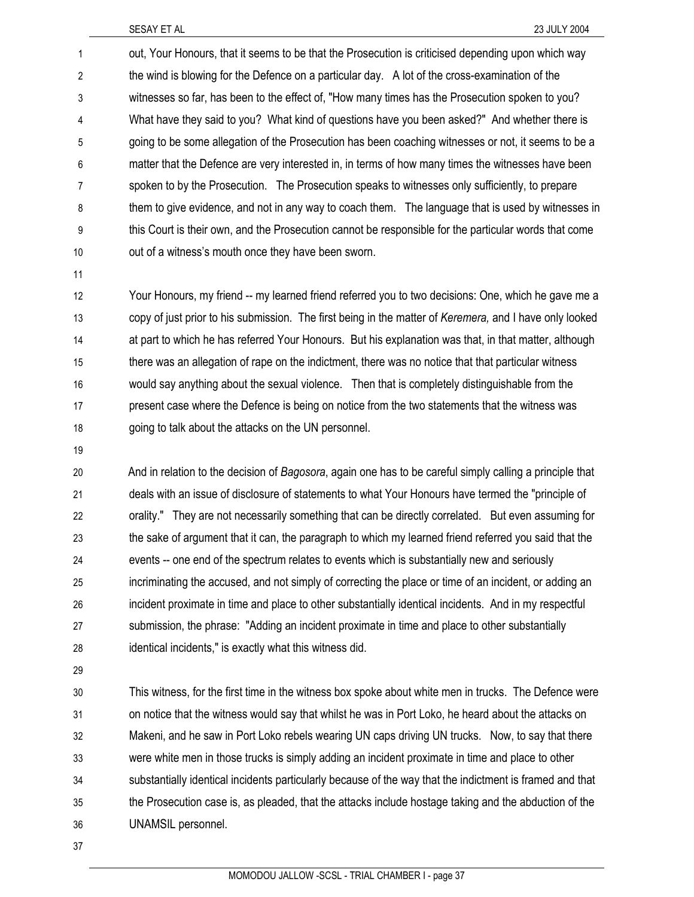1 out, Your Honours, that it seems to be that the Prosecution is criticised depending upon which way 2 the wind is blowing for the Defence on a particular day. A lot of the cross-examination of the 3 witnesses so far, has been to the effect of, "How many times has the Prosecution spoken to you? 4 What have they said to you? What kind of questions have you been asked?" And whether there is 5 going to be some allegation of the Prosecution has been coaching witnesses or not, it seems to be a 6 matter that the Defence are very interested in, in terms of how many times the witnesses have been 7 spoken to by the Prosecution. The Prosecution speaks to witnesses only sufficiently, to prepare 8 them to give evidence, and not in any way to coach them. The language that is used by witnesses in 9 this Court is their own, and the Prosecution cannot be responsible for the particular words that come 10 out of a witness's mouth once they have been sworn.

11

12 Your Honours, my friend -- my learned friend referred you to two decisions: One, which he gave me a 13 copy of just prior to his submission. The first being in the matter of *Keremera,* and I have only looked 14 at part to which he has referred Your Honours. But his explanation was that, in that matter, although 15 there was an allegation of rape on the indictment, there was no notice that that particular witness 16 would say anything about the sexual violence. Then that is completely distinguishable from the 17 present case where the Defence is being on notice from the two statements that the witness was 18 going to talk about the attacks on the UN personnel.

19

20 And in relation to the decision of *Bagosora*, again one has to be careful simply calling a principle that 21 deals with an issue of disclosure of statements to what Your Honours have termed the "principle of 22 orality." They are not necessarily something that can be directly correlated. But even assuming for 23 the sake of argument that it can, the paragraph to which my learned friend referred you said that the 24 events -- one end of the spectrum relates to events which is substantially new and seriously 25 incriminating the accused, and not simply of correcting the place or time of an incident, or adding an 26 incident proximate in time and place to other substantially identical incidents. And in my respectful 27 submission, the phrase: "Adding an incident proximate in time and place to other substantially 28 identical incidents," is exactly what this witness did.

29

30 This witness, for the first time in the witness box spoke about white men in trucks. The Defence were 31 on notice that the witness would say that whilst he was in Port Loko, he heard about the attacks on 32 Makeni, and he saw in Port Loko rebels wearing UN caps driving UN trucks. Now, to say that there 33 were white men in those trucks is simply adding an incident proximate in time and place to other 34 substantially identical incidents particularly because of the way that the indictment is framed and that 35 the Prosecution case is, as pleaded, that the attacks include hostage taking and the abduction of the 36 UNAMSIL personnel.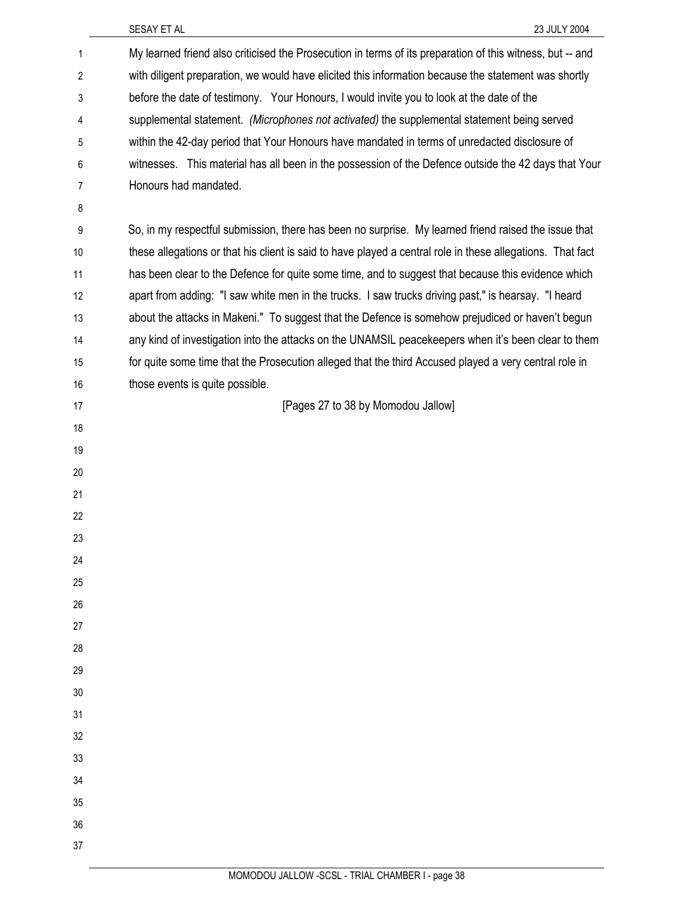| 1              | My learned friend also criticised the Prosecution in terms of its preparation of this witness, but -- and  |
|----------------|------------------------------------------------------------------------------------------------------------|
| $\overline{2}$ | with diligent preparation, we would have elicited this information because the statement was shortly       |
| 3              | before the date of testimony. Your Honours, I would invite you to look at the date of the                  |
| 4              | supplemental statement. (Microphones not activated) the supplemental statement being served                |
| 5              | within the 42-day period that Your Honours have mandated in terms of unredacted disclosure of              |
| 6              | witnesses. This material has all been in the possession of the Defence outside the 42 days that Your       |
| 7              | Honours had mandated.                                                                                      |
| 8              |                                                                                                            |
| 9              | So, in my respectful submission, there has been no surprise. My learned friend raised the issue that       |
| 10             | these allegations or that his client is said to have played a central role in these allegations. That fact |
| 11             | has been clear to the Defence for quite some time, and to suggest that because this evidence which         |
| 12             | apart from adding: "I saw white men in the trucks. I saw trucks driving past," is hearsay. "I heard        |
| 13             | about the attacks in Makeni." To suggest that the Defence is somehow prejudiced or haven't begun           |
| 14             | any kind of investigation into the attacks on the UNAMSIL peacekeepers when it's been clear to them        |
| 15             | for quite some time that the Prosecution alleged that the third Accused played a very central role in      |
| 16             | those events is quite possible.                                                                            |
| 17             | [Pages 27 to 38 by Momodou Jallow]                                                                         |
| 18             |                                                                                                            |
| 19             |                                                                                                            |
| 20             |                                                                                                            |
| 21             |                                                                                                            |
| 22             |                                                                                                            |
| 23             |                                                                                                            |
| 24             |                                                                                                            |
| 25             |                                                                                                            |
| 26             |                                                                                                            |
| 27             |                                                                                                            |
| 28             |                                                                                                            |
| 29             |                                                                                                            |
| 30             |                                                                                                            |
| 31             |                                                                                                            |
| 32             |                                                                                                            |
| 33             |                                                                                                            |
| 34             |                                                                                                            |
| 35             |                                                                                                            |
| 36             |                                                                                                            |
| 37             |                                                                                                            |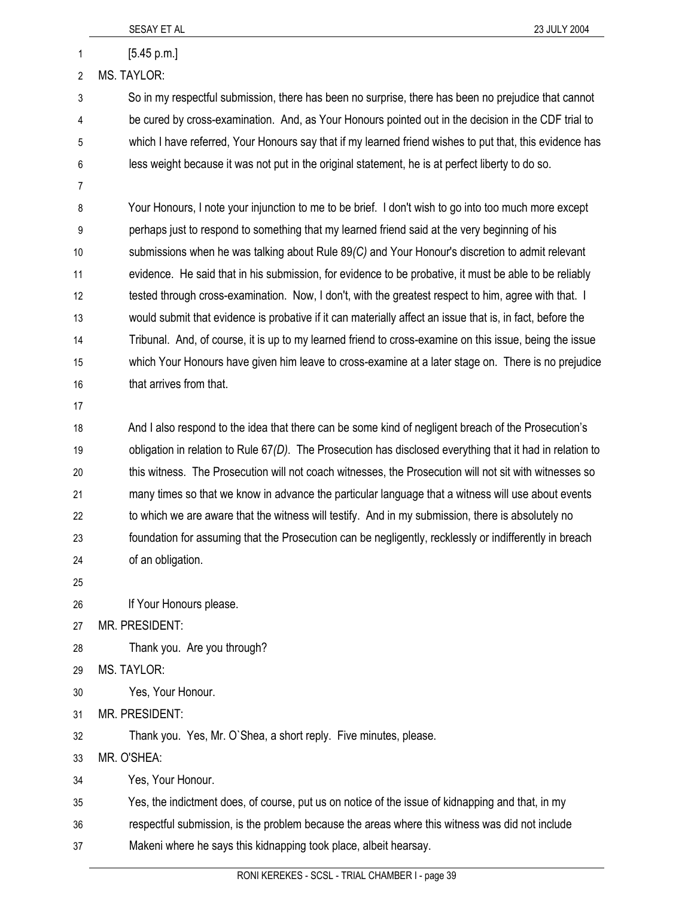|                | SESAY ET AL<br>23 JULY 2004                                                                               |
|----------------|-----------------------------------------------------------------------------------------------------------|
| 1              | [5.45 p.m.]                                                                                               |
| $\overline{2}$ | <b>MS. TAYLOR:</b>                                                                                        |
| 3              | So in my respectful submission, there has been no surprise, there has been no prejudice that cannot       |
| 4              | be cured by cross-examination. And, as Your Honours pointed out in the decision in the CDF trial to       |
| 5              | which I have referred, Your Honours say that if my learned friend wishes to put that, this evidence has   |
| 6              | less weight because it was not put in the original statement, he is at perfect liberty to do so.          |
| 7              |                                                                                                           |
| 8              | Your Honours, I note your injunction to me to be brief. I don't wish to go into too much more except      |
| 9              | perhaps just to respond to something that my learned friend said at the very beginning of his             |
| 10             | submissions when he was talking about Rule 89(C) and Your Honour's discretion to admit relevant           |
| 11             | evidence. He said that in his submission, for evidence to be probative, it must be able to be reliably    |
| 12             | tested through cross-examination. Now, I don't, with the greatest respect to him, agree with that. I      |
| 13             | would submit that evidence is probative if it can materially affect an issue that is, in fact, before the |
| 14             | Tribunal. And, of course, it is up to my learned friend to cross-examine on this issue, being the issue   |
| 15             | which Your Honours have given him leave to cross-examine at a later stage on. There is no prejudice       |
| 16             | that arrives from that.                                                                                   |
| 17             |                                                                                                           |
| 18             | And I also respond to the idea that there can be some kind of negligent breach of the Prosecution's       |
| 19             | obligation in relation to Rule 67(D). The Prosecution has disclosed everything that it had in relation to |
| 20             | this witness. The Prosecution will not coach witnesses, the Prosecution will not sit with witnesses so    |
| 21             | many times so that we know in advance the particular language that a witness will use about events        |
| 22             | to which we are aware that the witness will testify. And in my submission, there is absolutely no         |
| 23             | foundation for assuming that the Prosecution can be negligently, recklessly or indifferently in breach    |
| 24             | of an obligation.                                                                                         |
| 25             |                                                                                                           |
| 26             | If Your Honours please.                                                                                   |
| 27             | MR. PRESIDENT:                                                                                            |
| 28             | Thank you. Are you through?                                                                               |
| 29             | <b>MS. TAYLOR:</b>                                                                                        |
| 30             | Yes, Your Honour.                                                                                         |
| 31             | MR. PRESIDENT:                                                                                            |
| 32             | Thank you. Yes, Mr. O'Shea, a short reply. Five minutes, please.                                          |
| 33             | MR. O'SHEA:                                                                                               |
| 34             | Yes, Your Honour.                                                                                         |
| 35             | Yes, the indictment does, of course, put us on notice of the issue of kidnapping and that, in my          |
| 36             | respectful submission, is the problem because the areas where this witness was did not include            |
| 37             | Makeni where he says this kidnapping took place, albeit hearsay.                                          |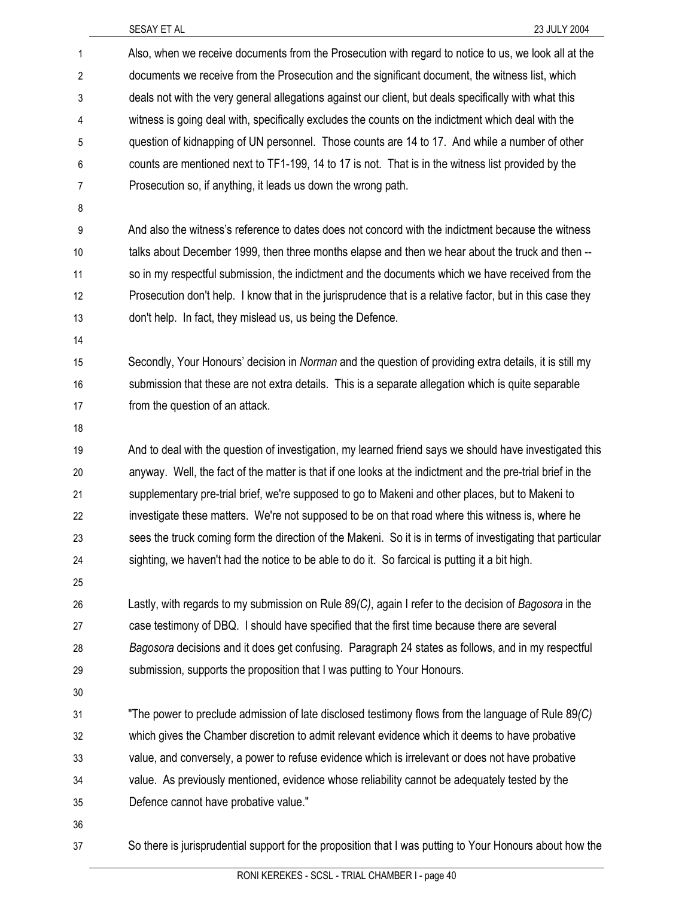| 1              | Also, when we receive documents from the Prosecution with regard to notice to us, we look all at the       |
|----------------|------------------------------------------------------------------------------------------------------------|
| $\overline{2}$ | documents we receive from the Prosecution and the significant document, the witness list, which            |
| 3              | deals not with the very general allegations against our client, but deals specifically with what this      |
| 4              | witness is going deal with, specifically excludes the counts on the indictment which deal with the         |
| 5              | question of kidnapping of UN personnel. Those counts are 14 to 17. And while a number of other             |
| 6              | counts are mentioned next to TF1-199, 14 to 17 is not. That is in the witness list provided by the         |
| $\overline{7}$ | Prosecution so, if anything, it leads us down the wrong path.                                              |
| 8              |                                                                                                            |
| 9              | And also the witness's reference to dates does not concord with the indictment because the witness         |
| 10             | talks about December 1999, then three months elapse and then we hear about the truck and then --           |
| 11             | so in my respectful submission, the indictment and the documents which we have received from the           |
| 12             | Prosecution don't help. I know that in the jurisprudence that is a relative factor, but in this case they  |
| 13             | don't help. In fact, they mislead us, us being the Defence.                                                |
| 14             |                                                                                                            |
| 15             | Secondly, Your Honours' decision in Norman and the question of providing extra details, it is still my     |
| 16             | submission that these are not extra details. This is a separate allegation which is quite separable        |
| 17             | from the question of an attack.                                                                            |
| 18             |                                                                                                            |
| 19             | And to deal with the question of investigation, my learned friend says we should have investigated this    |
| 20             | anyway. Well, the fact of the matter is that if one looks at the indictment and the pre-trial brief in the |
| 21             | supplementary pre-trial brief, we're supposed to go to Makeni and other places, but to Makeni to           |
| 22             | investigate these matters. We're not supposed to be on that road where this witness is, where he           |
| 23             | sees the truck coming form the direction of the Makeni. So it is in terms of investigating that particular |
| 24             | sighting, we haven't had the notice to be able to do it. So farcical is putting it a bit high.             |
| 25             |                                                                                                            |
| 26             | Lastly, with regards to my submission on Rule 89(C), again I refer to the decision of Bagosora in the      |
| 27             | case testimony of DBQ. I should have specified that the first time because there are several               |
| 28             | Bagosora decisions and it does get confusing. Paragraph 24 states as follows, and in my respectful         |
| 29             | submission, supports the proposition that I was putting to Your Honours.                                   |
| 30             |                                                                                                            |
| 31             | "The power to preclude admission of late disclosed testimony flows from the language of Rule 89(C)         |
| 32             | which gives the Chamber discretion to admit relevant evidence which it deems to have probative             |
| 33             | value, and conversely, a power to refuse evidence which is irrelevant or does not have probative           |
| 34             | value. As previously mentioned, evidence whose reliability cannot be adequately tested by the              |
| 35             | Defence cannot have probative value."                                                                      |
| 36             |                                                                                                            |
| 37             | So there is jurisprudential support for the proposition that I was putting to Your Honours about how the   |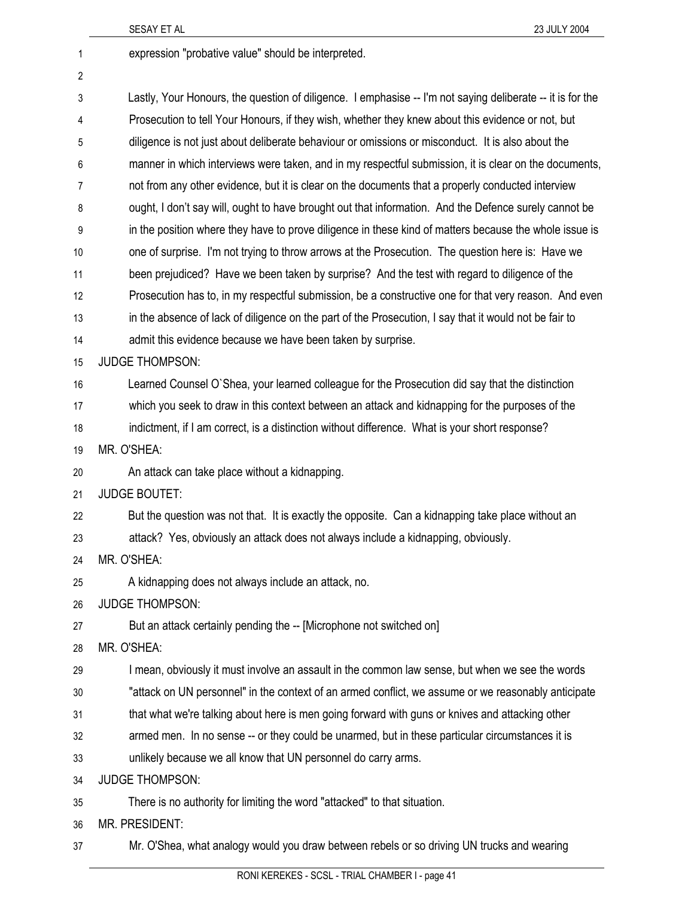2

1 expression "probative value" should be interpreted.

3 Lastly, Your Honours, the question of diligence. I emphasise -- I'm not saying deliberate -- it is for the 4 Prosecution to tell Your Honours, if they wish, whether they knew about this evidence or not, but 5 diligence is not just about deliberate behaviour or omissions or misconduct. It is also about the 6 manner in which interviews were taken, and in my respectful submission, it is clear on the documents, 7 not from any other evidence, but it is clear on the documents that a properly conducted interview 8 ought, I don't say will, ought to have brought out that information. And the Defence surely cannot be 9 in the position where they have to prove diligence in these kind of matters because the whole issue is 10 one of surprise. I'm not trying to throw arrows at the Prosecution. The question here is: Have we 11 been prejudiced? Have we been taken by surprise? And the test with regard to diligence of the 12 Prosecution has to, in my respectful submission, be a constructive one for that very reason. And even 13 in the absence of lack of diligence on the part of the Prosecution, I say that it would not be fair to 14 admit this evidence because we have been taken by surprise. 15 JUDGE THOMPSON: 16 Learned Counsel O`Shea, your learned colleague for the Prosecution did say that the distinction 17 which you seek to draw in this context between an attack and kidnapping for the purposes of the 18 indictment, if I am correct, is a distinction without difference. What is your short response? 19 MR. O'SHEA: 20 An attack can take place without a kidnapping. 21 JUDGE BOUTET: 22 But the question was not that. It is exactly the opposite. Can a kidnapping take place without an 23 attack? Yes, obviously an attack does not always include a kidnapping, obviously. 24 MR. O'SHEA: 25 A kidnapping does not always include an attack, no. 26 JUDGE THOMPSON: 27 But an attack certainly pending the -- [Microphone not switched on] 28 MR. O'SHEA: 29 I mean, obviously it must involve an assault in the common law sense, but when we see the words 30 "attack on UN personnel" in the context of an armed conflict, we assume or we reasonably anticipate 31 that what we're talking about here is men going forward with guns or knives and attacking other 32 armed men. In no sense -- or they could be unarmed, but in these particular circumstances it is 33 unlikely because we all know that UN personnel do carry arms. 34 JUDGE THOMPSON: 35 There is no authority for limiting the word "attacked" to that situation. 36 MR. PRESIDENT: 37 Mr. O'Shea, what analogy would you draw between rebels or so driving UN trucks and wearing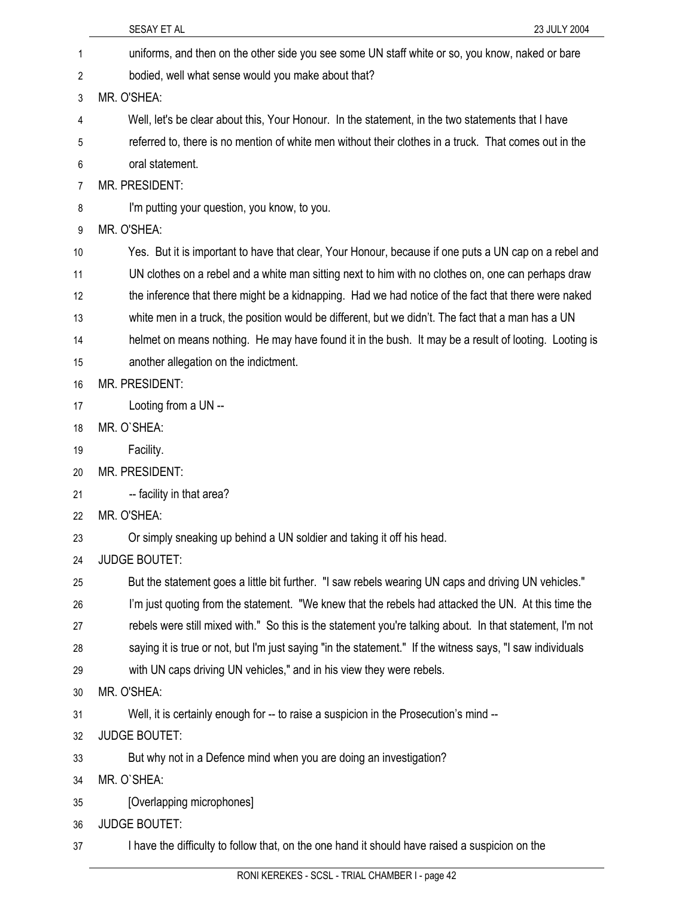|    | SESAY ET AL<br>23 JULY 2004                                                                               |
|----|-----------------------------------------------------------------------------------------------------------|
| 1  | uniforms, and then on the other side you see some UN staff white or so, you know, naked or bare           |
| 2  | bodied, well what sense would you make about that?                                                        |
| 3  | MR. O'SHEA:                                                                                               |
| 4  | Well, let's be clear about this, Your Honour. In the statement, in the two statements that I have         |
| 5  | referred to, there is no mention of white men without their clothes in a truck. That comes out in the     |
| 6  | oral statement.                                                                                           |
| 7  | MR. PRESIDENT:                                                                                            |
| 8  | I'm putting your question, you know, to you.                                                              |
| 9  | MR. O'SHEA:                                                                                               |
| 10 | Yes. But it is important to have that clear, Your Honour, because if one puts a UN cap on a rebel and     |
| 11 | UN clothes on a rebel and a white man sitting next to him with no clothes on, one can perhaps draw        |
| 12 | the inference that there might be a kidnapping. Had we had notice of the fact that there were naked       |
| 13 | white men in a truck, the position would be different, but we didn't. The fact that a man has a UN        |
| 14 | helmet on means nothing. He may have found it in the bush. It may be a result of looting. Looting is      |
| 15 | another allegation on the indictment.                                                                     |
| 16 | MR. PRESIDENT:                                                                                            |
| 17 | Looting from a UN --                                                                                      |
| 18 | MR. O'SHEA:                                                                                               |
| 19 | Facility.                                                                                                 |
| 20 | MR. PRESIDENT:                                                                                            |
| 21 | -- facility in that area?                                                                                 |
| 22 | MR. O'SHEA:                                                                                               |
| 23 | Or simply sneaking up behind a UN soldier and taking it off his head.                                     |
| 24 | <b>JUDGE BOUTET:</b>                                                                                      |
| 25 | But the statement goes a little bit further. "I saw rebels wearing UN caps and driving UN vehicles."      |
| 26 | I'm just quoting from the statement. "We knew that the rebels had attacked the UN. At this time the       |
| 27 | rebels were still mixed with." So this is the statement you're talking about. In that statement, I'm not  |
| 28 | saying it is true or not, but I'm just saying "in the statement." If the witness says, "I saw individuals |
| 29 | with UN caps driving UN vehicles," and in his view they were rebels.                                      |
| 30 | MR. O'SHEA:                                                                                               |
| 31 | Well, it is certainly enough for -- to raise a suspicion in the Prosecution's mind --                     |
| 32 | <b>JUDGE BOUTET:</b>                                                                                      |
| 33 | But why not in a Defence mind when you are doing an investigation?                                        |
| 34 | MR. O'SHEA:                                                                                               |
| 35 | [Overlapping microphones]                                                                                 |
| 36 | <b>JUDGE BOUTET:</b>                                                                                      |
| 37 | I have the difficulty to follow that, on the one hand it should have raised a suspicion on the            |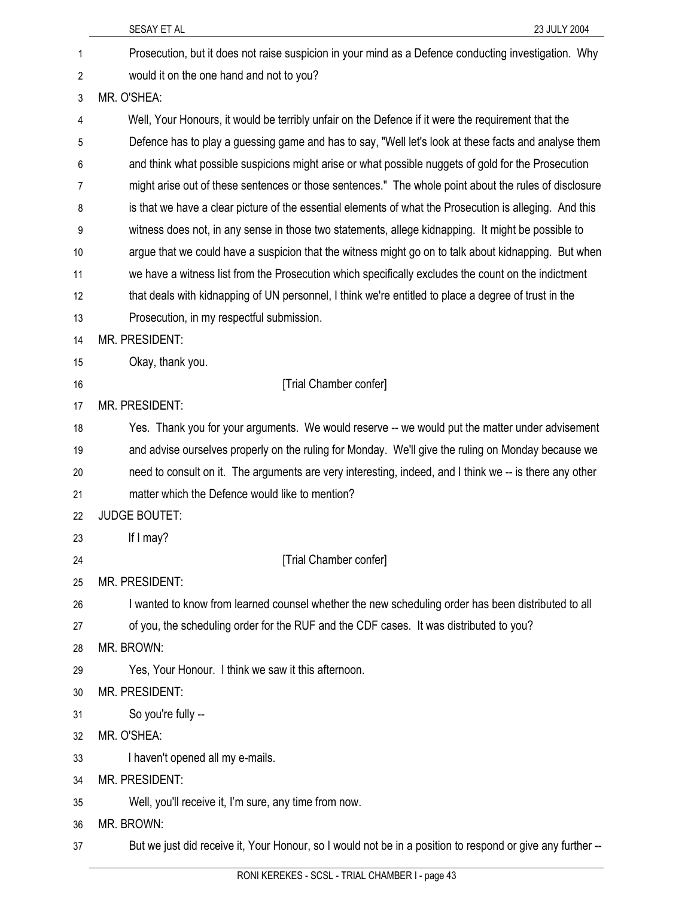|    | SESAY ET AL<br>23 JULY 2004                                                                                |
|----|------------------------------------------------------------------------------------------------------------|
| 1  | Prosecution, but it does not raise suspicion in your mind as a Defence conducting investigation. Why       |
| 2  | would it on the one hand and not to you?                                                                   |
| 3  | MR. O'SHEA:                                                                                                |
| 4  | Well, Your Honours, it would be terribly unfair on the Defence if it were the requirement that the         |
| 5  | Defence has to play a guessing game and has to say, "Well let's look at these facts and analyse them       |
| 6  | and think what possible suspicions might arise or what possible nuggets of gold for the Prosecution        |
| 7  | might arise out of these sentences or those sentences." The whole point about the rules of disclosure      |
| 8  | is that we have a clear picture of the essential elements of what the Prosecution is alleging. And this    |
| 9  | witness does not, in any sense in those two statements, allege kidnapping. It might be possible to         |
| 10 | argue that we could have a suspicion that the witness might go on to talk about kidnapping. But when       |
| 11 | we have a witness list from the Prosecution which specifically excludes the count on the indictment        |
| 12 | that deals with kidnapping of UN personnel, I think we're entitled to place a degree of trust in the       |
| 13 | Prosecution, in my respectful submission.                                                                  |
| 14 | MR. PRESIDENT:                                                                                             |
| 15 | Okay, thank you.                                                                                           |
| 16 | [Trial Chamber confer]                                                                                     |
| 17 | MR. PRESIDENT:                                                                                             |
| 18 | Yes. Thank you for your arguments. We would reserve -- we would put the matter under advisement            |
| 19 | and advise ourselves properly on the ruling for Monday. We'll give the ruling on Monday because we         |
| 20 | need to consult on it. The arguments are very interesting, indeed, and I think we -- is there any other    |
| 21 | matter which the Defence would like to mention?                                                            |
| 22 | <b>JUDGE BOUTET:</b>                                                                                       |
| 23 | If $I$ may?                                                                                                |
| 24 | [Trial Chamber confer]                                                                                     |
| 25 | MR. PRESIDENT:                                                                                             |
| 26 | I wanted to know from learned counsel whether the new scheduling order has been distributed to all         |
| 27 | of you, the scheduling order for the RUF and the CDF cases. It was distributed to you?                     |
| 28 | MR. BROWN:                                                                                                 |
| 29 | Yes, Your Honour. I think we saw it this afternoon.                                                        |
| 30 | MR. PRESIDENT:                                                                                             |
| 31 | So you're fully --                                                                                         |
| 32 | MR. O'SHEA:                                                                                                |
| 33 | I haven't opened all my e-mails.                                                                           |
| 34 | MR. PRESIDENT:                                                                                             |
| 35 | Well, you'll receive it, I'm sure, any time from now.                                                      |
| 36 | MR. BROWN:                                                                                                 |
| 37 | But we just did receive it, Your Honour, so I would not be in a position to respond or give any further -- |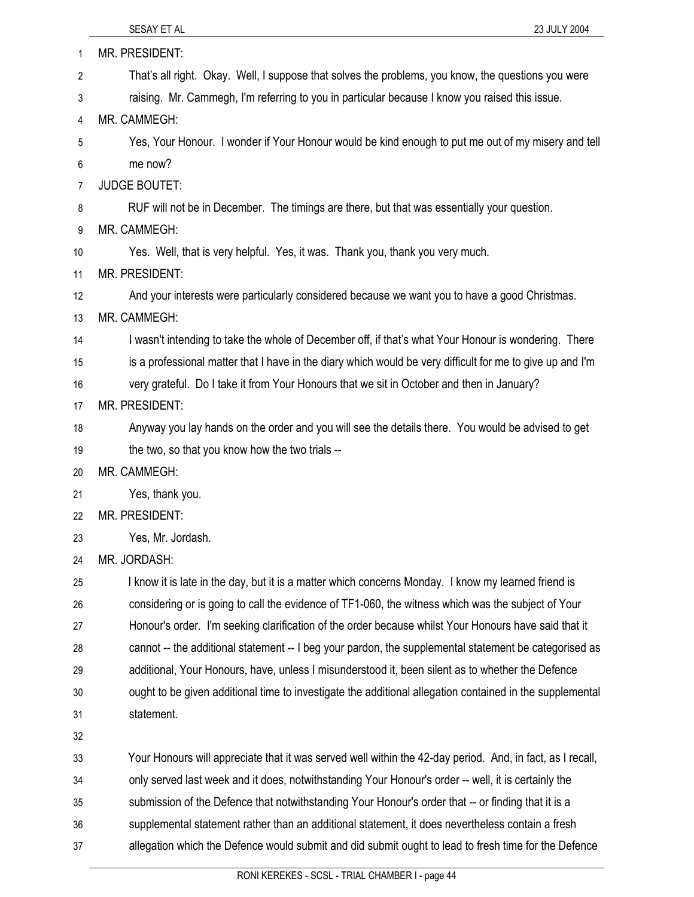| 1  | MR. PRESIDENT:                                                                                            |
|----|-----------------------------------------------------------------------------------------------------------|
| 2  | That's all right. Okay. Well, I suppose that solves the problems, you know, the questions you were        |
| 3  | raising. Mr. Cammegh, I'm referring to you in particular because I know you raised this issue.            |
| 4  | MR. CAMMEGH:                                                                                              |
| 5  | Yes, Your Honour. I wonder if Your Honour would be kind enough to put me out of my misery and tell        |
| 6  | me now?                                                                                                   |
| 7  | <b>JUDGE BOUTET:</b>                                                                                      |
| 8  | RUF will not be in December. The timings are there, but that was essentially your question.               |
| 9  | MR. CAMMEGH:                                                                                              |
| 10 | Yes. Well, that is very helpful. Yes, it was. Thank you, thank you very much.                             |
| 11 | MR. PRESIDENT:                                                                                            |
| 12 | And your interests were particularly considered because we want you to have a good Christmas.             |
| 13 | MR. CAMMEGH:                                                                                              |
| 14 | I wasn't intending to take the whole of December off, if that's what Your Honour is wondering. There      |
| 15 | is a professional matter that I have in the diary which would be very difficult for me to give up and I'm |
| 16 | very grateful. Do I take it from Your Honours that we sit in October and then in January?                 |
| 17 | MR. PRESIDENT:                                                                                            |
| 18 | Anyway you lay hands on the order and you will see the details there. You would be advised to get         |
| 19 | the two, so that you know how the two trials --                                                           |
| 20 | MR. CAMMEGH:                                                                                              |
| 21 | Yes, thank you.                                                                                           |
| 22 | MR. PRESIDENT:                                                                                            |
| 23 | Yes, Mr. Jordash.                                                                                         |
| 24 | MR. JORDASH:                                                                                              |
| 25 | I know it is late in the day, but it is a matter which concerns Monday. I know my learned friend is       |
| 26 | considering or is going to call the evidence of TF1-060, the witness which was the subject of Your        |
| 27 | Honour's order. I'm seeking clarification of the order because whilst Your Honours have said that it      |
| 28 | cannot -- the additional statement -- I beg your pardon, the supplemental statement be categorised as     |
| 29 | additional, Your Honours, have, unless I misunderstood it, been silent as to whether the Defence          |
| 30 | ought to be given additional time to investigate the additional allegation contained in the supplemental  |
| 31 | statement.                                                                                                |
| 32 |                                                                                                           |
| 33 | Your Honours will appreciate that it was served well within the 42-day period. And, in fact, as I recall, |
| 34 | only served last week and it does, notwithstanding Your Honour's order -- well, it is certainly the       |
| 35 | submission of the Defence that notwithstanding Your Honour's order that -- or finding that it is a        |
| 36 | supplemental statement rather than an additional statement, it does nevertheless contain a fresh          |
| 37 | allegation which the Defence would submit and did submit ought to lead to fresh time for the Defence      |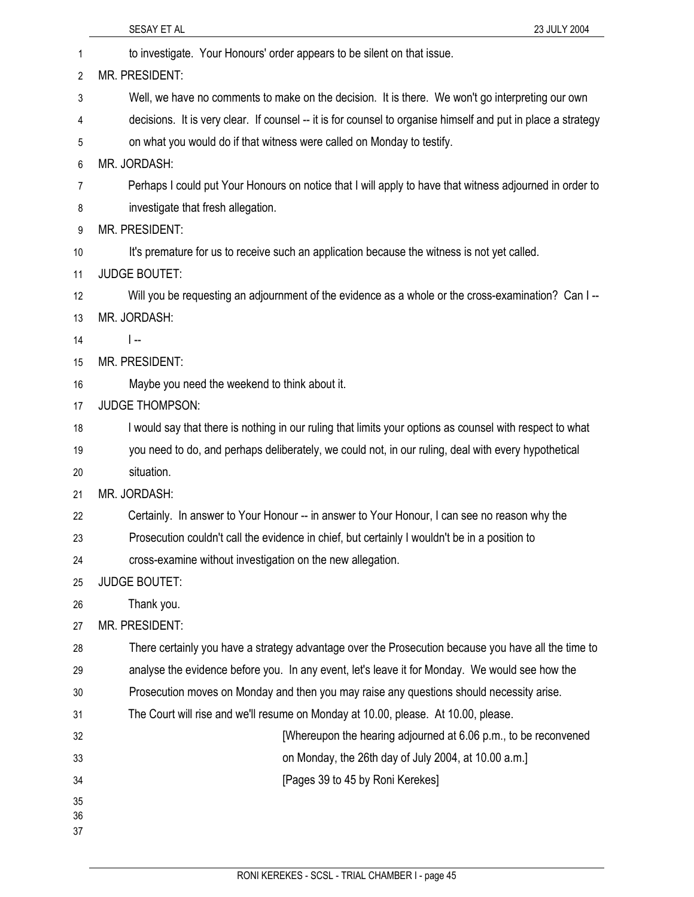|                | 23 JULY 2004<br>SESAY ET AL                                                                                  |
|----------------|--------------------------------------------------------------------------------------------------------------|
| 1              | to investigate. Your Honours' order appears to be silent on that issue.                                      |
| $\overline{2}$ | MR. PRESIDENT:                                                                                               |
| 3              | Well, we have no comments to make on the decision. It is there. We won't go interpreting our own             |
| 4              | decisions. It is very clear. If counsel -- it is for counsel to organise himself and put in place a strategy |
| 5              | on what you would do if that witness were called on Monday to testify.                                       |
| 6              | MR. JORDASH:                                                                                                 |
| 7              | Perhaps I could put Your Honours on notice that I will apply to have that witness adjourned in order to      |
| 8              | investigate that fresh allegation.                                                                           |
| 9              | MR. PRESIDENT:                                                                                               |
| 10             | It's premature for us to receive such an application because the witness is not yet called.                  |
| 11             | <b>JUDGE BOUTET:</b>                                                                                         |
| 12             | Will you be requesting an adjournment of the evidence as a whole or the cross-examination? Can I --          |
| 13             | MR. JORDASH:                                                                                                 |
| 14             | $\overline{ }$                                                                                               |
| 15             | MR. PRESIDENT:                                                                                               |
| 16             | Maybe you need the weekend to think about it.                                                                |
| 17             | <b>JUDGE THOMPSON:</b>                                                                                       |
| 18             | I would say that there is nothing in our ruling that limits your options as counsel with respect to what     |
| 19             | you need to do, and perhaps deliberately, we could not, in our ruling, deal with every hypothetical          |
| 20             | situation.                                                                                                   |
| 21             | MR. JORDASH:                                                                                                 |
| 22             | Certainly. In answer to Your Honour -- in answer to Your Honour, I can see no reason why the                 |
| 23             | Prosecution couldn't call the evidence in chief, but certainly I wouldn't be in a position to                |
| 24             | cross-examine without investigation on the new allegation.                                                   |
| 25             | <b>JUDGE BOUTET:</b>                                                                                         |
| 26             | Thank you.                                                                                                   |
| 27             | MR. PRESIDENT:                                                                                               |
| 28             | There certainly you have a strategy advantage over the Prosecution because you have all the time to          |
| 29             | analyse the evidence before you. In any event, let's leave it for Monday. We would see how the               |
| 30             | Prosecution moves on Monday and then you may raise any questions should necessity arise.                     |
| 31             | The Court will rise and we'll resume on Monday at 10.00, please. At 10.00, please.                           |
| 32             | [Whereupon the hearing adjourned at 6.06 p.m., to be reconvened                                              |
| 33             | on Monday, the 26th day of July 2004, at 10.00 a.m.]                                                         |
| 34             | [Pages 39 to 45 by Roni Kerekes]                                                                             |
| 35<br>36       |                                                                                                              |
| 37             |                                                                                                              |